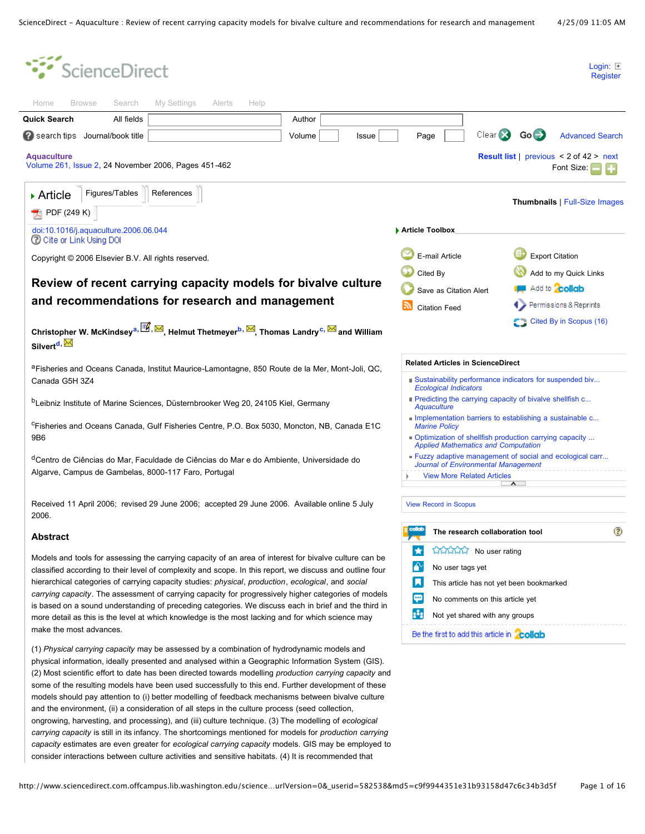| ScienceDirect                                                                                                                                                                                                          |                                                                                         | Login: $E$<br>Register                                                |  |
|------------------------------------------------------------------------------------------------------------------------------------------------------------------------------------------------------------------------|-----------------------------------------------------------------------------------------|-----------------------------------------------------------------------|--|
| <b>My Settings</b><br>Home<br><b>Browse</b><br>Search<br>Alerts<br>Help                                                                                                                                                |                                                                                         |                                                                       |  |
| <b>Quick Search</b><br>Author<br>All fields                                                                                                                                                                            |                                                                                         |                                                                       |  |
| <b>2</b> search tips<br>Journal/book title<br>Volume<br>Issue                                                                                                                                                          | Clear<br>Page                                                                           | Go<br><b>Advanced Search</b>                                          |  |
| <b>Aquaculture</b><br>Volume 261, Issue 2, 24 November 2006, Pages 451-462                                                                                                                                             |                                                                                         | <b>Result list</b> $ $ previous $\leq$ 2 of 42 $>$ next<br>Font Size: |  |
| Figures/Tables<br>References<br>▶ Article                                                                                                                                                                              |                                                                                         | <b>Thumbnails   Full-Size Images</b>                                  |  |
| PDF (249 K)<br>doi:10.1016/j.aquaculture.2006.06.044<br>C Cite or Link Using DOI                                                                                                                                       | Article Toolbox                                                                         |                                                                       |  |
| Copyright © 2006 Elsevier B.V. All rights reserved.                                                                                                                                                                    | E-mail Article                                                                          | <b>Export Citation</b>                                                |  |
|                                                                                                                                                                                                                        | Cited By                                                                                | Add to my Quick Links                                                 |  |
| Review of recent carrying capacity models for bivalve culture                                                                                                                                                          | Save as Citation Alert                                                                  | Add to <b>collab</b>                                                  |  |
| and recommendations for research and management                                                                                                                                                                        | <b>Citation Feed</b>                                                                    | Permissions & Reprints                                                |  |
|                                                                                                                                                                                                                        |                                                                                         | Cited By in Scopus (16)                                               |  |
| Christopher W. McKindsey <sup>a, Ene</sup> , <sub>Ma</sub> Helmut Thetmeyer <sup>b, Ma</sup> , Thomas Landry <sup>c, Ma</sup> and William<br>Silvert <sup>d, M</sup>                                                   |                                                                                         |                                                                       |  |
|                                                                                                                                                                                                                        | <b>Related Articles in ScienceDirect</b>                                                |                                                                       |  |
| <sup>a</sup> Fisheries and Oceans Canada, Institut Maurice-Lamontagne, 850 Route de la Mer, Mont-Joli, QC,<br>Canada G5H 3Z4                                                                                           |                                                                                         | <b>II</b> Sustainability performance indicators for suspended biv     |  |
|                                                                                                                                                                                                                        | <b>Ecological Indicators</b><br>Predicting the carrying capacity of bivalve shellfish c |                                                                       |  |
| <sup>b</sup> Leibniz Institute of Marine Sciences, Düsternbrooker Weg 20, 24105 Kiel, Germany                                                                                                                          | <b>Aquaculture</b>                                                                      |                                                                       |  |
| <sup>c</sup> Fisheries and Oceans Canada, Gulf Fisheries Centre, P.O. Box 5030, Moncton, NB, Canada E1C                                                                                                                | <b>Marine Policy</b>                                                                    | . Implementation barriers to establishing a sustainable c             |  |
| 9B6                                                                                                                                                                                                                    | <b>Applied Mathematics and Computation</b>                                              | Optimization of shellfish production carrying capacity                |  |
| dCentro de Ciências do Mar, Faculdade de Ciências do Mar e do Ambiente, Universidade do                                                                                                                                | Journal of Environmental Management                                                     | . Fuzzy adaptive management of social and ecological carr             |  |
| Algarve, Campus de Gambelas, 8000-117 Faro, Portugal                                                                                                                                                                   | <b>View More Related Articles</b>                                                       |                                                                       |  |
| Received 11 April 2006; revised 29 June 2006; accepted 29 June 2006. Available online 5 July                                                                                                                           | <b>View Record in Scopus</b>                                                            |                                                                       |  |
| 2006.                                                                                                                                                                                                                  |                                                                                         |                                                                       |  |
| <b>Abstract</b>                                                                                                                                                                                                        | collab<br>The research collaboration tool                                               | ℗                                                                     |  |
|                                                                                                                                                                                                                        | $\mathbf{r}$<br>thinking No user rating                                                 |                                                                       |  |
| Models and tools for assessing the carrying capacity of an area of interest for bivalve culture can be<br>classified according to their level of complexity and scope. In this report, we discuss and outline four     | €<br>No user tags yet                                                                   |                                                                       |  |
| hierarchical categories of carrying capacity studies: <i>physical, production, ecological, and social</i>                                                                                                              | П<br>This article has not yet been bookmarked                                           |                                                                       |  |
| carrying capacity. The assessment of carrying capacity for progressively higher categories of models<br>is based on a sound understanding of preceding categories. We discuss each in brief and the third in           | œ<br>No comments on this article yet                                                    |                                                                       |  |
| more detail as this is the level at which knowledge is the most lacking and for which science may                                                                                                                      | 2<br>Not yet shared with any groups                                                     |                                                                       |  |
| make the most advances.                                                                                                                                                                                                | Be the first to add this article in <b>Collab</b>                                       |                                                                       |  |
| (1) Physical carrying capacity may be assessed by a combination of hydrodynamic models and<br>physical information, ideally presented and analysed within a Geographic Information System (GIS).                       |                                                                                         |                                                                       |  |
| (2) Most scientific effort to date has been directed towards modelling <i>production carrying capacity</i> and                                                                                                         |                                                                                         |                                                                       |  |
| some of the resulting models have been used successfully to this end. Further development of these                                                                                                                     |                                                                                         |                                                                       |  |
| models should pay attention to (i) better modelling of feedback mechanisms between bivalve culture<br>and the environment, (ii) a consideration of all steps in the culture process (seed collection,                  |                                                                                         |                                                                       |  |
| ongrowing, harvesting, and processing), and (iii) culture technique. (3) The modelling of ecological                                                                                                                   |                                                                                         |                                                                       |  |
| carrying capacity is still in its infancy. The shortcomings mentioned for models for <i>production carrying</i><br>capacity estimates are even greater for ecological carrying capacity models. GIS may be employed to |                                                                                         |                                                                       |  |
| consider interactions between culture activities and sensitive habitats. (4) It is recommended that                                                                                                                    |                                                                                         |                                                                       |  |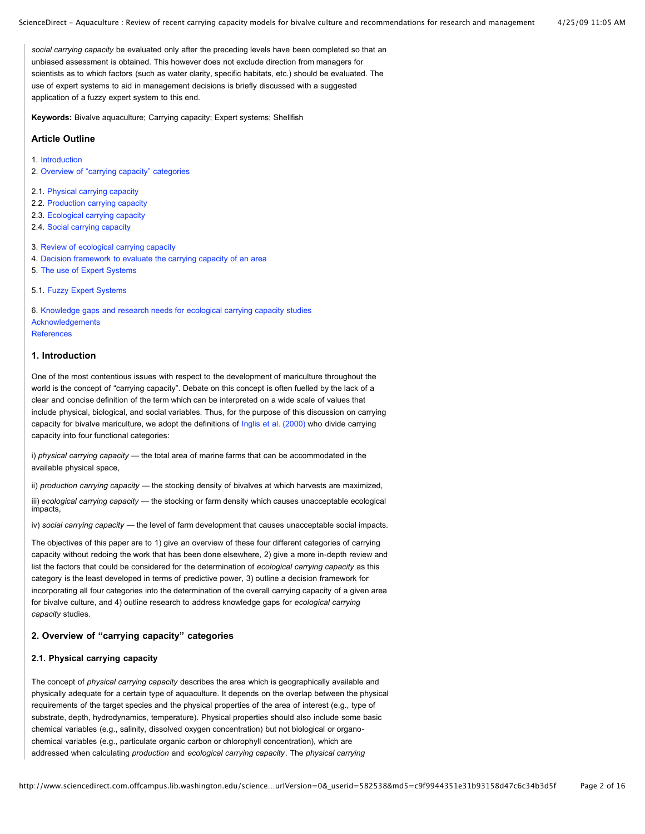*social carrying capacity* be evaluated only after the preceding levels have been completed so that an unbiased assessment is obtained. This however does not exclude direction from managers for scientists as to which factors (such as water clarity, specific habitats, etc.) should be evaluated. The use of expert systems to aid in management decisions is briefly discussed with a suggested application of a fuzzy expert system to this end.

**Keywords:** Bivalve aquaculture; Carrying capacity; Expert systems; Shellfish

#### **Article Outline**

1. [Introduction](http://www.sciencedirect.com.offcampus.lib.washington.edu/science?_ob=ArticleURL&_udi=B6T4D-4KBD4SR-1&_user=582538&_coverDate=11%2F24%2F2006&_rdoc=2&_fmt=full&_orig=browse&_srch=doc-info(%23toc%234972%232006%23997389997%23636573%23FLA%23display%23Volume)&_cdi=4972&_sort=d&_docanchor=&_ct=42&_acct=C000029718&_version=1&_urlVersion=0&_userid=582538&md5=ec348ff6c6bda0df8f16d67f94ccb216#secx1)

2. [Overview of "carrying capacity" categories](http://www.sciencedirect.com.offcampus.lib.washington.edu/science?_ob=ArticleURL&_udi=B6T4D-4KBD4SR-1&_user=582538&_coverDate=11%2F24%2F2006&_rdoc=2&_fmt=full&_orig=browse&_srch=doc-info(%23toc%234972%232006%23997389997%23636573%23FLA%23display%23Volume)&_cdi=4972&_sort=d&_docanchor=&_ct=42&_acct=C000029718&_version=1&_urlVersion=0&_userid=582538&md5=ec348ff6c6bda0df8f16d67f94ccb216#secx2)

2.1. [Physical carrying capacity](http://www.sciencedirect.com.offcampus.lib.washington.edu/science?_ob=ArticleURL&_udi=B6T4D-4KBD4SR-1&_user=582538&_coverDate=11%2F24%2F2006&_rdoc=2&_fmt=full&_orig=browse&_srch=doc-info(%23toc%234972%232006%23997389997%23636573%23FLA%23display%23Volume)&_cdi=4972&_sort=d&_docanchor=&_ct=42&_acct=C000029718&_version=1&_urlVersion=0&_userid=582538&md5=ec348ff6c6bda0df8f16d67f94ccb216#secx3)

- 2.2. [Production carrying capacity](http://www.sciencedirect.com.offcampus.lib.washington.edu/science?_ob=ArticleURL&_udi=B6T4D-4KBD4SR-1&_user=582538&_coverDate=11%2F24%2F2006&_rdoc=2&_fmt=full&_orig=browse&_srch=doc-info(%23toc%234972%232006%23997389997%23636573%23FLA%23display%23Volume)&_cdi=4972&_sort=d&_docanchor=&_ct=42&_acct=C000029718&_version=1&_urlVersion=0&_userid=582538&md5=ec348ff6c6bda0df8f16d67f94ccb216#secx4)
- 2.3. [Ecological carrying capacity](http://www.sciencedirect.com.offcampus.lib.washington.edu/science?_ob=ArticleURL&_udi=B6T4D-4KBD4SR-1&_user=582538&_coverDate=11%2F24%2F2006&_rdoc=2&_fmt=full&_orig=browse&_srch=doc-info(%23toc%234972%232006%23997389997%23636573%23FLA%23display%23Volume)&_cdi=4972&_sort=d&_docanchor=&_ct=42&_acct=C000029718&_version=1&_urlVersion=0&_userid=582538&md5=ec348ff6c6bda0df8f16d67f94ccb216#secx5)
- 2.4. [Social carrying capacity](http://www.sciencedirect.com.offcampus.lib.washington.edu/science?_ob=ArticleURL&_udi=B6T4D-4KBD4SR-1&_user=582538&_coverDate=11%2F24%2F2006&_rdoc=2&_fmt=full&_orig=browse&_srch=doc-info(%23toc%234972%232006%23997389997%23636573%23FLA%23display%23Volume)&_cdi=4972&_sort=d&_docanchor=&_ct=42&_acct=C000029718&_version=1&_urlVersion=0&_userid=582538&md5=ec348ff6c6bda0df8f16d67f94ccb216#secx6)

3. [Review of ecological carrying capacity](http://www.sciencedirect.com.offcampus.lib.washington.edu/science?_ob=ArticleURL&_udi=B6T4D-4KBD4SR-1&_user=582538&_coverDate=11%2F24%2F2006&_rdoc=2&_fmt=full&_orig=browse&_srch=doc-info(%23toc%234972%232006%23997389997%23636573%23FLA%23display%23Volume)&_cdi=4972&_sort=d&_docanchor=&_ct=42&_acct=C000029718&_version=1&_urlVersion=0&_userid=582538&md5=ec348ff6c6bda0df8f16d67f94ccb216#secx7)

4. [Decision framework to evaluate the carrying capacity of an area](http://www.sciencedirect.com.offcampus.lib.washington.edu/science?_ob=ArticleURL&_udi=B6T4D-4KBD4SR-1&_user=582538&_coverDate=11%2F24%2F2006&_rdoc=2&_fmt=full&_orig=browse&_srch=doc-info(%23toc%234972%232006%23997389997%23636573%23FLA%23display%23Volume)&_cdi=4972&_sort=d&_docanchor=&_ct=42&_acct=C000029718&_version=1&_urlVersion=0&_userid=582538&md5=ec348ff6c6bda0df8f16d67f94ccb216#secx8)

5. [The use of Expert Systems](http://www.sciencedirect.com.offcampus.lib.washington.edu/science?_ob=ArticleURL&_udi=B6T4D-4KBD4SR-1&_user=582538&_coverDate=11%2F24%2F2006&_rdoc=2&_fmt=full&_orig=browse&_srch=doc-info(%23toc%234972%232006%23997389997%23636573%23FLA%23display%23Volume)&_cdi=4972&_sort=d&_docanchor=&_ct=42&_acct=C000029718&_version=1&_urlVersion=0&_userid=582538&md5=ec348ff6c6bda0df8f16d67f94ccb216#secx9)

5.1. [Fuzzy Expert Systems](http://www.sciencedirect.com.offcampus.lib.washington.edu/science?_ob=ArticleURL&_udi=B6T4D-4KBD4SR-1&_user=582538&_coverDate=11%2F24%2F2006&_rdoc=2&_fmt=full&_orig=browse&_srch=doc-info(%23toc%234972%232006%23997389997%23636573%23FLA%23display%23Volume)&_cdi=4972&_sort=d&_docanchor=&_ct=42&_acct=C000029718&_version=1&_urlVersion=0&_userid=582538&md5=ec348ff6c6bda0df8f16d67f94ccb216#secx10)

6. [Knowledge gaps and research needs for ecological carrying capacity studies](http://www.sciencedirect.com.offcampus.lib.washington.edu/science?_ob=ArticleURL&_udi=B6T4D-4KBD4SR-1&_user=582538&_coverDate=11%2F24%2F2006&_rdoc=2&_fmt=full&_orig=browse&_srch=doc-info(%23toc%234972%232006%23997389997%23636573%23FLA%23display%23Volume)&_cdi=4972&_sort=d&_docanchor=&_ct=42&_acct=C000029718&_version=1&_urlVersion=0&_userid=582538&md5=ec348ff6c6bda0df8f16d67f94ccb216#secx11) [Acknowledgements](http://www.sciencedirect.com.offcampus.lib.washington.edu/science?_ob=ArticleURL&_udi=B6T4D-4KBD4SR-1&_user=582538&_coverDate=11%2F24%2F2006&_rdoc=2&_fmt=full&_orig=browse&_srch=doc-info(%23toc%234972%232006%23997389997%23636573%23FLA%23display%23Volume)&_cdi=4972&_sort=d&_docanchor=&_ct=42&_acct=C000029718&_version=1&_urlVersion=0&_userid=582538&md5=ec348ff6c6bda0df8f16d67f94ccb216#ack001) **[References](http://www.sciencedirect.com.offcampus.lib.washington.edu/science?_ob=ArticleURL&_udi=B6T4D-4KBD4SR-1&_user=582538&_coverDate=11%2F24%2F2006&_rdoc=2&_fmt=full&_orig=browse&_srch=doc-info(%23toc%234972%232006%23997389997%23636573%23FLA%23display%23Volume)&_cdi=4972&_sort=d&_docanchor=&_ct=42&_acct=C000029718&_version=1&_urlVersion=0&_userid=582538&md5=ec348ff6c6bda0df8f16d67f94ccb216#bibl001)** 

#### **1. Introduction**

One of the most contentious issues with respect to the development of mariculture throughout the world is the concept of "carrying capacity". Debate on this concept is often fuelled by the lack of a clear and concise definition of the term which can be interpreted on a wide scale of values that include physical, biological, and social variables. Thus, for the purpose of this discussion on carrying capacity for bivalve mariculture, we adopt the definitions of [Inglis et al. \(2000\)](http://www.sciencedirect.com.offcampus.lib.washington.edu/science?_ob=ArticleURL&_udi=B6T4D-4KBD4SR-1&_user=582538&_coverDate=11%2F24%2F2006&_rdoc=2&_fmt=full&_orig=browse&_srch=doc-info(%23toc%234972%232006%23997389997%23636573%23FLA%23display%23Volume)&_cdi=4972&_sort=d&_docanchor=&_ct=42&_acct=C000029718&_version=1&_urlVersion=0&_userid=582538&md5=ec348ff6c6bda0df8f16d67f94ccb216#bib35) who divide carrying capacity into four functional categories:

i) *physical carrying capacity* — the total area of marine farms that can be accommodated in the available physical space,

ii) *production carrying capacity* — the stocking density of bivalves at which harvests are maximized,

iii) *ecological carrying capacity* — the stocking or farm density which causes unacceptable ecological impacts,

iv) *social carrying capacity* — the level of farm development that causes unacceptable social impacts.

The objectives of this paper are to 1) give an overview of these four different categories of carrying capacity without redoing the work that has been done elsewhere, 2) give a more in-depth review and list the factors that could be considered for the determination of *ecological carrying capacity* as this category is the least developed in terms of predictive power, 3) outline a decision framework for incorporating all four categories into the determination of the overall carrying capacity of a given area for bivalve culture, and 4) outline research to address knowledge gaps for *ecological carrying capacity* studies.

## **2. Overview of "carrying capacity" categories**

#### **2.1. Physical carrying capacity**

The concept of *physical carrying capacity* describes the area which is geographically available and physically adequate for a certain type of aquaculture. It depends on the overlap between the physical requirements of the target species and the physical properties of the area of interest (e.g., type of substrate, depth, hydrodynamics, temperature). Physical properties should also include some basic chemical variables (e.g., salinity, dissolved oxygen concentration) but not biological or organochemical variables (e.g., particulate organic carbon or chlorophyll concentration), which are addressed when calculating *production* and *ecological carrying capacity*. The *physical carrying*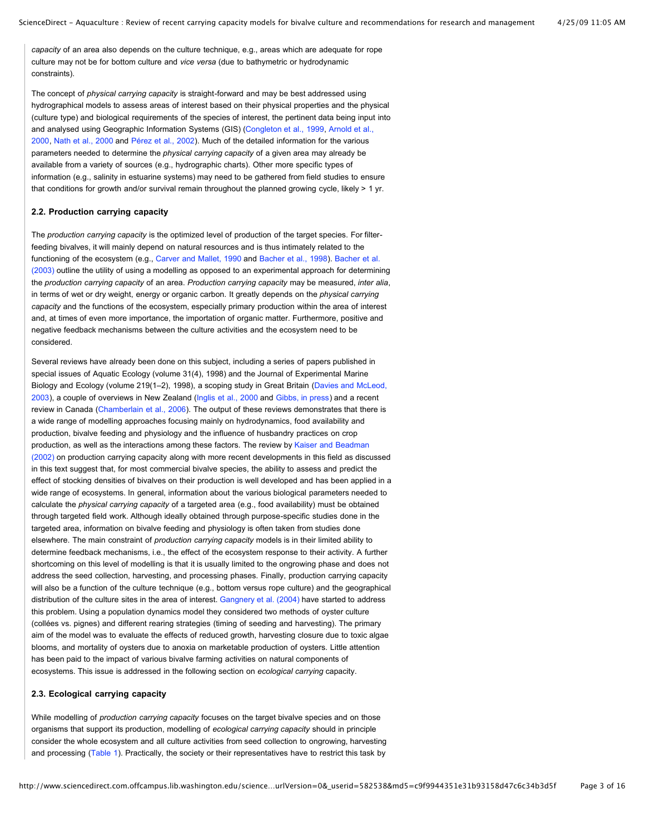*capacity* of an area also depends on the culture technique, e.g., areas which are adequate for rope culture may not be for bottom culture and *vice versa* (due to bathymetric or hydrodynamic constraints).

The concept of *physical carrying capacity* is straight-forward and may be best addressed using hydrographical models to assess areas of interest based on their physical properties and the physical (culture type) and biological requirements of the species of interest, the pertinent data being input into [and analysed using Geographic Information Systems \(GIS\) \(Congleton et al., 1999, Arnold et al.,](http://www.sciencedirect.com.offcampus.lib.washington.edu/science?_ob=ArticleURL&_udi=B6T4D-4KBD4SR-1&_user=582538&_coverDate=11%2F24%2F2006&_rdoc=2&_fmt=full&_orig=browse&_srch=doc-info(%23toc%234972%232006%23997389997%23636573%23FLA%23display%23Volume)&_cdi=4972&_sort=d&_docanchor=&_ct=42&_acct=C000029718&_version=1&_urlVersion=0&_userid=582538&md5=ec348ff6c6bda0df8f16d67f94ccb216#bib1) 2000, [Nath et al., 2000](http://www.sciencedirect.com.offcampus.lib.washington.edu/science?_ob=ArticleURL&_udi=B6T4D-4KBD4SR-1&_user=582538&_coverDate=11%2F24%2F2006&_rdoc=2&_fmt=full&_orig=browse&_srch=doc-info(%23toc%234972%232006%23997389997%23636573%23FLA%23display%23Volume)&_cdi=4972&_sort=d&_docanchor=&_ct=42&_acct=C000029718&_version=1&_urlVersion=0&_userid=582538&md5=ec348ff6c6bda0df8f16d67f94ccb216#bib49) and [Pérez et al., 2002\)](http://www.sciencedirect.com.offcampus.lib.washington.edu/science?_ob=ArticleURL&_udi=B6T4D-4KBD4SR-1&_user=582538&_coverDate=11%2F24%2F2006&_rdoc=2&_fmt=full&_orig=browse&_srch=doc-info(%23toc%234972%232006%23997389997%23636573%23FLA%23display%23Volume)&_cdi=4972&_sort=d&_docanchor=&_ct=42&_acct=C000029718&_version=1&_urlVersion=0&_userid=582538&md5=ec348ff6c6bda0df8f16d67f94ccb216#bib53). Much of the detailed information for the various parameters needed to determine the *physical carrying capacity* of a given area may already be available from a variety of sources (e.g., hydrographic charts). Other more specific types of information (e.g., salinity in estuarine systems) may need to be gathered from field studies to ensure that conditions for growth and/or survival remain throughout the planned growing cycle, likely > 1 yr.

## **2.2. Production carrying capacity**

The *production carrying capacity* is the optimized level of production of the target species. For filterfeeding bivalves, it will mainly depend on natural resources and is thus intimately related to the [functioning of the ecosystem \(e.g., C](http://www.sciencedirect.com.offcampus.lib.washington.edu/science?_ob=ArticleURL&_udi=B6T4D-4KBD4SR-1&_user=582538&_coverDate=11%2F24%2F2006&_rdoc=2&_fmt=full&_orig=browse&_srch=doc-info(%23toc%234972%232006%23997389997%23636573%23FLA%23display%23Volume)&_cdi=4972&_sort=d&_docanchor=&_ct=42&_acct=C000029718&_version=1&_urlVersion=0&_userid=582538&md5=ec348ff6c6bda0df8f16d67f94ccb216#bib3)[arver and Mallet, 199](http://www.sciencedirect.com.offcampus.lib.washington.edu/science?_ob=ArticleURL&_udi=B6T4D-4KBD4SR-1&_user=582538&_coverDate=11%2F24%2F2006&_rdoc=2&_fmt=full&_orig=browse&_srch=doc-info(%23toc%234972%232006%23997389997%23636573%23FLA%23display%23Volume)&_cdi=4972&_sort=d&_docanchor=&_ct=42&_acct=C000029718&_version=1&_urlVersion=0&_userid=582538&md5=ec348ff6c6bda0df8f16d67f94ccb216#bib10)[0 and](http://www.sciencedirect.com.offcampus.lib.washington.edu/science?_ob=ArticleURL&_udi=B6T4D-4KBD4SR-1&_user=582538&_coverDate=11%2F24%2F2006&_rdoc=2&_fmt=full&_orig=browse&_srch=doc-info(%23toc%234972%232006%23997389997%23636573%23FLA%23display%23Volume)&_cdi=4972&_sort=d&_docanchor=&_ct=42&_acct=C000029718&_version=1&_urlVersion=0&_userid=582538&md5=ec348ff6c6bda0df8f16d67f94ccb216#bib3) [Bacher et al., 1998](http://www.sciencedirect.com.offcampus.lib.washington.edu/science?_ob=ArticleURL&_udi=B6T4D-4KBD4SR-1&_user=582538&_coverDate=11%2F24%2F2006&_rdoc=2&_fmt=full&_orig=browse&_srch=doc-info(%23toc%234972%232006%23997389997%23636573%23FLA%23display%23Volume)&_cdi=4972&_sort=d&_docanchor=&_ct=42&_acct=C000029718&_version=1&_urlVersion=0&_userid=582538&md5=ec348ff6c6bda0df8f16d67f94ccb216#bib2)[\). Bacher et al.](http://www.sciencedirect.com.offcampus.lib.washington.edu/science?_ob=ArticleURL&_udi=B6T4D-4KBD4SR-1&_user=582538&_coverDate=11%2F24%2F2006&_rdoc=2&_fmt=full&_orig=browse&_srch=doc-info(%23toc%234972%232006%23997389997%23636573%23FLA%23display%23Volume)&_cdi=4972&_sort=d&_docanchor=&_ct=42&_acct=C000029718&_version=1&_urlVersion=0&_userid=582538&md5=ec348ff6c6bda0df8f16d67f94ccb216#bib3) (2003) outline the utility of using a modelling as opposed to an experimental approach for determining the *production carrying capacity* of an area. *Production carrying capacity* may be measured, *inter alia*, in terms of wet or dry weight, energy or organic carbon. It greatly depends on the *physical carrying capacity* and the functions of the ecosystem, especially primary production within the area of interest and, at times of even more importance, the importation of organic matter. Furthermore, positive and negative feedback mechanisms between the culture activities and the ecosystem need to be considered.

Several reviews have already been done on this subject, including a series of papers published in special issues of Aquatic Ecology (volume 31(4), 1998) and the Journal of Experimental Marine [Biology and Ecology \(volume 219\(1–2\), 1998\), a scoping study in Great Britain \(Davies and McLeod,](http://www.sciencedirect.com.offcampus.lib.washington.edu/science?_ob=ArticleURL&_udi=B6T4D-4KBD4SR-1&_user=582538&_coverDate=11%2F24%2F2006&_rdoc=2&_fmt=full&_orig=browse&_srch=doc-info(%23toc%234972%232006%23997389997%23636573%23FLA%23display%23Volume)&_cdi=4972&_sort=d&_docanchor=&_ct=42&_acct=C000029718&_version=1&_urlVersion=0&_userid=582538&md5=ec348ff6c6bda0df8f16d67f94ccb216#bib21) 2003), a couple of overviews in New Zealand ([Inglis et al., 2000](http://www.sciencedirect.com.offcampus.lib.washington.edu/science?_ob=ArticleURL&_udi=B6T4D-4KBD4SR-1&_user=582538&_coverDate=11%2F24%2F2006&_rdoc=2&_fmt=full&_orig=browse&_srch=doc-info(%23toc%234972%232006%23997389997%23636573%23FLA%23display%23Volume)&_cdi=4972&_sort=d&_docanchor=&_ct=42&_acct=C000029718&_version=1&_urlVersion=0&_userid=582538&md5=ec348ff6c6bda0df8f16d67f94ccb216#bib35) and [Gibbs, in press\)](http://www.sciencedirect.com.offcampus.lib.washington.edu/science?_ob=ArticleURL&_udi=B6T4D-4KBD4SR-1&_user=582538&_coverDate=11%2F24%2F2006&_rdoc=2&_fmt=full&_orig=browse&_srch=doc-info(%23toc%234972%232006%23997389997%23636573%23FLA%23display%23Volume)&_cdi=4972&_sort=d&_docanchor=&_ct=42&_acct=C000029718&_version=1&_urlVersion=0&_userid=582538&md5=ec348ff6c6bda0df8f16d67f94ccb216#bib31) and a recent review in Canada [\(Chamberlain et al., 2006\)](http://www.sciencedirect.com.offcampus.lib.washington.edu/science?_ob=ArticleURL&_udi=B6T4D-4KBD4SR-1&_user=582538&_coverDate=11%2F24%2F2006&_rdoc=2&_fmt=full&_orig=browse&_srch=doc-info(%23toc%234972%232006%23997389997%23636573%23FLA%23display%23Volume)&_cdi=4972&_sort=d&_docanchor=&_ct=42&_acct=C000029718&_version=1&_urlVersion=0&_userid=582538&md5=ec348ff6c6bda0df8f16d67f94ccb216#bib13). The output of these reviews demonstrates that there is a wide range of modelling approaches focusing mainly on hydrodynamics, food availability and production, bivalve feeding and physiology and the influence of husbandry practices on crop production, as well as the interactions among these factors. The review by Kaiser and Beadman [\(2002\) on production carrying capacity along with more recent developments in this field as discu](http://www.sciencedirect.com.offcampus.lib.washington.edu/science?_ob=ArticleURL&_udi=B6T4D-4KBD4SR-1&_user=582538&_coverDate=11%2F24%2F2006&_rdoc=2&_fmt=full&_orig=browse&_srch=doc-info(%23toc%234972%232006%23997389997%23636573%23FLA%23display%23Volume)&_cdi=4972&_sort=d&_docanchor=&_ct=42&_acct=C000029718&_version=1&_urlVersion=0&_userid=582538&md5=ec348ff6c6bda0df8f16d67f94ccb216#bib75)ssed in this text suggest that, for most commercial bivalve species, the ability to assess and predict the effect of stocking densities of bivalves on their production is well developed and has been applied in a wide range of ecosystems. In general, information about the various biological parameters needed to calculate the *physical carrying capacity* of a targeted area (e.g., food availability) must be obtained through targeted field work. Although ideally obtained through purpose-specific studies done in the targeted area, information on bivalve feeding and physiology is often taken from studies done elsewhere. The main constraint of *production carrying capacity* models is in their limited ability to determine feedback mechanisms, i.e., the effect of the ecosystem response to their activity. A further shortcoming on this level of modelling is that it is usually limited to the ongrowing phase and does not address the seed collection, harvesting, and processing phases. Finally, production carrying capacity will also be a function of the culture technique (e.g., bottom versus rope culture) and the geographical distribution of the culture sites in the area of interest. [Gangnery et al. \(2004\)](http://www.sciencedirect.com.offcampus.lib.washington.edu/science?_ob=ArticleURL&_udi=B6T4D-4KBD4SR-1&_user=582538&_coverDate=11%2F24%2F2006&_rdoc=2&_fmt=full&_orig=browse&_srch=doc-info(%23toc%234972%232006%23997389997%23636573%23FLA%23display%23Volume)&_cdi=4972&_sort=d&_docanchor=&_ct=42&_acct=C000029718&_version=1&_urlVersion=0&_userid=582538&md5=ec348ff6c6bda0df8f16d67f94ccb216#bib29) have started to address this problem. Using a population dynamics model they considered two methods of oyster culture (collées vs. pignes) and different rearing strategies (timing of seeding and harvesting). The primary aim of the model was to evaluate the effects of reduced growth, harvesting closure due to toxic algae blooms, and mortality of oysters due to anoxia on marketable production of oysters. Little attention has been paid to the impact of various bivalve farming activities on natural components of ecosystems. This issue is addressed in the following section on *ecological carrying* capacity.

## **2.3. Ecological carrying capacity**

While modelling of *production carrying capacity* focuses on the target bivalve species and on those organisms that support its production, modelling of *ecological carrying capacity* should in principle consider the whole ecosystem and all culture activities from seed collection to ongrowing, harvesting and processing [\(Table 1](http://www.sciencedirect.com.offcampus.lib.washington.edu/science?_ob=ArticleURL&_udi=B6T4D-4KBD4SR-1&_user=582538&_coverDate=11%2F24%2F2006&_rdoc=2&_fmt=full&_orig=browse&_srch=doc-info(%23toc%234972%232006%23997389997%23636573%23FLA%23display%23Volume)&_cdi=4972&_sort=d&_docanchor=&_ct=42&_acct=C000029718&_version=1&_urlVersion=0&_userid=582538&md5=ec348ff6c6bda0df8f16d67f94ccb216#tbl1)). Practically, the society or their representatives have to restrict this task by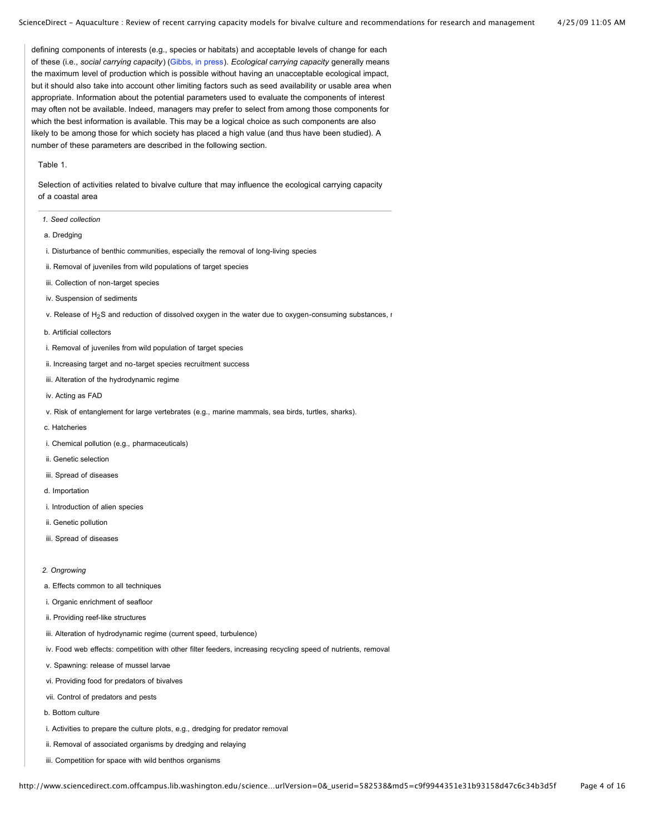defining components of interests (e.g., species or habitats) and acceptable levels of change for each of these (i.e., *social carrying capacity*) ([Gibbs, in press\)](http://www.sciencedirect.com.offcampus.lib.washington.edu/science?_ob=ArticleURL&_udi=B6T4D-4KBD4SR-1&_user=582538&_coverDate=11%2F24%2F2006&_rdoc=2&_fmt=full&_orig=browse&_srch=doc-info(%23toc%234972%232006%23997389997%23636573%23FLA%23display%23Volume)&_cdi=4972&_sort=d&_docanchor=&_ct=42&_acct=C000029718&_version=1&_urlVersion=0&_userid=582538&md5=ec348ff6c6bda0df8f16d67f94ccb216#bib31). *Ecological carrying capacity* generally means the maximum level of production which is possible without having an unacceptable ecological impact, but it should also take into account other limiting factors such as seed availability or usable area when appropriate. Information about the potential parameters used to evaluate the components of interest may often not be available. Indeed, managers may prefer to select from among those components for which the best information is available. This may be a logical choice as such components are also likely to be among those for which society has placed a high value (and thus have been studied). A number of these parameters are described in the following section.

#### Table 1.

Selection of activities related to bivalve culture that may influence the ecological carrying capacity of a coastal area

- *1. Seed collection*
- a. Dredging
- i. Disturbance of benthic communities, especially the removal of long-living species
- ii. Removal of juveniles from wild populations of target species
- iii. Collection of non-target species
- iv. Suspension of sediments
- v. Release of  $H<sub>2</sub>S$  and reduction of dissolved oxygen in the water due to oxygen-consuming substances,  $I$
- b. Artificial collectors
- i. Removal of juveniles from wild population of target species
- ii. Increasing target and no-target species recruitment success
- iii. Alteration of the hydrodynamic regime
- iv. Acting as FAD
- v. Risk of entanglement for large vertebrates (e.g., marine mammals, sea birds, turtles, sharks).
- c. Hatcheries
- i. Chemical pollution (e.g., pharmaceuticals)
- ii. Genetic selection
- iii. Spread of diseases
- d. Importation
- i. Introduction of alien species
- ii. Genetic pollution
- iii. Spread of diseases
- *2. Ongrowing*
- a. Effects common to all techniques
- i. Organic enrichment of seafloor
- ii. Providing reef-like structures
- iii. Alteration of hydrodynamic regime (current speed, turbulence)
- iv. Food web effects: competition with other filter feeders, increasing recycling speed of nutrients, removal
- v. Spawning: release of mussel larvae
- vi. Providing food for predators of bivalves
- vii. Control of predators and pests
- b. Bottom culture
- i. Activities to prepare the culture plots, e.g., dredging for predator removal
- ii. Removal of associated organisms by dredging and relaying
- iii. Competition for space with wild benthos organisms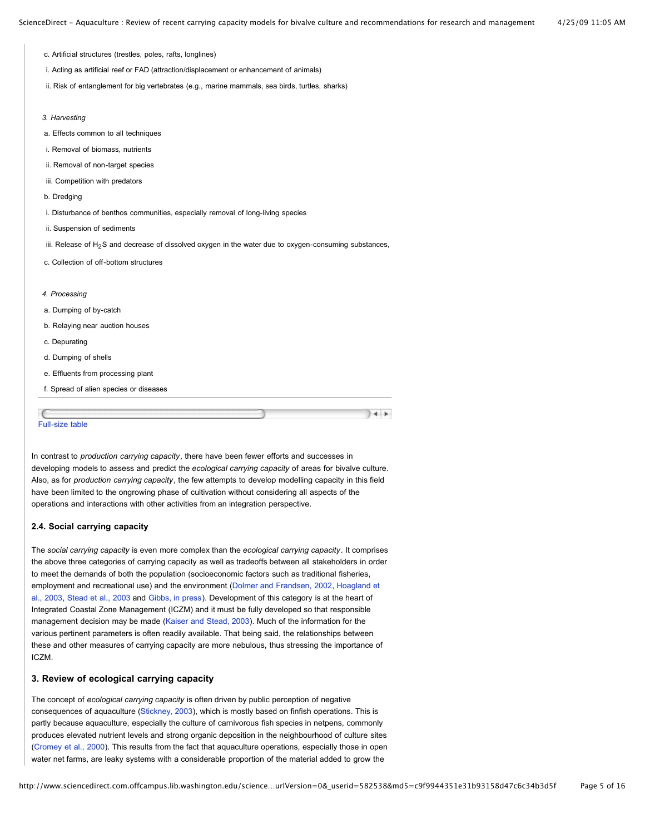- c. Artificial structures (trestles, poles, rafts, longlines)
- i. Acting as artificial reef or FAD (attraction/displacement or enhancement of animals)
- ii. Risk of entanglement for big vertebrates (e.g., marine mammals, sea birds, turtles, sharks)
- *3. Harvesting*
- a. Effects common to all techniques
- i. Removal of biomass, nutrients
- ii. Removal of non-target species
- iii. Competition with predators
- b. Dredging
- i. Disturbance of benthos communities, especially removal of long-living species
- ii. Suspension of sediments
- iii. Release of  $H<sub>2</sub>S$  and decrease of dissolved oxygen in the water due to oxygen-consuming substances,
- c. Collection of off-bottom structures

#### *4. Processing*

- a. Dumping of by-catch
- b. Relaying near auction houses
- c. Depurating
- d. Dumping of shells
- e. Effluents from processing plant
- f. Spread of alien species or diseases

| $\sim$ |  |  |
|--------|--|--|

In contrast to *production carrying capacity*, there have been fewer efforts and successes in developing models to assess and predict the *ecological carrying capacity* of areas for bivalve culture. Also, as for *production carrying capacity*, the few attempts to develop modelling capacity in this field have been limited to the ongrowing phase of cultivation without considering all aspects of the operations and interactions with other activities from an integration perspective.

#### **2.4. Social carrying capacity**

The *social carrying capacity* is even more complex than the *ecological carrying capacity*. It comprises the above three categories of carrying capacity as well as tradeoffs between all stakeholders in order to meet the demands of both the population (socioeconomic factors such as traditional fisheries, [employment and recreational use\) and the environment \(D](http://www.sciencedirect.com.offcampus.lib.washington.edu/science?_ob=ArticleURL&_udi=B6T4D-4KBD4SR-1&_user=582538&_coverDate=11%2F24%2F2006&_rdoc=2&_fmt=full&_orig=browse&_srch=doc-info(%23toc%234972%232006%23997389997%23636573%23FLA%23display%23Volume)&_cdi=4972&_sort=d&_docanchor=&_ct=42&_acct=C000029718&_version=1&_urlVersion=0&_userid=582538&md5=ec348ff6c6bda0df8f16d67f94ccb216#bib33)[olmer and Frandsen, 200](http://www.sciencedirect.com.offcampus.lib.washington.edu/science?_ob=ArticleURL&_udi=B6T4D-4KBD4SR-1&_user=582538&_coverDate=11%2F24%2F2006&_rdoc=2&_fmt=full&_orig=browse&_srch=doc-info(%23toc%234972%232006%23997389997%23636573%23FLA%23display%23Volume)&_cdi=4972&_sort=d&_docanchor=&_ct=42&_acct=C000029718&_version=1&_urlVersion=0&_userid=582538&md5=ec348ff6c6bda0df8f16d67f94ccb216#bib22)[2, Hoagland et](http://www.sciencedirect.com.offcampus.lib.washington.edu/science?_ob=ArticleURL&_udi=B6T4D-4KBD4SR-1&_user=582538&_coverDate=11%2F24%2F2006&_rdoc=2&_fmt=full&_orig=browse&_srch=doc-info(%23toc%234972%232006%23997389997%23636573%23FLA%23display%23Volume)&_cdi=4972&_sort=d&_docanchor=&_ct=42&_acct=C000029718&_version=1&_urlVersion=0&_userid=582538&md5=ec348ff6c6bda0df8f16d67f94ccb216#bib33) al., 2003, [Stead et al., 2003](http://www.sciencedirect.com.offcampus.lib.washington.edu/science?_ob=ArticleURL&_udi=B6T4D-4KBD4SR-1&_user=582538&_coverDate=11%2F24%2F2006&_rdoc=2&_fmt=full&_orig=browse&_srch=doc-info(%23toc%234972%232006%23997389997%23636573%23FLA%23display%23Volume)&_cdi=4972&_sort=d&_docanchor=&_ct=42&_acct=C000029718&_version=1&_urlVersion=0&_userid=582538&md5=ec348ff6c6bda0df8f16d67f94ccb216#bib62) and [Gibbs, in press\)](http://www.sciencedirect.com.offcampus.lib.washington.edu/science?_ob=ArticleURL&_udi=B6T4D-4KBD4SR-1&_user=582538&_coverDate=11%2F24%2F2006&_rdoc=2&_fmt=full&_orig=browse&_srch=doc-info(%23toc%234972%232006%23997389997%23636573%23FLA%23display%23Volume)&_cdi=4972&_sort=d&_docanchor=&_ct=42&_acct=C000029718&_version=1&_urlVersion=0&_userid=582538&md5=ec348ff6c6bda0df8f16d67f94ccb216#bib31). Development of this category is at the heart of Integrated Coastal Zone Management (ICZM) and it must be fully developed so that responsible management decision may be made [\(Kaiser and Stead, 2003\)](http://www.sciencedirect.com.offcampus.lib.washington.edu/science?_ob=ArticleURL&_udi=B6T4D-4KBD4SR-1&_user=582538&_coverDate=11%2F24%2F2006&_rdoc=2&_fmt=full&_orig=browse&_srch=doc-info(%23toc%234972%232006%23997389997%23636573%23FLA%23display%23Volume)&_cdi=4972&_sort=d&_docanchor=&_ct=42&_acct=C000029718&_version=1&_urlVersion=0&_userid=582538&md5=ec348ff6c6bda0df8f16d67f94ccb216#bib38). Much of the information for the various pertinent parameters is often readily available. That being said, the relationships between these and other measures of carrying capacity are more nebulous, thus stressing the importance of ICZM.

## **3. Review of ecological carrying capacity**

The concept of *ecological carrying capacity* is often driven by public perception of negative consequences of aquaculture [\(Stickney, 2003](http://www.sciencedirect.com.offcampus.lib.washington.edu/science?_ob=ArticleURL&_udi=B6T4D-4KBD4SR-1&_user=582538&_coverDate=11%2F24%2F2006&_rdoc=2&_fmt=full&_orig=browse&_srch=doc-info(%23toc%234972%232006%23997389997%23636573%23FLA%23display%23Volume)&_cdi=4972&_sort=d&_docanchor=&_ct=42&_acct=C000029718&_version=1&_urlVersion=0&_userid=582538&md5=ec348ff6c6bda0df8f16d67f94ccb216#bib64)), which is mostly based on finfish operations. This is partly because aquaculture, especially the culture of carnivorous fish species in netpens, commonly produces elevated nutrient levels and strong organic deposition in the neighbourhood of culture sites [\(Cromey et al., 2000\)](http://www.sciencedirect.com.offcampus.lib.washington.edu/science?_ob=ArticleURL&_udi=B6T4D-4KBD4SR-1&_user=582538&_coverDate=11%2F24%2F2006&_rdoc=2&_fmt=full&_orig=browse&_srch=doc-info(%23toc%234972%232006%23997389997%23636573%23FLA%23display%23Volume)&_cdi=4972&_sort=d&_docanchor=&_ct=42&_acct=C000029718&_version=1&_urlVersion=0&_userid=582538&md5=ec348ff6c6bda0df8f16d67f94ccb216#bib18). This results from the fact that aquaculture operations, especially those in open water net farms, are leaky systems with a considerable proportion of the material added to grow the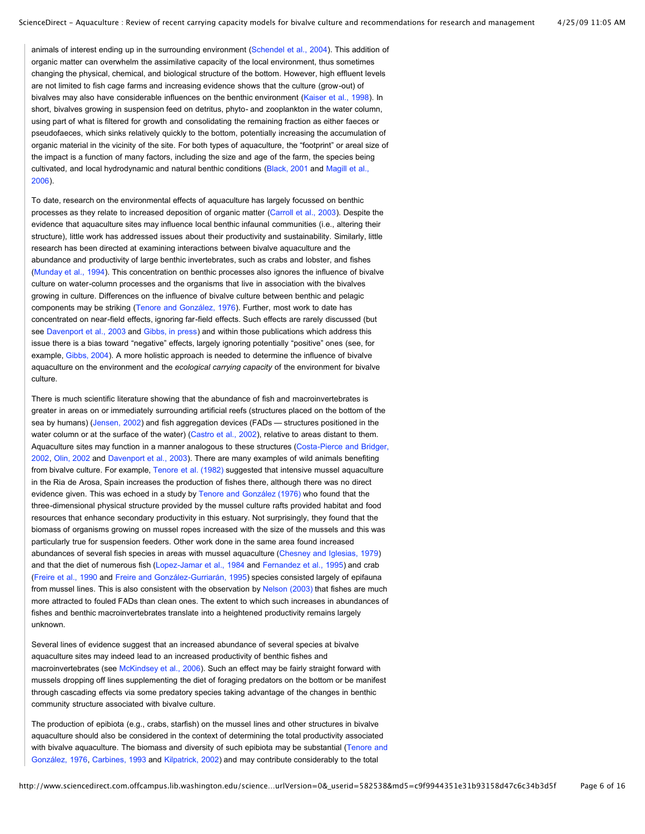animals of interest ending up in the surrounding environment ([Schendel et al., 2004](http://www.sciencedirect.com.offcampus.lib.washington.edu/science?_ob=ArticleURL&_udi=B6T4D-4KBD4SR-1&_user=582538&_coverDate=11%2F24%2F2006&_rdoc=2&_fmt=full&_orig=browse&_srch=doc-info(%23toc%234972%232006%23997389997%23636573%23FLA%23display%23Volume)&_cdi=4972&_sort=d&_docanchor=&_ct=42&_acct=C000029718&_version=1&_urlVersion=0&_userid=582538&md5=ec348ff6c6bda0df8f16d67f94ccb216#bib57)). This addition of organic matter can overwhelm the assimilative capacity of the local environment, thus sometimes changing the physical, chemical, and biological structure of the bottom. However, high effluent levels are not limited to fish cage farms and increasing evidence shows that the culture (grow-out) of bivalves may also have considerable influences on the benthic environment [\(Kaiser et al., 1998\)](http://www.sciencedirect.com.offcampus.lib.washington.edu/science?_ob=ArticleURL&_udi=B6T4D-4KBD4SR-1&_user=582538&_coverDate=11%2F24%2F2006&_rdoc=2&_fmt=full&_orig=browse&_srch=doc-info(%23toc%234972%232006%23997389997%23636573%23FLA%23display%23Volume)&_cdi=4972&_sort=d&_docanchor=&_ct=42&_acct=C000029718&_version=1&_urlVersion=0&_userid=582538&md5=ec348ff6c6bda0df8f16d67f94ccb216#bib39). In short, bivalves growing in suspension feed on detritus, phyto- and zooplankton in the water column, using part of what is filtered for growth and consolidating the remaining fraction as either faeces or pseudofaeces, which sinks relatively quickly to the bottom, potentially increasing the accumulation of organic material in the vicinity of the site. For both types of aquaculture, the "footprint" or areal size of the impact is a function of many factors, including the size and age of the farm, the species being [cultivated, and local hydrodynamic and natural benthic conditions \(Black, 2001 and Magill et al.,](http://www.sciencedirect.com.offcampus.lib.washington.edu/science?_ob=ArticleURL&_udi=B6T4D-4KBD4SR-1&_user=582538&_coverDate=11%2F24%2F2006&_rdoc=2&_fmt=full&_orig=browse&_srch=doc-info(%23toc%234972%232006%23997389997%23636573%23FLA%23display%23Volume)&_cdi=4972&_sort=d&_docanchor=&_ct=42&_acct=C000029718&_version=1&_urlVersion=0&_userid=582538&md5=ec348ff6c6bda0df8f16d67f94ccb216#bib45) 2006).

To date, research on the environmental effects of aquaculture has largely focussed on benthic processes as they relate to increased deposition of organic matter [\(Carroll et al., 2003](http://www.sciencedirect.com.offcampus.lib.washington.edu/science?_ob=ArticleURL&_udi=B6T4D-4KBD4SR-1&_user=582538&_coverDate=11%2F24%2F2006&_rdoc=2&_fmt=full&_orig=browse&_srch=doc-info(%23toc%234972%232006%23997389997%23636573%23FLA%23display%23Volume)&_cdi=4972&_sort=d&_docanchor=&_ct=42&_acct=C000029718&_version=1&_urlVersion=0&_userid=582538&md5=ec348ff6c6bda0df8f16d67f94ccb216#bib9)). Despite the evidence that aquaculture sites may influence local benthic infaunal communities (i.e., altering their structure), little work has addressed issues about their productivity and sustainability. Similarly, little research has been directed at examining interactions between bivalve aquaculture and the abundance and productivity of large benthic invertebrates, such as crabs and lobster, and fishes [\(Munday et al., 1994\)](http://www.sciencedirect.com.offcampus.lib.washington.edu/science?_ob=ArticleURL&_udi=B6T4D-4KBD4SR-1&_user=582538&_coverDate=11%2F24%2F2006&_rdoc=2&_fmt=full&_orig=browse&_srch=doc-info(%23toc%234972%232006%23997389997%23636573%23FLA%23display%23Volume)&_cdi=4972&_sort=d&_docanchor=&_ct=42&_acct=C000029718&_version=1&_urlVersion=0&_userid=582538&md5=ec348ff6c6bda0df8f16d67f94ccb216#bib47). This concentration on benthic processes also ignores the influence of bivalve culture on water-column processes and the organisms that live in association with the bivalves growing in culture. Differences on the influence of bivalve culture between benthic and pelagic components may be striking [\(Tenore and González, 1976\)](http://www.sciencedirect.com.offcampus.lib.washington.edu/science?_ob=ArticleURL&_udi=B6T4D-4KBD4SR-1&_user=582538&_coverDate=11%2F24%2F2006&_rdoc=2&_fmt=full&_orig=browse&_srch=doc-info(%23toc%234972%232006%23997389997%23636573%23FLA%23display%23Volume)&_cdi=4972&_sort=d&_docanchor=&_ct=42&_acct=C000029718&_version=1&_urlVersion=0&_userid=582538&md5=ec348ff6c6bda0df8f16d67f94ccb216#bib65). Further, most work to date has concentrated on near-field effects, ignoring far-field effects. Such effects are rarely discussed (but see [Davenport et al., 2003](http://www.sciencedirect.com.offcampus.lib.washington.edu/science?_ob=ArticleURL&_udi=B6T4D-4KBD4SR-1&_user=582538&_coverDate=11%2F24%2F2006&_rdoc=2&_fmt=full&_orig=browse&_srch=doc-info(%23toc%234972%232006%23997389997%23636573%23FLA%23display%23Volume)&_cdi=4972&_sort=d&_docanchor=&_ct=42&_acct=C000029718&_version=1&_urlVersion=0&_userid=582538&md5=ec348ff6c6bda0df8f16d67f94ccb216#bib20) and [Gibbs, in press](http://www.sciencedirect.com.offcampus.lib.washington.edu/science?_ob=ArticleURL&_udi=B6T4D-4KBD4SR-1&_user=582538&_coverDate=11%2F24%2F2006&_rdoc=2&_fmt=full&_orig=browse&_srch=doc-info(%23toc%234972%232006%23997389997%23636573%23FLA%23display%23Volume)&_cdi=4972&_sort=d&_docanchor=&_ct=42&_acct=C000029718&_version=1&_urlVersion=0&_userid=582538&md5=ec348ff6c6bda0df8f16d67f94ccb216#bib31)) and within those publications which address this issue there is a bias toward "negative" effects, largely ignoring potentially "positive" ones (see, for example, [Gibbs, 2004](http://www.sciencedirect.com.offcampus.lib.washington.edu/science?_ob=ArticleURL&_udi=B6T4D-4KBD4SR-1&_user=582538&_coverDate=11%2F24%2F2006&_rdoc=2&_fmt=full&_orig=browse&_srch=doc-info(%23toc%234972%232006%23997389997%23636573%23FLA%23display%23Volume)&_cdi=4972&_sort=d&_docanchor=&_ct=42&_acct=C000029718&_version=1&_urlVersion=0&_userid=582538&md5=ec348ff6c6bda0df8f16d67f94ccb216#bib30)). A more holistic approach is needed to determine the influence of bivalve aquaculture on the environment and the *ecological carrying capacity* of the environment for bivalve culture.

There is much scientific literature showing that the abundance of fish and macroinvertebrates is greater in areas on or immediately surrounding artificial reefs (structures placed on the bottom of the sea by humans) [\(Jensen, 2002](http://www.sciencedirect.com.offcampus.lib.washington.edu/science?_ob=ArticleURL&_udi=B6T4D-4KBD4SR-1&_user=582538&_coverDate=11%2F24%2F2006&_rdoc=2&_fmt=full&_orig=browse&_srch=doc-info(%23toc%234972%232006%23997389997%23636573%23FLA%23display%23Volume)&_cdi=4972&_sort=d&_docanchor=&_ct=42&_acct=C000029718&_version=1&_urlVersion=0&_userid=582538&md5=ec348ff6c6bda0df8f16d67f94ccb216#bib36)) and fish aggregation devices (FADs - structures positioned in the water column or at the surface of the water) [\(Castro et al., 2002\)](http://www.sciencedirect.com.offcampus.lib.washington.edu/science?_ob=ArticleURL&_udi=B6T4D-4KBD4SR-1&_user=582538&_coverDate=11%2F24%2F2006&_rdoc=2&_fmt=full&_orig=browse&_srch=doc-info(%23toc%234972%232006%23997389997%23636573%23FLA%23display%23Volume)&_cdi=4972&_sort=d&_docanchor=&_ct=42&_acct=C000029718&_version=1&_urlVersion=0&_userid=582538&md5=ec348ff6c6bda0df8f16d67f94ccb216#bib11), relative to areas distant to them. [Aquaculture sites may function in a manner analogous to these structures \(Costa-Pierce and Bridger,](http://www.sciencedirect.com.offcampus.lib.washington.edu/science?_ob=ArticleURL&_udi=B6T4D-4KBD4SR-1&_user=582538&_coverDate=11%2F24%2F2006&_rdoc=2&_fmt=full&_orig=browse&_srch=doc-info(%23toc%234972%232006%23997389997%23636573%23FLA%23display%23Volume)&_cdi=4972&_sort=d&_docanchor=&_ct=42&_acct=C000029718&_version=1&_urlVersion=0&_userid=582538&md5=ec348ff6c6bda0df8f16d67f94ccb216#bib17) 2002, [Olin, 2002](http://www.sciencedirect.com.offcampus.lib.washington.edu/science?_ob=ArticleURL&_udi=B6T4D-4KBD4SR-1&_user=582538&_coverDate=11%2F24%2F2006&_rdoc=2&_fmt=full&_orig=browse&_srch=doc-info(%23toc%234972%232006%23997389997%23636573%23FLA%23display%23Volume)&_cdi=4972&_sort=d&_docanchor=&_ct=42&_acct=C000029718&_version=1&_urlVersion=0&_userid=582538&md5=ec348ff6c6bda0df8f16d67f94ccb216#bib52) and [Davenport et al., 2003](http://www.sciencedirect.com.offcampus.lib.washington.edu/science?_ob=ArticleURL&_udi=B6T4D-4KBD4SR-1&_user=582538&_coverDate=11%2F24%2F2006&_rdoc=2&_fmt=full&_orig=browse&_srch=doc-info(%23toc%234972%232006%23997389997%23636573%23FLA%23display%23Volume)&_cdi=4972&_sort=d&_docanchor=&_ct=42&_acct=C000029718&_version=1&_urlVersion=0&_userid=582538&md5=ec348ff6c6bda0df8f16d67f94ccb216#bib20)). There are many examples of wild animals benefiting from bivalve culture. For example, [Tenore et al. \(1982\)](http://www.sciencedirect.com.offcampus.lib.washington.edu/science?_ob=ArticleURL&_udi=B6T4D-4KBD4SR-1&_user=582538&_coverDate=11%2F24%2F2006&_rdoc=2&_fmt=full&_orig=browse&_srch=doc-info(%23toc%234972%232006%23997389997%23636573%23FLA%23display%23Volume)&_cdi=4972&_sort=d&_docanchor=&_ct=42&_acct=C000029718&_version=1&_urlVersion=0&_userid=582538&md5=ec348ff6c6bda0df8f16d67f94ccb216#bib66) suggested that intensive mussel aquaculture in the Ria de Arosa, Spain increases the production of fishes there, although there was no direct evidence given. This was echoed in a study by [Tenore and González \(1976\)](http://www.sciencedirect.com.offcampus.lib.washington.edu/science?_ob=ArticleURL&_udi=B6T4D-4KBD4SR-1&_user=582538&_coverDate=11%2F24%2F2006&_rdoc=2&_fmt=full&_orig=browse&_srch=doc-info(%23toc%234972%232006%23997389997%23636573%23FLA%23display%23Volume)&_cdi=4972&_sort=d&_docanchor=&_ct=42&_acct=C000029718&_version=1&_urlVersion=0&_userid=582538&md5=ec348ff6c6bda0df8f16d67f94ccb216#bib65) who found that the three-dimensional physical structure provided by the mussel culture rafts provided habitat and food resources that enhance secondary productivity in this estuary. Not surprisingly, they found that the biomass of organisms growing on mussel ropes increased with the size of the mussels and this was particularly true for suspension feeders. Other work done in the same area found increased abundances of several fish species in areas with mussel aquaculture [\(Chesney and Iglesias, 1979](http://www.sciencedirect.com.offcampus.lib.washington.edu/science?_ob=ArticleURL&_udi=B6T4D-4KBD4SR-1&_user=582538&_coverDate=11%2F24%2F2006&_rdoc=2&_fmt=full&_orig=browse&_srch=doc-info(%23toc%234972%232006%23997389997%23636573%23FLA%23display%23Volume)&_cdi=4972&_sort=d&_docanchor=&_ct=42&_acct=C000029718&_version=1&_urlVersion=0&_userid=582538&md5=ec348ff6c6bda0df8f16d67f94ccb216#bib14)) and that the diet of numerous fish ([Lopez-Jamar et al., 1984](http://www.sciencedirect.com.offcampus.lib.washington.edu/science?_ob=ArticleURL&_udi=B6T4D-4KBD4SR-1&_user=582538&_coverDate=11%2F24%2F2006&_rdoc=2&_fmt=full&_orig=browse&_srch=doc-info(%23toc%234972%232006%23997389997%23636573%23FLA%23display%23Volume)&_cdi=4972&_sort=d&_docanchor=&_ct=42&_acct=C000029718&_version=1&_urlVersion=0&_userid=582538&md5=ec348ff6c6bda0df8f16d67f94ccb216#bib44) and [Fernandez et al., 1995](http://www.sciencedirect.com.offcampus.lib.washington.edu/science?_ob=ArticleURL&_udi=B6T4D-4KBD4SR-1&_user=582538&_coverDate=11%2F24%2F2006&_rdoc=2&_fmt=full&_orig=browse&_srch=doc-info(%23toc%234972%232006%23997389997%23636573%23FLA%23display%23Volume)&_cdi=4972&_sort=d&_docanchor=&_ct=42&_acct=C000029718&_version=1&_urlVersion=0&_userid=582538&md5=ec348ff6c6bda0df8f16d67f94ccb216#bib26)) and crab [\(Freire et al., 1990](http://www.sciencedirect.com.offcampus.lib.washington.edu/science?_ob=ArticleURL&_udi=B6T4D-4KBD4SR-1&_user=582538&_coverDate=11%2F24%2F2006&_rdoc=2&_fmt=full&_orig=browse&_srch=doc-info(%23toc%234972%232006%23997389997%23636573%23FLA%23display%23Volume)&_cdi=4972&_sort=d&_docanchor=&_ct=42&_acct=C000029718&_version=1&_urlVersion=0&_userid=582538&md5=ec348ff6c6bda0df8f16d67f94ccb216#bib28) and [Freire and González-Gurriarán, 1995](http://www.sciencedirect.com.offcampus.lib.washington.edu/science?_ob=ArticleURL&_udi=B6T4D-4KBD4SR-1&_user=582538&_coverDate=11%2F24%2F2006&_rdoc=2&_fmt=full&_orig=browse&_srch=doc-info(%23toc%234972%232006%23997389997%23636573%23FLA%23display%23Volume)&_cdi=4972&_sort=d&_docanchor=&_ct=42&_acct=C000029718&_version=1&_urlVersion=0&_userid=582538&md5=ec348ff6c6bda0df8f16d67f94ccb216#bib27)) species consisted largely of epifauna from mussel lines. This is also consistent with the observation by [Nelson \(2003\)](http://www.sciencedirect.com.offcampus.lib.washington.edu/science?_ob=ArticleURL&_udi=B6T4D-4KBD4SR-1&_user=582538&_coverDate=11%2F24%2F2006&_rdoc=2&_fmt=full&_orig=browse&_srch=doc-info(%23toc%234972%232006%23997389997%23636573%23FLA%23display%23Volume)&_cdi=4972&_sort=d&_docanchor=&_ct=42&_acct=C000029718&_version=1&_urlVersion=0&_userid=582538&md5=ec348ff6c6bda0df8f16d67f94ccb216#bib50) that fishes are much more attracted to fouled FADs than clean ones. The extent to which such increases in abundances of fishes and benthic macroinvertebrates translate into a heightened productivity remains largely unknown.

Several lines of evidence suggest that an increased abundance of several species at bivalve aquaculture sites may indeed lead to an increased productivity of benthic fishes and macroinvertebrates (see [McKindsey et al., 2006\)](http://www.sciencedirect.com.offcampus.lib.washington.edu/science?_ob=ArticleURL&_udi=B6T4D-4KBD4SR-1&_user=582538&_coverDate=11%2F24%2F2006&_rdoc=2&_fmt=full&_orig=browse&_srch=doc-info(%23toc%234972%232006%23997389997%23636573%23FLA%23display%23Volume)&_cdi=4972&_sort=d&_docanchor=&_ct=42&_acct=C000029718&_version=1&_urlVersion=0&_userid=582538&md5=ec348ff6c6bda0df8f16d67f94ccb216#bib46). Such an effect may be fairly straight forward with mussels dropping off lines supplementing the diet of foraging predators on the bottom or be manifest through cascading effects via some predatory species taking advantage of the changes in benthic community structure associated with bivalve culture.

The production of epibiota (e.g., crabs, starfish) on the mussel lines and other structures in bivalve aquaculture should also be considered in the context of determining the total productivity associated [with bivalve aquaculture. The biomass and diversity of such epibiota may be substantial \(Tenore and](http://www.sciencedirect.com.offcampus.lib.washington.edu/science?_ob=ArticleURL&_udi=B6T4D-4KBD4SR-1&_user=582538&_coverDate=11%2F24%2F2006&_rdoc=2&_fmt=full&_orig=browse&_srch=doc-info(%23toc%234972%232006%23997389997%23636573%23FLA%23display%23Volume)&_cdi=4972&_sort=d&_docanchor=&_ct=42&_acct=C000029718&_version=1&_urlVersion=0&_userid=582538&md5=ec348ff6c6bda0df8f16d67f94ccb216#bib65) González, 1976, [Carbines, 1993](http://www.sciencedirect.com.offcampus.lib.washington.edu/science?_ob=ArticleURL&_udi=B6T4D-4KBD4SR-1&_user=582538&_coverDate=11%2F24%2F2006&_rdoc=2&_fmt=full&_orig=browse&_srch=doc-info(%23toc%234972%232006%23997389997%23636573%23FLA%23display%23Volume)&_cdi=4972&_sort=d&_docanchor=&_ct=42&_acct=C000029718&_version=1&_urlVersion=0&_userid=582538&md5=ec348ff6c6bda0df8f16d67f94ccb216#bib8) and [Kilpatrick, 2002](http://www.sciencedirect.com.offcampus.lib.washington.edu/science?_ob=ArticleURL&_udi=B6T4D-4KBD4SR-1&_user=582538&_coverDate=11%2F24%2F2006&_rdoc=2&_fmt=full&_orig=browse&_srch=doc-info(%23toc%234972%232006%23997389997%23636573%23FLA%23display%23Volume)&_cdi=4972&_sort=d&_docanchor=&_ct=42&_acct=C000029718&_version=1&_urlVersion=0&_userid=582538&md5=ec348ff6c6bda0df8f16d67f94ccb216#bib40)) and may contribute considerably to the total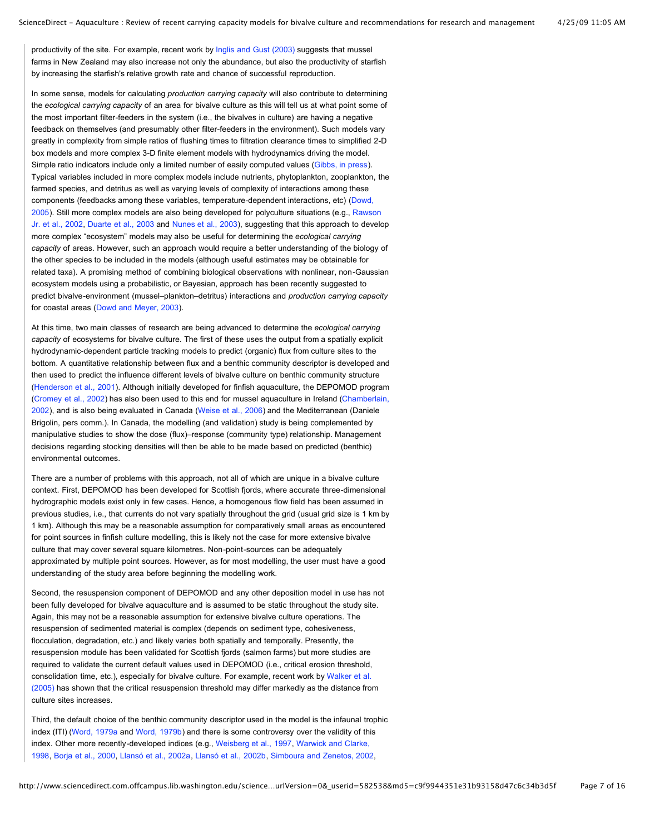productivity of the site. For example, recent work by [Inglis and Gust \(2003\)](http://www.sciencedirect.com.offcampus.lib.washington.edu/science?_ob=ArticleURL&_udi=B6T4D-4KBD4SR-1&_user=582538&_coverDate=11%2F24%2F2006&_rdoc=2&_fmt=full&_orig=browse&_srch=doc-info(%23toc%234972%232006%23997389997%23636573%23FLA%23display%23Volume)&_cdi=4972&_sort=d&_docanchor=&_ct=42&_acct=C000029718&_version=1&_urlVersion=0&_userid=582538&md5=ec348ff6c6bda0df8f16d67f94ccb216#bib34) suggests that mussel farms in New Zealand may also increase not only the abundance, but also the productivity of starfish by increasing the starfish's relative growth rate and chance of successful reproduction.

In some sense, models for calculating *production carrying capacity* will also contribute to determining the *ecological carrying capacity* of an area for bivalve culture as this will tell us at what point some of the most important filter-feeders in the system (i.e., the bivalves in culture) are having a negative feedback on themselves (and presumably other filter-feeders in the environment). Such models vary greatly in complexity from simple ratios of flushing times to filtration clearance times to simplified 2-D box models and more complex 3-D finite element models with hydrodynamics driving the model. Simple ratio indicators include only a limited number of easily computed values [\(Gibbs, in press](http://www.sciencedirect.com.offcampus.lib.washington.edu/science?_ob=ArticleURL&_udi=B6T4D-4KBD4SR-1&_user=582538&_coverDate=11%2F24%2F2006&_rdoc=2&_fmt=full&_orig=browse&_srch=doc-info(%23toc%234972%232006%23997389997%23636573%23FLA%23display%23Volume)&_cdi=4972&_sort=d&_docanchor=&_ct=42&_acct=C000029718&_version=1&_urlVersion=0&_userid=582538&md5=ec348ff6c6bda0df8f16d67f94ccb216#bib31)). Typical variables included in more complex models include nutrients, phytoplankton, zooplankton, the farmed species, and detritus as well as varying levels of complexity of interactions among these components (feedbacks among these variables, temperature-dependent interactions, etc) (Dowd, [2005\). Still more complex models are also being developed for polyculture situations \(e.g., Rawson](http://www.sciencedirect.com.offcampus.lib.washington.edu/science?_ob=ArticleURL&_udi=B6T4D-4KBD4SR-1&_user=582538&_coverDate=11%2F24%2F2006&_rdoc=2&_fmt=full&_orig=browse&_srch=doc-info(%23toc%234972%232006%23997389997%23636573%23FLA%23display%23Volume)&_cdi=4972&_sort=d&_docanchor=&_ct=42&_acct=C000029718&_version=1&_urlVersion=0&_userid=582538&md5=ec348ff6c6bda0df8f16d67f94ccb216#bib55) Jr. et al., 2002, [Duarte et al., 2003](http://www.sciencedirect.com.offcampus.lib.washington.edu/science?_ob=ArticleURL&_udi=B6T4D-4KBD4SR-1&_user=582538&_coverDate=11%2F24%2F2006&_rdoc=2&_fmt=full&_orig=browse&_srch=doc-info(%23toc%234972%232006%23997389997%23636573%23FLA%23display%23Volume)&_cdi=4972&_sort=d&_docanchor=&_ct=42&_acct=C000029718&_version=1&_urlVersion=0&_userid=582538&md5=ec348ff6c6bda0df8f16d67f94ccb216#bib25) and [Nunes et al., 2003\)](http://www.sciencedirect.com.offcampus.lib.washington.edu/science?_ob=ArticleURL&_udi=B6T4D-4KBD4SR-1&_user=582538&_coverDate=11%2F24%2F2006&_rdoc=2&_fmt=full&_orig=browse&_srch=doc-info(%23toc%234972%232006%23997389997%23636573%23FLA%23display%23Volume)&_cdi=4972&_sort=d&_docanchor=&_ct=42&_acct=C000029718&_version=1&_urlVersion=0&_userid=582538&md5=ec348ff6c6bda0df8f16d67f94ccb216#bib51), suggesting that this approach to develop more complex "ecosystem" models may also be useful for determining the *ecological carrying capacity* of areas. However, such an approach would require a better understanding of the biology of the other species to be included in the models (although useful estimates may be obtainable for related taxa). A promising method of combining biological observations with nonlinear, non-Gaussian ecosystem models using a probabilistic, or Bayesian, approach has been recently suggested to predict bivalve-environment (mussel–plankton–detritus) interactions and *production carrying capacity* for coastal areas [\(Dowd and Meyer, 2003\)](http://www.sciencedirect.com.offcampus.lib.washington.edu/science?_ob=ArticleURL&_udi=B6T4D-4KBD4SR-1&_user=582538&_coverDate=11%2F24%2F2006&_rdoc=2&_fmt=full&_orig=browse&_srch=doc-info(%23toc%234972%232006%23997389997%23636573%23FLA%23display%23Volume)&_cdi=4972&_sort=d&_docanchor=&_ct=42&_acct=C000029718&_version=1&_urlVersion=0&_userid=582538&md5=ec348ff6c6bda0df8f16d67f94ccb216#bib24).

At this time, two main classes of research are being advanced to determine the *ecological carrying capacity* of ecosystems for bivalve culture. The first of these uses the output from a spatially explicit hydrodynamic-dependent particle tracking models to predict (organic) flux from culture sites to the bottom. A quantitative relationship between flux and a benthic community descriptor is developed and then used to predict the influence different levels of bivalve culture on benthic community structure [\(Henderson et al., 2001\)](http://www.sciencedirect.com.offcampus.lib.washington.edu/science?_ob=ArticleURL&_udi=B6T4D-4KBD4SR-1&_user=582538&_coverDate=11%2F24%2F2006&_rdoc=2&_fmt=full&_orig=browse&_srch=doc-info(%23toc%234972%232006%23997389997%23636573%23FLA%23display%23Volume)&_cdi=4972&_sort=d&_docanchor=&_ct=42&_acct=C000029718&_version=1&_urlVersion=0&_userid=582538&md5=ec348ff6c6bda0df8f16d67f94ccb216#bib32). Although initially developed for finfish aquaculture, the DEPOMOD program [\(Cromey et al., 2002\) has also been used to this end for mussel aquaculture in Ireland \(Chamberlain,](http://www.sciencedirect.com.offcampus.lib.washington.edu/science?_ob=ArticleURL&_udi=B6T4D-4KBD4SR-1&_user=582538&_coverDate=11%2F24%2F2006&_rdoc=2&_fmt=full&_orig=browse&_srch=doc-info(%23toc%234972%232006%23997389997%23636573%23FLA%23display%23Volume)&_cdi=4972&_sort=d&_docanchor=&_ct=42&_acct=C000029718&_version=1&_urlVersion=0&_userid=582538&md5=ec348ff6c6bda0df8f16d67f94ccb216#bib12) 2002), and is also being evaluated in Canada [\(Weise et al., 2006\)](http://www.sciencedirect.com.offcampus.lib.washington.edu/science?_ob=ArticleURL&_udi=B6T4D-4KBD4SR-1&_user=582538&_coverDate=11%2F24%2F2006&_rdoc=2&_fmt=full&_orig=browse&_srch=doc-info(%23toc%234972%232006%23997389997%23636573%23FLA%23display%23Volume)&_cdi=4972&_sort=d&_docanchor=&_ct=42&_acct=C000029718&_version=1&_urlVersion=0&_userid=582538&md5=ec348ff6c6bda0df8f16d67f94ccb216#bib70) and the Mediterranean (Daniele Brigolin, pers comm.). In Canada, the modelling (and validation) study is being complemented by manipulative studies to show the dose (flux)–response (community type) relationship. Management decisions regarding stocking densities will then be able to be made based on predicted (benthic) environmental outcomes.

There are a number of problems with this approach, not all of which are unique in a bivalve culture context. First, DEPOMOD has been developed for Scottish fjords, where accurate three-dimensional hydrographic models exist only in few cases. Hence, a homogenous flow field has been assumed in previous studies, i.e., that currents do not vary spatially throughout the grid (usual grid size is 1 km by 1 km). Although this may be a reasonable assumption for comparatively small areas as encountered for point sources in finfish culture modelling, this is likely not the case for more extensive bivalve culture that may cover several square kilometres. Non-point-sources can be adequately approximated by multiple point sources. However, as for most modelling, the user must have a good understanding of the study area before beginning the modelling work.

Second, the resuspension component of DEPOMOD and any other deposition model in use has not been fully developed for bivalve aquaculture and is assumed to be static throughout the study site. Again, this may not be a reasonable assumption for extensive bivalve culture operations. The resuspension of sedimented material is complex (depends on sediment type, cohesiveness, flocculation, degradation, etc.) and likely varies both spatially and temporally. Presently, the resuspension module has been validated for Scottish fjords (salmon farms) but more studies are required to validate the current default values used in DEPOMOD (i.e., critical erosion threshold, consolidation time, etc.), especially for bivalve culture. For example, recent work by Walker et al. [\(2005\) has shown that the critical resuspension threshold may differ markedly as the distance fro](http://www.sciencedirect.com.offcampus.lib.washington.edu/science?_ob=ArticleURL&_udi=B6T4D-4KBD4SR-1&_user=582538&_coverDate=11%2F24%2F2006&_rdoc=2&_fmt=full&_orig=browse&_srch=doc-info(%23toc%234972%232006%23997389997%23636573%23FLA%23display%23Volume)&_cdi=4972&_sort=d&_docanchor=&_ct=42&_acct=C000029718&_version=1&_urlVersion=0&_userid=582538&md5=ec348ff6c6bda0df8f16d67f94ccb216#bib67)m culture sites increases.

Third, the default choice of the benthic community descriptor used in the model is the infaunal trophic index (ITI) [\(Word, 1979a](http://www.sciencedirect.com.offcampus.lib.washington.edu/science?_ob=ArticleURL&_udi=B6T4D-4KBD4SR-1&_user=582538&_coverDate=11%2F24%2F2006&_rdoc=2&_fmt=full&_orig=browse&_srch=doc-info(%23toc%234972%232006%23997389997%23636573%23FLA%23display%23Volume)&_cdi=4972&_sort=d&_docanchor=&_ct=42&_acct=C000029718&_version=1&_urlVersion=0&_userid=582538&md5=ec348ff6c6bda0df8f16d67f94ccb216#bib73) and [Word, 1979b\)](http://www.sciencedirect.com.offcampus.lib.washington.edu/science?_ob=ArticleURL&_udi=B6T4D-4KBD4SR-1&_user=582538&_coverDate=11%2F24%2F2006&_rdoc=2&_fmt=full&_orig=browse&_srch=doc-info(%23toc%234972%232006%23997389997%23636573%23FLA%23display%23Volume)&_cdi=4972&_sort=d&_docanchor=&_ct=42&_acct=C000029718&_version=1&_urlVersion=0&_userid=582538&md5=ec348ff6c6bda0df8f16d67f94ccb216#bib74) and there is some controversy over the validity of this index. Other more recently-developed indices (e.g., [Weisberg et al., 1997](http://www.sciencedirect.com.offcampus.lib.washington.edu/science?_ob=ArticleURL&_udi=B6T4D-4KBD4SR-1&_user=582538&_coverDate=11%2F24%2F2006&_rdoc=2&_fmt=full&_orig=browse&_srch=doc-info(%23toc%234972%232006%23997389997%23636573%23FLA%23display%23Volume)&_cdi=4972&_sort=d&_docanchor=&_ct=42&_acct=C000029718&_version=1&_urlVersion=0&_userid=582538&md5=ec348ff6c6bda0df8f16d67f94ccb216#bib69), Warwick and Clarke, [1998, Borja et al., 2000, Llansó et al., 2002a, Llansó et al., 2002b, Simboura and Zenetos, 200](http://www.sciencedirect.com.offcampus.lib.washington.edu/science?_ob=ArticleURL&_udi=B6T4D-4KBD4SR-1&_user=582538&_coverDate=11%2F24%2F2006&_rdoc=2&_fmt=full&_orig=browse&_srch=doc-info(%23toc%234972%232006%23997389997%23636573%23FLA%23display%23Volume)&_cdi=4972&_sort=d&_docanchor=&_ct=42&_acct=C000029718&_version=1&_urlVersion=0&_userid=582538&md5=ec348ff6c6bda0df8f16d67f94ccb216#bib68)[2,](http://www.sciencedirect.com.offcampus.lib.washington.edu/science?_ob=ArticleURL&_udi=B6T4D-4KBD4SR-1&_user=582538&_coverDate=11%2F24%2F2006&_rdoc=2&_fmt=full&_orig=browse&_srch=doc-info(%23toc%234972%232006%23997389997%23636573%23FLA%23display%23Volume)&_cdi=4972&_sort=d&_docanchor=&_ct=42&_acct=C000029718&_version=1&_urlVersion=0&_userid=582538&md5=ec348ff6c6bda0df8f16d67f94ccb216#bib61)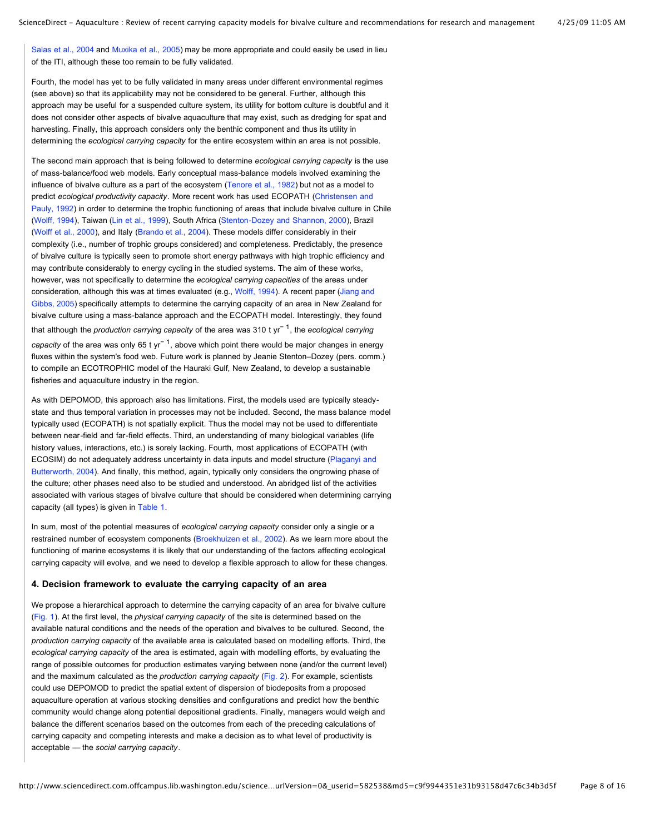[Salas et al., 2004](http://www.sciencedirect.com.offcampus.lib.washington.edu/science?_ob=ArticleURL&_udi=B6T4D-4KBD4SR-1&_user=582538&_coverDate=11%2F24%2F2006&_rdoc=2&_fmt=full&_orig=browse&_srch=doc-info(%23toc%234972%232006%23997389997%23636573%23FLA%23display%23Volume)&_cdi=4972&_sort=d&_docanchor=&_ct=42&_acct=C000029718&_version=1&_urlVersion=0&_userid=582538&md5=ec348ff6c6bda0df8f16d67f94ccb216#bib56) and [Muxika et al., 2005](http://www.sciencedirect.com.offcampus.lib.washington.edu/science?_ob=ArticleURL&_udi=B6T4D-4KBD4SR-1&_user=582538&_coverDate=11%2F24%2F2006&_rdoc=2&_fmt=full&_orig=browse&_srch=doc-info(%23toc%234972%232006%23997389997%23636573%23FLA%23display%23Volume)&_cdi=4972&_sort=d&_docanchor=&_ct=42&_acct=C000029718&_version=1&_urlVersion=0&_userid=582538&md5=ec348ff6c6bda0df8f16d67f94ccb216#bib48)) may be more appropriate and could easily be used in lieu of the ITI, although these too remain to be fully validated.

Fourth, the model has yet to be fully validated in many areas under different environmental regimes (see above) so that its applicability may not be considered to be general. Further, although this approach may be useful for a suspended culture system, its utility for bottom culture is doubtful and it does not consider other aspects of bivalve aquaculture that may exist, such as dredging for spat and harvesting. Finally, this approach considers only the benthic component and thus its utility in determining the *ecological carrying capacity* for the entire ecosystem within an area is not possible.

The second main approach that is being followed to determine *ecological carrying capacity* is the use of mass-balance/food web models. Early conceptual mass-balance models involved examining the influence of bivalve culture as a part of the ecosystem ([Tenore et al., 1982](http://www.sciencedirect.com.offcampus.lib.washington.edu/science?_ob=ArticleURL&_udi=B6T4D-4KBD4SR-1&_user=582538&_coverDate=11%2F24%2F2006&_rdoc=2&_fmt=full&_orig=browse&_srch=doc-info(%23toc%234972%232006%23997389997%23636573%23FLA%23display%23Volume)&_cdi=4972&_sort=d&_docanchor=&_ct=42&_acct=C000029718&_version=1&_urlVersion=0&_userid=582538&md5=ec348ff6c6bda0df8f16d67f94ccb216#bib66)) but not as a model to predict *ecological productivity capacity*. More recent work has used ECOPATH (Christensen and [Pauly, 1992\) in order to determine the trophic functioning of areas that include bivalve culture in C](http://www.sciencedirect.com.offcampus.lib.washington.edu/science?_ob=ArticleURL&_udi=B6T4D-4KBD4SR-1&_user=582538&_coverDate=11%2F24%2F2006&_rdoc=2&_fmt=full&_orig=browse&_srch=doc-info(%23toc%234972%232006%23997389997%23636573%23FLA%23display%23Volume)&_cdi=4972&_sort=d&_docanchor=&_ct=42&_acct=C000029718&_version=1&_urlVersion=0&_userid=582538&md5=ec348ff6c6bda0df8f16d67f94ccb216#bib15)hile [\(Wolff, 1994\)](http://www.sciencedirect.com.offcampus.lib.washington.edu/science?_ob=ArticleURL&_udi=B6T4D-4KBD4SR-1&_user=582538&_coverDate=11%2F24%2F2006&_rdoc=2&_fmt=full&_orig=browse&_srch=doc-info(%23toc%234972%232006%23997389997%23636573%23FLA%23display%23Volume)&_cdi=4972&_sort=d&_docanchor=&_ct=42&_acct=C000029718&_version=1&_urlVersion=0&_userid=582538&md5=ec348ff6c6bda0df8f16d67f94ccb216#bib71), Taiwan [\(Lin et al., 1999](http://www.sciencedirect.com.offcampus.lib.washington.edu/science?_ob=ArticleURL&_udi=B6T4D-4KBD4SR-1&_user=582538&_coverDate=11%2F24%2F2006&_rdoc=2&_fmt=full&_orig=browse&_srch=doc-info(%23toc%234972%232006%23997389997%23636573%23FLA%23display%23Volume)&_cdi=4972&_sort=d&_docanchor=&_ct=42&_acct=C000029718&_version=1&_urlVersion=0&_userid=582538&md5=ec348ff6c6bda0df8f16d67f94ccb216#bib41)), South Africa [\(Stenton-Dozey and Shannon, 2000](http://www.sciencedirect.com.offcampus.lib.washington.edu/science?_ob=ArticleURL&_udi=B6T4D-4KBD4SR-1&_user=582538&_coverDate=11%2F24%2F2006&_rdoc=2&_fmt=full&_orig=browse&_srch=doc-info(%23toc%234972%232006%23997389997%23636573%23FLA%23display%23Volume)&_cdi=4972&_sort=d&_docanchor=&_ct=42&_acct=C000029718&_version=1&_urlVersion=0&_userid=582538&md5=ec348ff6c6bda0df8f16d67f94ccb216#bib63)), Brazil [\(Wolff et al., 2000](http://www.sciencedirect.com.offcampus.lib.washington.edu/science?_ob=ArticleURL&_udi=B6T4D-4KBD4SR-1&_user=582538&_coverDate=11%2F24%2F2006&_rdoc=2&_fmt=full&_orig=browse&_srch=doc-info(%23toc%234972%232006%23997389997%23636573%23FLA%23display%23Volume)&_cdi=4972&_sort=d&_docanchor=&_ct=42&_acct=C000029718&_version=1&_urlVersion=0&_userid=582538&md5=ec348ff6c6bda0df8f16d67f94ccb216#bib72)), and Italy ([Brando et al., 2004\)](http://www.sciencedirect.com.offcampus.lib.washington.edu/science?_ob=ArticleURL&_udi=B6T4D-4KBD4SR-1&_user=582538&_coverDate=11%2F24%2F2006&_rdoc=2&_fmt=full&_orig=browse&_srch=doc-info(%23toc%234972%232006%23997389997%23636573%23FLA%23display%23Volume)&_cdi=4972&_sort=d&_docanchor=&_ct=42&_acct=C000029718&_version=1&_urlVersion=0&_userid=582538&md5=ec348ff6c6bda0df8f16d67f94ccb216#bib6). These models differ considerably in their complexity (i.e., number of trophic groups considered) and completeness. Predictably, the presence of bivalve culture is typically seen to promote short energy pathways with high trophic efficiency and may contribute considerably to energy cycling in the studied systems. The aim of these works, however, was not specifically to determine the *ecological carrying capacities* of the areas under consideration, although this was at times evaluated (e.g., [Wolff, 1994](http://www.sciencedirect.com.offcampus.lib.washington.edu/science?_ob=ArticleURL&_udi=B6T4D-4KBD4SR-1&_user=582538&_coverDate=11%2F24%2F2006&_rdoc=2&_fmt=full&_orig=browse&_srch=doc-info(%23toc%234972%232006%23997389997%23636573%23FLA%23display%23Volume)&_cdi=4972&_sort=d&_docanchor=&_ct=42&_acct=C000029718&_version=1&_urlVersion=0&_userid=582538&md5=ec348ff6c6bda0df8f16d67f94ccb216#bib71)). A recent paper (Jiang and [Gibbs, 2005\) specifically attempts to determine the carrying capacity of an area in New Zealand fo](http://www.sciencedirect.com.offcampus.lib.washington.edu/science?_ob=ArticleURL&_udi=B6T4D-4KBD4SR-1&_user=582538&_coverDate=11%2F24%2F2006&_rdoc=2&_fmt=full&_orig=browse&_srch=doc-info(%23toc%234972%232006%23997389997%23636573%23FLA%23display%23Volume)&_cdi=4972&_sort=d&_docanchor=&_ct=42&_acct=C000029718&_version=1&_urlVersion=0&_userid=582538&md5=ec348ff6c6bda0df8f16d67f94ccb216#bib37)r bivalve culture using a mass-balance approach and the ECOPATH model. Interestingly, they found that although the *production carrying capacity* of the area was 310 t yr<sup>−</sup> 1, the *ecological carrying capacity* of the area was only 65 t yr<sup>−1</sup>, above which point there would be major changes in energy fluxes within the system's food web. Future work is planned by Jeanie Stenton–Dozey (pers. comm.) to compile an ECOTROPHIC model of the Hauraki Gulf, New Zealand, to develop a sustainable fisheries and aquaculture industry in the region.

As with DEPOMOD, this approach also has limitations. First, the models used are typically steadystate and thus temporal variation in processes may not be included. Second, the mass balance model typically used (ECOPATH) is not spatially explicit. Thus the model may not be used to differentiate between near-field and far-field effects. Third, an understanding of many biological variables (life history values, interactions, etc.) is sorely lacking. Fourth, most applications of ECOPATH (with ECOSIM) do not adequately address uncertainty in data inputs and model structure (Plaganyi and [Butterworth, 2004\). And finally, this method, again, typically only considers the ongrowing phase of](http://www.sciencedirect.com.offcampus.lib.washington.edu/science?_ob=ArticleURL&_udi=B6T4D-4KBD4SR-1&_user=582538&_coverDate=11%2F24%2F2006&_rdoc=2&_fmt=full&_orig=browse&_srch=doc-info(%23toc%234972%232006%23997389997%23636573%23FLA%23display%23Volume)&_cdi=4972&_sort=d&_docanchor=&_ct=42&_acct=C000029718&_version=1&_urlVersion=0&_userid=582538&md5=ec348ff6c6bda0df8f16d67f94ccb216#bib54) the culture; other phases need also to be studied and understood. An abridged list of the activities associated with various stages of bivalve culture that should be considered when determining carrying capacity (all types) is given in [Table 1.](http://www.sciencedirect.com.offcampus.lib.washington.edu/science?_ob=ArticleURL&_udi=B6T4D-4KBD4SR-1&_user=582538&_coverDate=11%2F24%2F2006&_rdoc=2&_fmt=full&_orig=browse&_srch=doc-info(%23toc%234972%232006%23997389997%23636573%23FLA%23display%23Volume)&_cdi=4972&_sort=d&_docanchor=&_ct=42&_acct=C000029718&_version=1&_urlVersion=0&_userid=582538&md5=ec348ff6c6bda0df8f16d67f94ccb216#tbl1)

In sum, most of the potential measures of *ecological carrying capacity* consider only a single or a restrained number of ecosystem components [\(Broekhuizen et al., 2002](http://www.sciencedirect.com.offcampus.lib.washington.edu/science?_ob=ArticleURL&_udi=B6T4D-4KBD4SR-1&_user=582538&_coverDate=11%2F24%2F2006&_rdoc=2&_fmt=full&_orig=browse&_srch=doc-info(%23toc%234972%232006%23997389997%23636573%23FLA%23display%23Volume)&_cdi=4972&_sort=d&_docanchor=&_ct=42&_acct=C000029718&_version=1&_urlVersion=0&_userid=582538&md5=ec348ff6c6bda0df8f16d67f94ccb216#bib7)). As we learn more about the functioning of marine ecosystems it is likely that our understanding of the factors affecting ecological carrying capacity will evolve, and we need to develop a flexible approach to allow for these changes.

## **4. Decision framework to evaluate the carrying capacity of an area**

We propose a hierarchical approach to determine the carrying capacity of an area for bivalve culture [\(Fig. 1\)](http://www.sciencedirect.com.offcampus.lib.washington.edu/science?_ob=ArticleURL&_udi=B6T4D-4KBD4SR-1&_user=582538&_coverDate=11%2F24%2F2006&_rdoc=2&_fmt=full&_orig=browse&_srch=doc-info(%23toc%234972%232006%23997389997%23636573%23FLA%23display%23Volume)&_cdi=4972&_sort=d&_docanchor=&_ct=42&_acct=C000029718&_version=1&_urlVersion=0&_userid=582538&md5=ec348ff6c6bda0df8f16d67f94ccb216#fig1). At the first level, the *physical carrying capacity* of the site is determined based on the available natural conditions and the needs of the operation and bivalves to be cultured. Second, the *production carrying capacity* of the available area is calculated based on modelling efforts. Third, the *ecological carrying capacity* of the area is estimated, again with modelling efforts, by evaluating the range of possible outcomes for production estimates varying between none (and/or the current level) and the maximum calculated as the *production carrying capacity* ([Fig. 2](http://www.sciencedirect.com.offcampus.lib.washington.edu/science?_ob=ArticleURL&_udi=B6T4D-4KBD4SR-1&_user=582538&_coverDate=11%2F24%2F2006&_rdoc=2&_fmt=full&_orig=browse&_srch=doc-info(%23toc%234972%232006%23997389997%23636573%23FLA%23display%23Volume)&_cdi=4972&_sort=d&_docanchor=&_ct=42&_acct=C000029718&_version=1&_urlVersion=0&_userid=582538&md5=ec348ff6c6bda0df8f16d67f94ccb216#fig2)). For example, scientists could use DEPOMOD to predict the spatial extent of dispersion of biodeposits from a proposed aquaculture operation at various stocking densities and configurations and predict how the benthic community would change along potential depositional gradients. Finally, managers would weigh and balance the different scenarios based on the outcomes from each of the preceding calculations of carrying capacity and competing interests and make a decision as to what level of productivity is acceptable — the *social carrying capacity*.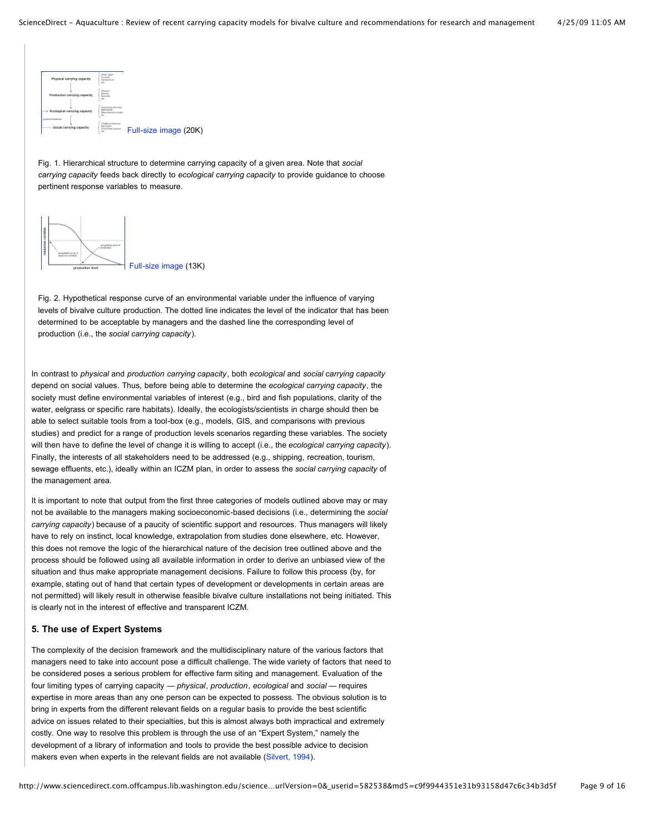

Fig. 1. Hierarchical structure to determine carrying capacity of a given area. Note that *social carrying capacity* feeds back directly to *ecological carrying capacity* to provide guidance to choose pertinent response variables to measure.



Fig. 2. Hypothetical response curve of an environmental variable under the influence of varying levels of bivalve culture production. The dotted line indicates the level of the indicator that has been determined to be acceptable by managers and the dashed line the corresponding level of production (i.e., the *social carrying capacity*).

In contrast to *physical* and *production carrying capacity*, both *ecological* and *social carrying capacity* depend on social values. Thus, before being able to determine the *ecological carrying capacity*, the society must define environmental variables of interest (e.g., bird and fish populations, clarity of the water, eelgrass or specific rare habitats). Ideally, the ecologists/scientists in charge should then be able to select suitable tools from a tool-box (e.g., models, GIS, and comparisons with previous studies) and predict for a range of production levels scenarios regarding these variables. The society will then have to define the level of change it is willing to accept (i.e., the *ecological carrying capacity*). Finally, the interests of all stakeholders need to be addressed (e.g., shipping, recreation, tourism, sewage effluents, etc.), ideally within an ICZM plan, in order to assess the *social carrying capacity* of the management area.

It is important to note that output from the first three categories of models outlined above may or may not be available to the managers making socioeconomic-based decisions (i.e., determining the *social carrying capacity*) because of a paucity of scientific support and resources. Thus managers will likely have to rely on instinct, local knowledge, extrapolation from studies done elsewhere, etc. However, this does not remove the logic of the hierarchical nature of the decision tree outlined above and the process should be followed using all available information in order to derive an unbiased view of the situation and thus make appropriate management decisions. Failure to follow this process (by, for example, stating out of hand that certain types of development or developments in certain areas are not permitted) will likely result in otherwise feasible bivalve culture installations not being initiated. This is clearly not in the interest of effective and transparent ICZM.

#### **5. The use of Expert Systems**

The complexity of the decision framework and the multidisciplinary nature of the various factors that managers need to take into account pose a difficult challenge. The wide variety of factors that need to be considered poses a serious problem for effective farm siting and management. Evaluation of the four limiting types of carrying capacity — *physical*, *production*, *ecological* and *social* — requires expertise in more areas than any one person can be expected to possess. The obvious solution is to bring in experts from the different relevant fields on a regular basis to provide the best scientific advice on issues related to their specialties, but this is almost always both impractical and extremely costly. One way to resolve this problem is through the use of an "Expert System," namely the development of a library of information and tools to provide the best possible advice to decision makers even when experts in the relevant fields are not available ([Silvert, 1994\)](http://www.sciencedirect.com.offcampus.lib.washington.edu/science?_ob=ArticleURL&_udi=B6T4D-4KBD4SR-1&_user=582538&_coverDate=11%2F24%2F2006&_rdoc=2&_fmt=full&_orig=browse&_srch=doc-info(%23toc%234972%232006%23997389997%23636573%23FLA%23display%23Volume)&_cdi=4972&_sort=d&_docanchor=&_ct=42&_acct=C000029718&_version=1&_urlVersion=0&_userid=582538&md5=ec348ff6c6bda0df8f16d67f94ccb216#bib58).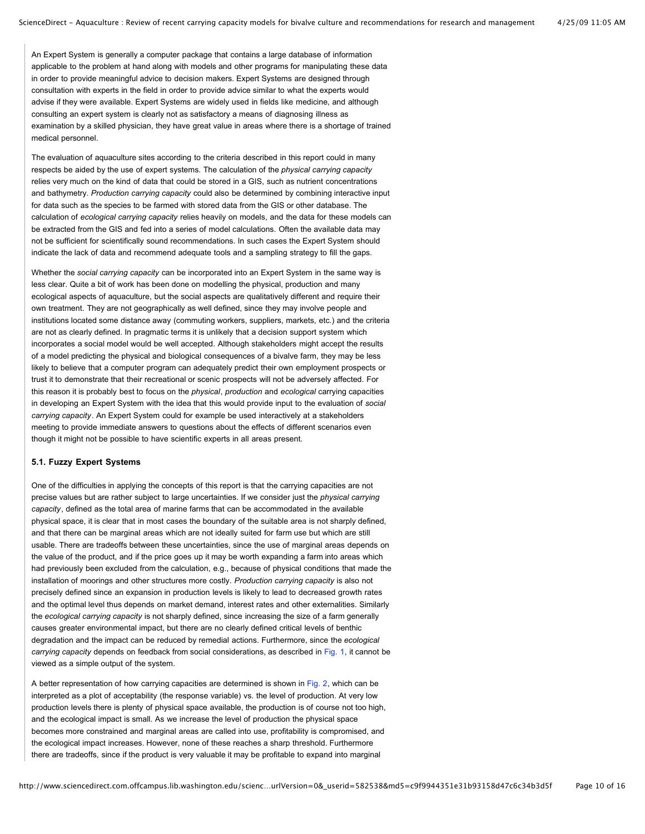An Expert System is generally a computer package that contains a large database of information applicable to the problem at hand along with models and other programs for manipulating these data in order to provide meaningful advice to decision makers. Expert Systems are designed through consultation with experts in the field in order to provide advice similar to what the experts would advise if they were available. Expert Systems are widely used in fields like medicine, and although consulting an expert system is clearly not as satisfactory a means of diagnosing illness as examination by a skilled physician, they have great value in areas where there is a shortage of trained medical personnel.

The evaluation of aquaculture sites according to the criteria described in this report could in many respects be aided by the use of expert systems. The calculation of the *physical carrying capacity* relies very much on the kind of data that could be stored in a GIS, such as nutrient concentrations and bathymetry. *Production carrying capacity* could also be determined by combining interactive input for data such as the species to be farmed with stored data from the GIS or other database. The calculation of *ecological carrying capacity* relies heavily on models, and the data for these models can be extracted from the GIS and fed into a series of model calculations. Often the available data may not be sufficient for scientifically sound recommendations. In such cases the Expert System should indicate the lack of data and recommend adequate tools and a sampling strategy to fill the gaps.

Whether the *social carrying capacity* can be incorporated into an Expert System in the same way is less clear. Quite a bit of work has been done on modelling the physical, production and many ecological aspects of aquaculture, but the social aspects are qualitatively different and require their own treatment. They are not geographically as well defined, since they may involve people and institutions located some distance away (commuting workers, suppliers, markets, etc.) and the criteria are not as clearly defined. In pragmatic terms it is unlikely that a decision support system which incorporates a social model would be well accepted. Although stakeholders might accept the results of a model predicting the physical and biological consequences of a bivalve farm, they may be less likely to believe that a computer program can adequately predict their own employment prospects or trust it to demonstrate that their recreational or scenic prospects will not be adversely affected. For this reason it is probably best to focus on the *physical*, *production* and *ecological* carrying capacities in developing an Expert System with the idea that this would provide input to the evaluation of *social carrying capacity*. An Expert System could for example be used interactively at a stakeholders meeting to provide immediate answers to questions about the effects of different scenarios even though it might not be possible to have scientific experts in all areas present.

## **5.1. Fuzzy Expert Systems**

One of the difficulties in applying the concepts of this report is that the carrying capacities are not precise values but are rather subject to large uncertainties. If we consider just the *physical carrying capacity*, defined as the total area of marine farms that can be accommodated in the available physical space, it is clear that in most cases the boundary of the suitable area is not sharply defined, and that there can be marginal areas which are not ideally suited for farm use but which are still usable. There are tradeoffs between these uncertainties, since the use of marginal areas depends on the value of the product, and if the price goes up it may be worth expanding a farm into areas which had previously been excluded from the calculation, e.g., because of physical conditions that made the installation of moorings and other structures more costly. *Production carrying capacity* is also not precisely defined since an expansion in production levels is likely to lead to decreased growth rates and the optimal level thus depends on market demand, interest rates and other externalities. Similarly the *ecological carrying capacity* is not sharply defined, since increasing the size of a farm generally causes greater environmental impact, but there are no clearly defined critical levels of benthic degradation and the impact can be reduced by remedial actions. Furthermore, since the *ecological carrying capacity* depends on feedback from social considerations, as described in [Fig. 1](http://www.sciencedirect.com.offcampus.lib.washington.edu/science?_ob=ArticleURL&_udi=B6T4D-4KBD4SR-1&_user=582538&_coverDate=11%2F24%2F2006&_rdoc=2&_fmt=full&_orig=browse&_srch=doc-info(%23toc%234972%232006%23997389997%23636573%23FLA%23display%23Volume)&_cdi=4972&_sort=d&_docanchor=&_ct=42&_acct=C000029718&_version=1&_urlVersion=0&_userid=582538&md5=ec348ff6c6bda0df8f16d67f94ccb216#fig1), it cannot be viewed as a simple output of the system.

A better representation of how carrying capacities are determined is shown in [Fig. 2](http://www.sciencedirect.com.offcampus.lib.washington.edu/science?_ob=ArticleURL&_udi=B6T4D-4KBD4SR-1&_user=582538&_coverDate=11%2F24%2F2006&_rdoc=2&_fmt=full&_orig=browse&_srch=doc-info(%23toc%234972%232006%23997389997%23636573%23FLA%23display%23Volume)&_cdi=4972&_sort=d&_docanchor=&_ct=42&_acct=C000029718&_version=1&_urlVersion=0&_userid=582538&md5=ec348ff6c6bda0df8f16d67f94ccb216#fig2), which can be interpreted as a plot of acceptability (the response variable) vs. the level of production. At very low production levels there is plenty of physical space available, the production is of course not too high, and the ecological impact is small. As we increase the level of production the physical space becomes more constrained and marginal areas are called into use, profitability is compromised, and the ecological impact increases. However, none of these reaches a sharp threshold. Furthermore there are tradeoffs, since if the product is very valuable it may be profitable to expand into marginal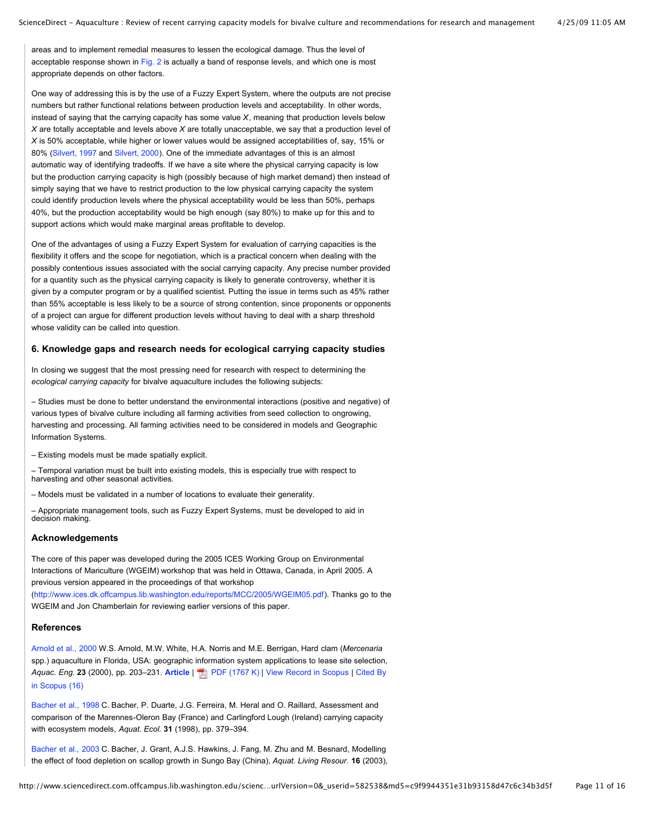areas and to implement remedial measures to lessen the ecological damage. Thus the level of acceptable response shown in [Fig. 2](http://www.sciencedirect.com.offcampus.lib.washington.edu/science?_ob=ArticleURL&_udi=B6T4D-4KBD4SR-1&_user=582538&_coverDate=11%2F24%2F2006&_rdoc=2&_fmt=full&_orig=browse&_srch=doc-info(%23toc%234972%232006%23997389997%23636573%23FLA%23display%23Volume)&_cdi=4972&_sort=d&_docanchor=&_ct=42&_acct=C000029718&_version=1&_urlVersion=0&_userid=582538&md5=ec348ff6c6bda0df8f16d67f94ccb216#fig2) is actually a band of response levels, and which one is most appropriate depends on other factors.

One way of addressing this is by the use of a Fuzzy Expert System, where the outputs are not precise numbers but rather functional relations between production levels and acceptability. In other words, instead of saying that the carrying capacity has some value *X*, meaning that production levels below *X* are totally acceptable and levels above *X* are totally unacceptable, we say that a production level of *X* is 50% acceptable, while higher or lower values would be assigned acceptabilities of, say, 15% or 80% [\(Silvert, 1997](http://www.sciencedirect.com.offcampus.lib.washington.edu/science?_ob=ArticleURL&_udi=B6T4D-4KBD4SR-1&_user=582538&_coverDate=11%2F24%2F2006&_rdoc=2&_fmt=full&_orig=browse&_srch=doc-info(%23toc%234972%232006%23997389997%23636573%23FLA%23display%23Volume)&_cdi=4972&_sort=d&_docanchor=&_ct=42&_acct=C000029718&_version=1&_urlVersion=0&_userid=582538&md5=ec348ff6c6bda0df8f16d67f94ccb216#bib59) and [Silvert, 2000](http://www.sciencedirect.com.offcampus.lib.washington.edu/science?_ob=ArticleURL&_udi=B6T4D-4KBD4SR-1&_user=582538&_coverDate=11%2F24%2F2006&_rdoc=2&_fmt=full&_orig=browse&_srch=doc-info(%23toc%234972%232006%23997389997%23636573%23FLA%23display%23Volume)&_cdi=4972&_sort=d&_docanchor=&_ct=42&_acct=C000029718&_version=1&_urlVersion=0&_userid=582538&md5=ec348ff6c6bda0df8f16d67f94ccb216#bib60)). One of the immediate advantages of this is an almost automatic way of identifying tradeoffs. If we have a site where the physical carrying capacity is low but the production carrying capacity is high (possibly because of high market demand) then instead of simply saying that we have to restrict production to the low physical carrying capacity the system could identify production levels where the physical acceptability would be less than 50%, perhaps 40%, but the production acceptability would be high enough (say 80%) to make up for this and to support actions which would make marginal areas profitable to develop.

One of the advantages of using a Fuzzy Expert System for evaluation of carrying capacities is the flexibility it offers and the scope for negotiation, which is a practical concern when dealing with the possibly contentious issues associated with the social carrying capacity. Any precise number provided for a quantity such as the physical carrying capacity is likely to generate controversy, whether it is given by a computer program or by a qualified scientist. Putting the issue in terms such as 45% rather than 55% acceptable is less likely to be a source of strong contention, since proponents or opponents of a project can argue for different production levels without having to deal with a sharp threshold whose validity can be called into question.

#### **6. Knowledge gaps and research needs for ecological carrying capacity studies**

In closing we suggest that the most pressing need for research with respect to determining the *ecological carrying capacity* for bivalve aquaculture includes the following subjects:

– Studies must be done to better understand the environmental interactions (positive and negative) of various types of bivalve culture including all farming activities from seed collection to ongrowing, harvesting and processing. All farming activities need to be considered in models and Geographic Information Systems.

– Existing models must be made spatially explicit.

– Temporal variation must be built into existing models, this is especially true with respect to harvesting and other seasonal activities.

– Models must be validated in a number of locations to evaluate their generality.

– Appropriate management tools, such as Fuzzy Expert Systems, must be developed to aid in decision making.

# **Acknowledgements**

The core of this paper was developed during the 2005 ICES Working Group on Environmental Interactions of Mariculture (WGEIM) workshop that was held in Ottawa, Canada, in April 2005. A previous version appeared in the proceedings of that workshop

[\(http://www.ices.dk.offcampus.lib.washington.edu/reports/MCC/2005/WGEIM05.pdf\)](http://www.sciencedirect.com.offcampus.lib.washington.edu/science?_ob=RedirectURL&_method=externObjLink&_locator=url&_cdi=4972&_plusSign=%2B&_targetURL=http%253A%252F%252Fwww.ices.dk%252Freports%252FMCC%252F2005%252FWGEIM05.pdf). Thanks go to the WGEIM and Jon Chamberlain for reviewing earlier versions of this paper.

# **References**

[Arnold et al., 2000](http://www.sciencedirect.com.offcampus.lib.washington.edu/science?_ob=ArticleURL&_udi=B6T4D-4KBD4SR-1&_user=582538&_coverDate=11%2F24%2F2006&_rdoc=2&_fmt=high&_orig=browse&_srch=doc-info(%23toc%234972%232006%23997389997%23636573%23FLA%23display%23Volume)&_cdi=4972&_sort=d&_docanchor=&_ct=42&_acct=C000029718&_version=1&_urlVersion=0&_userid=582538&md5=c9f9944351e31b93158d47c6c34b3d5f#bbib1) W.S. Arnold, M.W. White, H.A. Norris and M.E. Berrigan, Hard clam (*Mercenaria* spp.) aquaculture in Florida, USA: geographic information system applications to lease site selection, *Aquac. Eng.* **23** (2000), pp. 203–231. **[Article](http://www.sciencedirect.com.offcampus.lib.washington.edu/science?_ob=ArticleURL&_udi=B6T4C-40WMPVY-B&_user=582538&_coverDate=09%2F30%2F2000&_fmt=full&_orig=browse&_cdi=4971&view=c&_acct=C000029718&_version=1&_urlVersion=0&_userid=582538&md5=c831736408d30def413b5394696fbadf&ref=full)** | [PDF \(1767 K\)](http://www.sciencedirect.com.offcampus.lib.washington.edu/science?_ob=MiamiImageURL&_imagekey=B6T4C-40WMPVY-B-13&_cdi=4971&_user=582538&_check=y&_orig=browse&_coverDate=09%2F30%2F2000&view=c&wchp=dGLbVtz-zSkzk&md5=bd8202bd0702ad1ee26879195ad90466&ie=/sdarticle.pdf) [| V](http://www.sciencedirect.com.offcampus.lib.washington.edu/science?_ob=RedirectURL&_method=outwardLink&_partnerName=656&_targetURL=http%3A%2F%2Fwww.scopus.com%2Fscopus%2Finward%2Fcitedby.url%3Feid%3D2-s2.0-0033880704%26partnerID%3D10%26rel%3DR3.0.0%26md5%3Dea6dbff1d1681a6ce2b629a428d4abb1&_acct=C000029718&_version=1&_userid=582538&md5=1d7e609bcbb1754f654c827e1a2e8120)[iew Record in Scopus](http://www.sciencedirect.com.offcampus.lib.washington.edu/science?_ob=RedirectURL&_method=outwardLink&_partnerName=655&_targetURL=http%3A%2F%2Fwww.scopus.com%2Fscopus%2Finward%2Frecord.url%3Feid%3D2-s2.0-0033880704%26partnerID%3D10%26rel%3DR3.0.0%26md5%3Dea6dbff1d1681a6ce2b629a428d4abb1&_acct=C000029718&_version=1&_userid=582538&md5=85041416a011dbb988a3aa8ad162f703) [| Cited By](http://www.sciencedirect.com.offcampus.lib.washington.edu/science?_ob=RedirectURL&_method=outwardLink&_partnerName=656&_targetURL=http%3A%2F%2Fwww.scopus.com%2Fscopus%2Finward%2Fcitedby.url%3Feid%3D2-s2.0-0033880704%26partnerID%3D10%26rel%3DR3.0.0%26md5%3Dea6dbff1d1681a6ce2b629a428d4abb1&_acct=C000029718&_version=1&_userid=582538&md5=1d7e609bcbb1754f654c827e1a2e8120) in Scopus (16)

[Bacher et al., 1998](http://www.sciencedirect.com.offcampus.lib.washington.edu/science?_ob=ArticleURL&_udi=B6T4D-4KBD4SR-1&_user=582538&_coverDate=11%2F24%2F2006&_rdoc=2&_fmt=high&_orig=browse&_srch=doc-info(%23toc%234972%232006%23997389997%23636573%23FLA%23display%23Volume)&_cdi=4972&_sort=d&_docanchor=&_ct=42&_acct=C000029718&_version=1&_urlVersion=0&_userid=582538&md5=c9f9944351e31b93158d47c6c34b3d5f#bbib2) C. Bacher, P. Duarte, J.G. Ferreira, M. Heral and O. Raillard, Assessment and comparison of the Marennes-Oleron Bay (France) and Carlingford Lough (Ireland) carrying capacity with ecosystem models, *Aquat. Ecol.* **31** (1998), pp. 379–394.

[Bacher et al., 2003](http://www.sciencedirect.com.offcampus.lib.washington.edu/science?_ob=ArticleURL&_udi=B6T4D-4KBD4SR-1&_user=582538&_coverDate=11%2F24%2F2006&_rdoc=2&_fmt=high&_orig=browse&_srch=doc-info(%23toc%234972%232006%23997389997%23636573%23FLA%23display%23Volume)&_cdi=4972&_sort=d&_docanchor=&_ct=42&_acct=C000029718&_version=1&_urlVersion=0&_userid=582538&md5=c9f9944351e31b93158d47c6c34b3d5f#bbib3) C. Bacher, J. Grant, A.J.S. Hawkins, J. Fang, M. Zhu and M. Besnard, Modelling the effect of food depletion on scallop growth in Sungo Bay (China), *Aquat. Living Resour.* **16** (2003),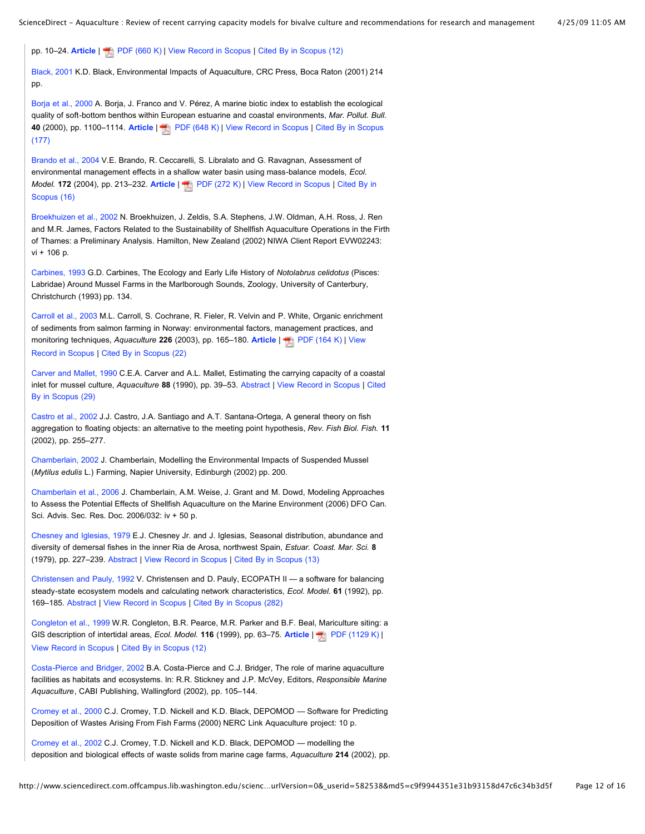pp. 10–24. [Article](http://www.sciencedirect.com.offcampus.lib.washington.edu/science?_ob=ArticleURL&_udi=B6VRH-48GDDMG-2&_user=582538&_coverDate=01%2F01%2F2003&_fmt=full&_orig=browse&_cdi=6235&view=c&_acct=C000029718&_version=1&_urlVersion=0&_userid=582538&md5=1a265c025c6e7e3cecfb155222ed78f1&ref=full) | <sub>| A</sub> [PDF \(660 K\)](http://www.sciencedirect.com.offcampus.lib.washington.edu/science?_ob=MiamiImageURL&_imagekey=B6VRH-48GDDMG-2-1T&_cdi=6235&_user=582538&_check=y&_orig=browse&_coverDate=01%2F01%2F2003&view=c&wchp=dGLbVtz-zSkzk&md5=7d5edac97a1b50c2d593a3b973623f93&ie=/sdarticle.pdf) | [View Record in Scopus](http://www.sciencedirect.com.offcampus.lib.washington.edu/science?_ob=RedirectURL&_method=outwardLink&_partnerName=655&_targetURL=http%3A%2F%2Fwww.scopus.com%2Fscopus%2Finward%2Frecord.url%3Feid%3D2-s2.0-0038025917%26partnerID%3D10%26rel%3DR3.0.0%26md5%3D5bd40298308f2d0c130d06c7c308be8d&_acct=C000029718&_version=1&_userid=582538&md5=eace2ab635392b995586166288876b36) | [Cited By in Scopus \(12\)](http://www.sciencedirect.com.offcampus.lib.washington.edu/science?_ob=RedirectURL&_method=outwardLink&_partnerName=656&_targetURL=http%3A%2F%2Fwww.scopus.com%2Fscopus%2Finward%2Fcitedby.url%3Feid%3D2-s2.0-0038025917%26partnerID%3D10%26rel%3DR3.0.0%26md5%3D5bd40298308f2d0c130d06c7c308be8d&_acct=C000029718&_version=1&_userid=582538&md5=8737b79693d719b6b1955b57adb28f34)

[Black, 2001](http://www.sciencedirect.com.offcampus.lib.washington.edu/science?_ob=ArticleURL&_udi=B6T4D-4KBD4SR-1&_user=582538&_coverDate=11%2F24%2F2006&_rdoc=2&_fmt=high&_orig=browse&_srch=doc-info(%23toc%234972%232006%23997389997%23636573%23FLA%23display%23Volume)&_cdi=4972&_sort=d&_docanchor=&_ct=42&_acct=C000029718&_version=1&_urlVersion=0&_userid=582538&md5=c9f9944351e31b93158d47c6c34b3d5f#bbib4) K.D. Black, Environmental Impacts of Aquaculture, CRC Press, Boca Raton (2001) 214 pp.

[Borja et al., 2000](http://www.sciencedirect.com.offcampus.lib.washington.edu/science?_ob=ArticleURL&_udi=B6T4D-4KBD4SR-1&_user=582538&_coverDate=11%2F24%2F2006&_rdoc=2&_fmt=high&_orig=browse&_srch=doc-info(%23toc%234972%232006%23997389997%23636573%23FLA%23display%23Volume)&_cdi=4972&_sort=d&_docanchor=&_ct=42&_acct=C000029718&_version=1&_urlVersion=0&_userid=582538&md5=c9f9944351e31b93158d47c6c34b3d5f#bbib5) A. Borja, J. Franco and V. Pérez, A marine biotic index to establish the ecological quality of soft-bottom benthos within European estuarine and coastal environments, *Mar. Pollut. Bull.* **40** (2000), pp. 1100–1114. **[Article](http://www.sciencedirect.com.offcampus.lib.washington.edu/science?_ob=ArticleURL&_udi=B6V6N-41WJY0N-6&_user=582538&_coverDate=12%2F31%2F2000&_fmt=full&_orig=browse&_cdi=5819&view=c&_acct=C000029718&_version=1&_urlVersion=0&_userid=582538&md5=8fbea4916ffc50aaea89add437fad47a&ref=full)** | [PDF \(648 K\)](http://www.sciencedirect.com.offcampus.lib.washington.edu/science?_ob=MiamiImageURL&_imagekey=B6V6N-41WJY0N-6-7S&_cdi=5819&_user=582538&_check=y&_orig=browse&_coverDate=12%2F31%2F2000&view=c&wchp=dGLbVtz-zSkzk&md5=b4d9a55e9511541f496d9608de7f9502&ie=/sdarticle.pdf) [| View Record in Scopus | Cited By in Scopus](http://www.sciencedirect.com.offcampus.lib.washington.edu/science?_ob=RedirectURL&_method=outwardLink&_partnerName=656&_targetURL=http%3A%2F%2Fwww.scopus.com%2Fscopus%2Finward%2Fcitedby.url%3Feid%3D2-s2.0-0033653764%26partnerID%3D10%26rel%3DR3.0.0%26md5%3D09f9293400887b73e9850a4a572d0ab2&_acct=C000029718&_version=1&_userid=582538&md5=b6463681bc66829b13a1298b72d86003) (177)

[Brando et al., 2004](http://www.sciencedirect.com.offcampus.lib.washington.edu/science?_ob=ArticleURL&_udi=B6T4D-4KBD4SR-1&_user=582538&_coverDate=11%2F24%2F2006&_rdoc=2&_fmt=high&_orig=browse&_srch=doc-info(%23toc%234972%232006%23997389997%23636573%23FLA%23display%23Volume)&_cdi=4972&_sort=d&_docanchor=&_ct=42&_acct=C000029718&_version=1&_urlVersion=0&_userid=582538&md5=c9f9944351e31b93158d47c6c34b3d5f#bbib6) V.E. Brando, R. Ceccarelli, S. Libralato and G. Ravagnan, Assessment of environmental management effects in a shallow water basin using mass-balance models, *Ecol. Model.* **172** (2004), pp. 213–232. **[Article](http://www.sciencedirect.com.offcampus.lib.washington.edu/science?_ob=ArticleURL&_udi=B6VBS-4B3NMT4-2&_user=582538&_coverDate=03%2F01%2F2004&_fmt=full&_orig=browse&_cdi=5934&view=c&_acct=C000029718&_version=1&_urlVersion=0&_userid=582538&md5=0318a5e077f849fd85cc2c7dd963db26&ref=full)** [|](http://www.sciencedirect.com.offcampus.lib.washington.edu/science?_ob=RedirectURL&_method=outwardLink&_partnerName=656&_targetURL=http%3A%2F%2Fwww.scopus.com%2Fscopus%2Finward%2Fcitedby.url%3Feid%3D2-s2.0-1242343858%26partnerID%3D10%26rel%3DR3.0.0%26md5%3Dbbaad99d80f11df45aabc0116a3555aa&_acct=C000029718&_version=1&_userid=582538&md5=b5035b83643628f6f2da6b0a71a49f4b)  $\mathcal{R}$  [PDF \(272 K\)](http://www.sciencedirect.com.offcampus.lib.washington.edu/science?_ob=MiamiImageURL&_imagekey=B6VBS-4B3NMT4-2-13&_cdi=5934&_user=582538&_check=y&_orig=browse&_coverDate=03%2F01%2F2004&view=c&wchp=dGLbVtz-zSkzk&md5=bd50053b41e3cf92eda5c1dbbdc398e4&ie=/sdarticle.pdf) | [View Record in Scopus](http://www.sciencedirect.com.offcampus.lib.washington.edu/science?_ob=RedirectURL&_method=outwardLink&_partnerName=655&_targetURL=http%3A%2F%2Fwww.scopus.com%2Fscopus%2Finward%2Frecord.url%3Feid%3D2-s2.0-1242343858%26partnerID%3D10%26rel%3DR3.0.0%26md5%3Dbbaad99d80f11df45aabc0116a3555aa&_acct=C000029718&_version=1&_userid=582538&md5=d8595696c2d3d792fab2994c03ee9088) [| Cited By in](http://www.sciencedirect.com.offcampus.lib.washington.edu/science?_ob=RedirectURL&_method=outwardLink&_partnerName=656&_targetURL=http%3A%2F%2Fwww.scopus.com%2Fscopus%2Finward%2Fcitedby.url%3Feid%3D2-s2.0-1242343858%26partnerID%3D10%26rel%3DR3.0.0%26md5%3Dbbaad99d80f11df45aabc0116a3555aa&_acct=C000029718&_version=1&_userid=582538&md5=b5035b83643628f6f2da6b0a71a49f4b) Scopus (16)

[Broekhuizen et al., 2002](http://www.sciencedirect.com.offcampus.lib.washington.edu/science?_ob=ArticleURL&_udi=B6T4D-4KBD4SR-1&_user=582538&_coverDate=11%2F24%2F2006&_rdoc=2&_fmt=high&_orig=browse&_srch=doc-info(%23toc%234972%232006%23997389997%23636573%23FLA%23display%23Volume)&_cdi=4972&_sort=d&_docanchor=&_ct=42&_acct=C000029718&_version=1&_urlVersion=0&_userid=582538&md5=c9f9944351e31b93158d47c6c34b3d5f#bbib7) N. Broekhuizen, J. Zeldis, S.A. Stephens, J.W. Oldman, A.H. Ross, J. Ren and M.R. James, Factors Related to the Sustainability of Shellfish Aquaculture Operations in the Firth of Thames: a Preliminary Analysis. Hamilton, New Zealand (2002) NIWA Client Report EVW02243: vi + 106 p.

[Carbines, 1993](http://www.sciencedirect.com.offcampus.lib.washington.edu/science?_ob=ArticleURL&_udi=B6T4D-4KBD4SR-1&_user=582538&_coverDate=11%2F24%2F2006&_rdoc=2&_fmt=high&_orig=browse&_srch=doc-info(%23toc%234972%232006%23997389997%23636573%23FLA%23display%23Volume)&_cdi=4972&_sort=d&_docanchor=&_ct=42&_acct=C000029718&_version=1&_urlVersion=0&_userid=582538&md5=c9f9944351e31b93158d47c6c34b3d5f#bbib8) G.D. Carbines, The Ecology and Early Life History of *Notolabrus celidotus* (Pisces: Labridae) Around Mussel Farms in the Marlborough Sounds, Zoology, University of Canterbury, Christchurch (1993) pp. 134.

[Carroll et al., 2003](http://www.sciencedirect.com.offcampus.lib.washington.edu/science?_ob=ArticleURL&_udi=B6T4D-4KBD4SR-1&_user=582538&_coverDate=11%2F24%2F2006&_rdoc=2&_fmt=high&_orig=browse&_srch=doc-info(%23toc%234972%232006%23997389997%23636573%23FLA%23display%23Volume)&_cdi=4972&_sort=d&_docanchor=&_ct=42&_acct=C000029718&_version=1&_urlVersion=0&_userid=582538&md5=c9f9944351e31b93158d47c6c34b3d5f#bbib9) M.L. Carroll, S. Cochrane, R. Fieler, R. Velvin and P. White, Organic enrichment of sediments from salmon farming in Norway: environmental factors, management practices, and monitoring techniques, *Aquaculture* **226** (2003), pp. 165–180. **[Article](http://www.sciencedirect.com.offcampus.lib.washington.edu/science?_ob=ArticleURL&_udi=B6T4D-496NMGJ-3&_user=582538&_coverDate=10%2F31%2F2003&_fmt=full&_orig=browse&_cdi=4972&view=c&_acct=C000029718&_version=1&_urlVersion=0&_userid=582538&md5=ead3dd942800316c4d65789d03735d61&ref=full)** | [PDF \(164 K\)](http://www.sciencedirect.com.offcampus.lib.washington.edu/science?_ob=MiamiImageURL&_imagekey=B6T4D-496NMGJ-3-5&_cdi=4972&_user=582538&_check=y&_orig=browse&_coverDate=10%2F31%2F2003&view=c&wchp=dGLbVtz-zSkzk&md5=19c273f85fd858aa4c7a82aba19c843d&ie=/sdarticle.pdf) | View [Record in Scopus | Cited By in Scopus \(22\)](http://www.sciencedirect.com.offcampus.lib.washington.edu/science?_ob=RedirectURL&_method=outwardLink&_partnerName=655&_targetURL=http%3A%2F%2Fwww.scopus.com%2Fscopus%2Finward%2Frecord.url%3Feid%3D2-s2.0-0142116234%26partnerID%3D10%26rel%3DR3.0.0%26md5%3D81d30fb71a5960adf1c14b4cb5a33151&_acct=C000029718&_version=1&_userid=582538&md5=1c60701cf5a8d9091d20b581ad792aeb)

[Carver and Mallet, 1990](http://www.sciencedirect.com.offcampus.lib.washington.edu/science?_ob=ArticleURL&_udi=B6T4D-4KBD4SR-1&_user=582538&_coverDate=11%2F24%2F2006&_rdoc=2&_fmt=high&_orig=browse&_srch=doc-info(%23toc%234972%232006%23997389997%23636573%23FLA%23display%23Volume)&_cdi=4972&_sort=d&_docanchor=&_ct=42&_acct=C000029718&_version=1&_urlVersion=0&_userid=582538&md5=c9f9944351e31b93158d47c6c34b3d5f#bbib10) C.E.A. Carver and A.L. Mallet, Estimating the carrying capacity of a coastal inlet for mussel culture, *Aquaculture* **88** (1990), pp. 39–53. [Abstract](http://www.sciencedirect.com.offcampus.lib.washington.edu/science?_ob=ArticleURL&_udi=B6T4D-49PJ68P-GV&_user=582538&_coverDate=07%2F01%2F1990&_fmt=abstract&_orig=browse&_cdi=4972&view=c&_acct=C000029718&_version=1&_urlVersion=0&_userid=582538&md5=4b72b4f0980f25fc2f70d2fef792cf2f&ref=full) [|](http://www.sciencedirect.com.offcampus.lib.washington.edu/science?_ob=RedirectURL&_method=outwardLink&_partnerName=656&_targetURL=http%3A%2F%2Fwww.scopus.com%2Fscopus%2Finward%2Fcitedby.url%3Feid%3D2-s2.0-0025603313%26partnerID%3D10%26rel%3DR3.0.0%26md5%3D2050f91a4cab577177c6ef0428f143b2&_acct=C000029718&_version=1&_userid=582538&md5=078e91140ead2ee85ce0e70f95d1a3d5) [View Record in Scopus](http://www.sciencedirect.com.offcampus.lib.washington.edu/science?_ob=RedirectURL&_method=outwardLink&_partnerName=655&_targetURL=http%3A%2F%2Fwww.scopus.com%2Fscopus%2Finward%2Frecord.url%3Feid%3D2-s2.0-0025603313%26partnerID%3D10%26rel%3DR3.0.0%26md5%3D2050f91a4cab577177c6ef0428f143b2&_acct=C000029718&_version=1&_userid=582538&md5=94684bd4446cdb920b382715f28224bb) [| Cited](http://www.sciencedirect.com.offcampus.lib.washington.edu/science?_ob=RedirectURL&_method=outwardLink&_partnerName=656&_targetURL=http%3A%2F%2Fwww.scopus.com%2Fscopus%2Finward%2Fcitedby.url%3Feid%3D2-s2.0-0025603313%26partnerID%3D10%26rel%3DR3.0.0%26md5%3D2050f91a4cab577177c6ef0428f143b2&_acct=C000029718&_version=1&_userid=582538&md5=078e91140ead2ee85ce0e70f95d1a3d5) By in Scopus (29)

[Castro et al., 2002](http://www.sciencedirect.com.offcampus.lib.washington.edu/science?_ob=ArticleURL&_udi=B6T4D-4KBD4SR-1&_user=582538&_coverDate=11%2F24%2F2006&_rdoc=2&_fmt=high&_orig=browse&_srch=doc-info(%23toc%234972%232006%23997389997%23636573%23FLA%23display%23Volume)&_cdi=4972&_sort=d&_docanchor=&_ct=42&_acct=C000029718&_version=1&_urlVersion=0&_userid=582538&md5=c9f9944351e31b93158d47c6c34b3d5f#bbib11) J.J. Castro, J.A. Santiago and A.T. Santana-Ortega, A general theory on fish aggregation to floating objects: an alternative to the meeting point hypothesis, *Rev. Fish Biol. Fish.* **11** (2002), pp. 255–277.

[Chamberlain, 2002](http://www.sciencedirect.com.offcampus.lib.washington.edu/science?_ob=ArticleURL&_udi=B6T4D-4KBD4SR-1&_user=582538&_coverDate=11%2F24%2F2006&_rdoc=2&_fmt=high&_orig=browse&_srch=doc-info(%23toc%234972%232006%23997389997%23636573%23FLA%23display%23Volume)&_cdi=4972&_sort=d&_docanchor=&_ct=42&_acct=C000029718&_version=1&_urlVersion=0&_userid=582538&md5=c9f9944351e31b93158d47c6c34b3d5f#bbib12) J. Chamberlain, Modelling the Environmental Impacts of Suspended Mussel (*Mytilus edulis* L.) Farming, Napier University, Edinburgh (2002) pp. 200.

[Chamberlain et al., 2006](http://www.sciencedirect.com.offcampus.lib.washington.edu/science?_ob=ArticleURL&_udi=B6T4D-4KBD4SR-1&_user=582538&_coverDate=11%2F24%2F2006&_rdoc=2&_fmt=high&_orig=browse&_srch=doc-info(%23toc%234972%232006%23997389997%23636573%23FLA%23display%23Volume)&_cdi=4972&_sort=d&_docanchor=&_ct=42&_acct=C000029718&_version=1&_urlVersion=0&_userid=582538&md5=c9f9944351e31b93158d47c6c34b3d5f#bbib13) J. Chamberlain, A.M. Weise, J. Grant and M. Dowd, Modeling Approaches to Assess the Potential Effects of Shellfish Aquaculture on the Marine Environment (2006) DFO Can. Sci. Advis. Sec. Res. Doc. 2006/032: iv + 50 p.

[Chesney and Iglesias, 1979](http://www.sciencedirect.com.offcampus.lib.washington.edu/science?_ob=ArticleURL&_udi=B6T4D-4KBD4SR-1&_user=582538&_coverDate=11%2F24%2F2006&_rdoc=2&_fmt=high&_orig=browse&_srch=doc-info(%23toc%234972%232006%23997389997%23636573%23FLA%23display%23Volume)&_cdi=4972&_sort=d&_docanchor=&_ct=42&_acct=C000029718&_version=1&_urlVersion=0&_userid=582538&md5=c9f9944351e31b93158d47c6c34b3d5f#bbib14) E.J. Chesney Jr. and J. Iglesias, Seasonal distribution, abundance and diversity of demersal fishes in the inner Ria de Arosa, northwest Spain, *Estuar. Coast. Mar. Sci.* **8** (1979), pp. 227–239. [Abstract](http://www.sciencedirect.com.offcampus.lib.washington.edu/science?_ob=ArticleURL&_udi=B7MFJ-4DXBV99-F0&_user=582538&_coverDate=03%2F31%2F1979&_fmt=abstract&_orig=browse&_cdi=23260&view=c&_acct=C000029718&_version=1&_urlVersion=0&_userid=582538&md5=a323c818c5f10d124cee86f0acd56d84&ref=full) | [View Record in Scopus](http://www.sciencedirect.com.offcampus.lib.washington.edu/science?_ob=RedirectURL&_method=outwardLink&_partnerName=655&_targetURL=http%3A%2F%2Fwww.scopus.com%2Fscopus%2Finward%2Frecord.url%3Feid%3D2-s2.0-0001081151%26partnerID%3D10%26rel%3DR3.0.0%26md5%3D9b37489ee133b5a6fca5d935473ab240&_acct=C000029718&_version=1&_userid=582538&md5=14e241f3a48b41ede16bb2dad56fb324) | [Cited By in Scopus \(13\)](http://www.sciencedirect.com.offcampus.lib.washington.edu/science?_ob=RedirectURL&_method=outwardLink&_partnerName=656&_targetURL=http%3A%2F%2Fwww.scopus.com%2Fscopus%2Finward%2Fcitedby.url%3Feid%3D2-s2.0-0001081151%26partnerID%3D10%26rel%3DR3.0.0%26md5%3D9b37489ee133b5a6fca5d935473ab240&_acct=C000029718&_version=1&_userid=582538&md5=9e9f02a241a031c346d795f616c22235)

[Christensen and Pauly, 1992](http://www.sciencedirect.com.offcampus.lib.washington.edu/science?_ob=ArticleURL&_udi=B6T4D-4KBD4SR-1&_user=582538&_coverDate=11%2F24%2F2006&_rdoc=2&_fmt=high&_orig=browse&_srch=doc-info(%23toc%234972%232006%23997389997%23636573%23FLA%23display%23Volume)&_cdi=4972&_sort=d&_docanchor=&_ct=42&_acct=C000029718&_version=1&_urlVersion=0&_userid=582538&md5=c9f9944351e31b93158d47c6c34b3d5f#bbib15) V. Christensen and D. Pauly, ECOPATH II — a software for balancing steady-state ecosystem models and calculating network characteristics, *Ecol. Model.* **61** (1992), pp. 169–185. [Abstract](http://www.sciencedirect.com.offcampus.lib.washington.edu/science?_ob=ArticleURL&_udi=B6VBS-48XDC6B-6H&_user=582538&_coverDate=06%2F30%2F1992&_fmt=abstract&_orig=browse&_cdi=5934&view=c&_acct=C000029718&_version=1&_urlVersion=0&_userid=582538&md5=e2ea4641057c10c4c30108d4e2dedb24&ref=full) | [View Record in Scopus](http://www.sciencedirect.com.offcampus.lib.washington.edu/science?_ob=RedirectURL&_method=outwardLink&_partnerName=655&_targetURL=http%3A%2F%2Fwww.scopus.com%2Fscopus%2Finward%2Frecord.url%3Feid%3D2-s2.0-0027069027%26partnerID%3D10%26rel%3DR3.0.0%26md5%3D0c18cbe08c2e0771a42a009e1065a392&_acct=C000029718&_version=1&_userid=582538&md5=690b42bd6d6f6f3660839a54bcfecda8) | [Cited By in Scopus \(282\)](http://www.sciencedirect.com.offcampus.lib.washington.edu/science?_ob=RedirectURL&_method=outwardLink&_partnerName=656&_targetURL=http%3A%2F%2Fwww.scopus.com%2Fscopus%2Finward%2Fcitedby.url%3Feid%3D2-s2.0-0027069027%26partnerID%3D10%26rel%3DR3.0.0%26md5%3D0c18cbe08c2e0771a42a009e1065a392&_acct=C000029718&_version=1&_userid=582538&md5=efa5b5ba37813458f0ba7d51c36fd8e7)

[Congleton et al., 1999](http://www.sciencedirect.com.offcampus.lib.washington.edu/science?_ob=ArticleURL&_udi=B6T4D-4KBD4SR-1&_user=582538&_coverDate=11%2F24%2F2006&_rdoc=2&_fmt=high&_orig=browse&_srch=doc-info(%23toc%234972%232006%23997389997%23636573%23FLA%23display%23Volume)&_cdi=4972&_sort=d&_docanchor=&_ct=42&_acct=C000029718&_version=1&_urlVersion=0&_userid=582538&md5=c9f9944351e31b93158d47c6c34b3d5f#bbib16) W.R. Congleton, B.R. Pearce, M.R. Parker and B.F. Beal, Mariculture siting: a GIS description of intertidal areas, *Ecol. Model.* **116** (1999), pp. 63–75. **[Article](http://www.sciencedirect.com.offcampus.lib.washington.edu/science?_ob=ArticleURL&_udi=B6VBS-3VTR6SC-5&_user=582538&_coverDate=03%2F01%2F1999&_fmt=full&_orig=browse&_cdi=5934&view=c&_acct=C000029718&_version=1&_urlVersion=0&_userid=582538&md5=cb97977ea492cae26d17a906997ed565&ref=full)** | [PDF \(1129 K\)](http://www.sciencedirect.com.offcampus.lib.washington.edu/science?_ob=MiamiImageURL&_imagekey=B6VBS-3VTR6SC-5-B&_cdi=5934&_user=582538&_check=y&_orig=browse&_coverDate=03%2F01%2F1999&view=c&wchp=dGLbVtz-zSkzk&md5=7b6675ce0c56b0e428a4e33e7915dcfa&ie=/sdarticle.pdf) | [View Record in Scopus](http://www.sciencedirect.com.offcampus.lib.washington.edu/science?_ob=RedirectURL&_method=outwardLink&_partnerName=655&_targetURL=http%3A%2F%2Fwww.scopus.com%2Fscopus%2Finward%2Frecord.url%3Feid%3D2-s2.0-0344573025%26partnerID%3D10%26rel%3DR3.0.0%26md5%3Dcfd2a306a793a232bbb18d0be8b72fa5&_acct=C000029718&_version=1&_userid=582538&md5=2c35f29b98f0f60128ce635b0b4bd1c5) | [Cited By in Scopus \(12\)](http://www.sciencedirect.com.offcampus.lib.washington.edu/science?_ob=RedirectURL&_method=outwardLink&_partnerName=656&_targetURL=http%3A%2F%2Fwww.scopus.com%2Fscopus%2Finward%2Fcitedby.url%3Feid%3D2-s2.0-0344573025%26partnerID%3D10%26rel%3DR3.0.0%26md5%3Dcfd2a306a793a232bbb18d0be8b72fa5&_acct=C000029718&_version=1&_userid=582538&md5=60d1c5d8dcbe90b45beadc2dc5780203)

[Costa-Pierce and Bridger, 2002](http://www.sciencedirect.com.offcampus.lib.washington.edu/science?_ob=ArticleURL&_udi=B6T4D-4KBD4SR-1&_user=582538&_coverDate=11%2F24%2F2006&_rdoc=2&_fmt=high&_orig=browse&_srch=doc-info(%23toc%234972%232006%23997389997%23636573%23FLA%23display%23Volume)&_cdi=4972&_sort=d&_docanchor=&_ct=42&_acct=C000029718&_version=1&_urlVersion=0&_userid=582538&md5=c9f9944351e31b93158d47c6c34b3d5f#bbib17) B.A. Costa-Pierce and C.J. Bridger, The role of marine aquaculture facilities as habitats and ecosystems. In: R.R. Stickney and J.P. McVey, Editors, *Responsible Marine Aquaculture*, CABI Publishing, Wallingford (2002), pp. 105–144.

[Cromey et al., 2000](http://www.sciencedirect.com.offcampus.lib.washington.edu/science?_ob=ArticleURL&_udi=B6T4D-4KBD4SR-1&_user=582538&_coverDate=11%2F24%2F2006&_rdoc=2&_fmt=high&_orig=browse&_srch=doc-info(%23toc%234972%232006%23997389997%23636573%23FLA%23display%23Volume)&_cdi=4972&_sort=d&_docanchor=&_ct=42&_acct=C000029718&_version=1&_urlVersion=0&_userid=582538&md5=c9f9944351e31b93158d47c6c34b3d5f#bbib18) C.J. Cromey, T.D. Nickell and K.D. Black, DEPOMOD — Software for Predicting Deposition of Wastes Arising From Fish Farms (2000) NERC Link Aquaculture project: 10 p.

[Cromey et al., 2002](http://www.sciencedirect.com.offcampus.lib.washington.edu/science?_ob=ArticleURL&_udi=B6T4D-4KBD4SR-1&_user=582538&_coverDate=11%2F24%2F2006&_rdoc=2&_fmt=high&_orig=browse&_srch=doc-info(%23toc%234972%232006%23997389997%23636573%23FLA%23display%23Volume)&_cdi=4972&_sort=d&_docanchor=&_ct=42&_acct=C000029718&_version=1&_urlVersion=0&_userid=582538&md5=c9f9944351e31b93158d47c6c34b3d5f#bbib19) C.J. Cromey, T.D. Nickell and K.D. Black, DEPOMOD — modelling the deposition and biological effects of waste solids from marine cage farms, *Aquaculture* **214** (2002), pp.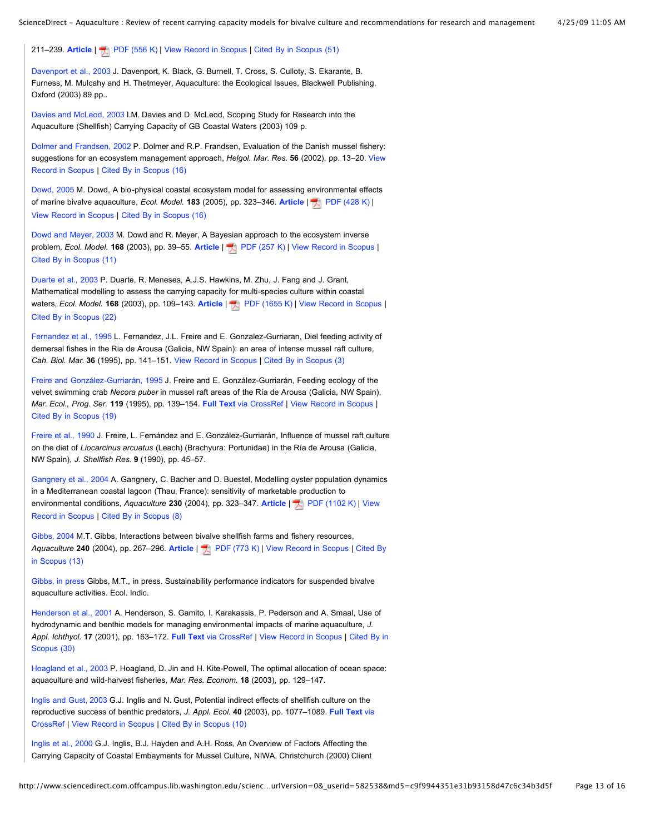ScienceDirect - Aquaculture : Review of recent carrying capacity models for bivalve culture and recommendations for research and management 4/25/09 11:05 AM

211–239. [Article](http://www.sciencedirect.com.offcampus.lib.washington.edu/science?_ob=ArticleURL&_udi=B6T4D-46WKY47-7&_user=582538&_coverDate=11%2F15%2F2002&_fmt=full&_orig=browse&_cdi=4972&view=c&_acct=C000029718&_version=1&_urlVersion=0&_userid=582538&md5=d603f03ca1e0209b04e2b919e0c1b728&ref=full) |  $\mathcal{R}$  [PDF \(556 K\)](http://www.sciencedirect.com.offcampus.lib.washington.edu/science?_ob=MiamiImageURL&_imagekey=B6T4D-46WKY47-7-15&_cdi=4972&_user=582538&_check=y&_orig=browse&_coverDate=11%2F15%2F2002&view=c&wchp=dGLbVtz-zSkzk&md5=ff8cd816785a745b0adf041d36992ed5&ie=/sdarticle.pdf) | [View Record in Scopus](http://www.sciencedirect.com.offcampus.lib.washington.edu/science?_ob=RedirectURL&_method=outwardLink&_partnerName=655&_targetURL=http%3A%2F%2Fwww.scopus.com%2Fscopus%2Finward%2Frecord.url%3Feid%3D2-s2.0-0037111013%26partnerID%3D10%26rel%3DR3.0.0%26md5%3D174adbfe8585781802913d265ced5f96&_acct=C000029718&_version=1&_userid=582538&md5=9b42ae5f5d82aec534d1831e1d547956) | [Cited By in Scopus \(51\)](http://www.sciencedirect.com.offcampus.lib.washington.edu/science?_ob=RedirectURL&_method=outwardLink&_partnerName=656&_targetURL=http%3A%2F%2Fwww.scopus.com%2Fscopus%2Finward%2Fcitedby.url%3Feid%3D2-s2.0-0037111013%26partnerID%3D10%26rel%3DR3.0.0%26md5%3D174adbfe8585781802913d265ced5f96&_acct=C000029718&_version=1&_userid=582538&md5=4cd6b7a5ff46ac9c838973c378b44898)

[Davenport et al., 2003](http://www.sciencedirect.com.offcampus.lib.washington.edu/science?_ob=ArticleURL&_udi=B6T4D-4KBD4SR-1&_user=582538&_coverDate=11%2F24%2F2006&_rdoc=2&_fmt=high&_orig=browse&_srch=doc-info(%23toc%234972%232006%23997389997%23636573%23FLA%23display%23Volume)&_cdi=4972&_sort=d&_docanchor=&_ct=42&_acct=C000029718&_version=1&_urlVersion=0&_userid=582538&md5=c9f9944351e31b93158d47c6c34b3d5f#bbib20) J. Davenport, K. Black, G. Burnell, T. Cross, S. Culloty, S. Ekarante, B. Furness, M. Mulcahy and H. Thetmeyer, Aquaculture: the Ecological Issues, Blackwell Publishing, Oxford (2003) 89 pp..

[Davies and McLeod, 2003](http://www.sciencedirect.com.offcampus.lib.washington.edu/science?_ob=ArticleURL&_udi=B6T4D-4KBD4SR-1&_user=582538&_coverDate=11%2F24%2F2006&_rdoc=2&_fmt=high&_orig=browse&_srch=doc-info(%23toc%234972%232006%23997389997%23636573%23FLA%23display%23Volume)&_cdi=4972&_sort=d&_docanchor=&_ct=42&_acct=C000029718&_version=1&_urlVersion=0&_userid=582538&md5=c9f9944351e31b93158d47c6c34b3d5f#bbib21) I.M. Davies and D. McLeod, Scoping Study for Research into the Aquaculture (Shellfish) Carrying Capacity of GB Coastal Waters (2003) 109 p.

[Dolmer and Frandsen, 2002](http://www.sciencedirect.com.offcampus.lib.washington.edu/science?_ob=ArticleURL&_udi=B6T4D-4KBD4SR-1&_user=582538&_coverDate=11%2F24%2F2006&_rdoc=2&_fmt=high&_orig=browse&_srch=doc-info(%23toc%234972%232006%23997389997%23636573%23FLA%23display%23Volume)&_cdi=4972&_sort=d&_docanchor=&_ct=42&_acct=C000029718&_version=1&_urlVersion=0&_userid=582538&md5=c9f9944351e31b93158d47c6c34b3d5f#bbib22) P. Dolmer and R.P. Frandsen, Evaluation of the Danish mussel fishery: [suggestions for an ecosystem management approach,](http://www.sciencedirect.com.offcampus.lib.washington.edu/science?_ob=RedirectURL&_method=outwardLink&_partnerName=655&_targetURL=http%3A%2F%2Fwww.scopus.com%2Fscopus%2Finward%2Frecord.url%3Feid%3D2-s2.0-0012441861%26partnerID%3D10%26rel%3DR3.0.0%26md5%3D72b474293ee5ad4bc0ab02c79e8525b4&_acct=C000029718&_version=1&_userid=582538&md5=703bae36a245c4383721c3967bf30a96) *Helgol. Mar. Res.* **56** (2002), pp. 13–20. View Record in Scopus | [Cited By in Scopus \(16\)](http://www.sciencedirect.com.offcampus.lib.washington.edu/science?_ob=RedirectURL&_method=outwardLink&_partnerName=656&_targetURL=http%3A%2F%2Fwww.scopus.com%2Fscopus%2Finward%2Fcitedby.url%3Feid%3D2-s2.0-0012441861%26partnerID%3D10%26rel%3DR3.0.0%26md5%3D72b474293ee5ad4bc0ab02c79e8525b4&_acct=C000029718&_version=1&_userid=582538&md5=12106164bfd1c41cef64147eec8d22e1)

[Dowd, 2005](http://www.sciencedirect.com.offcampus.lib.washington.edu/science?_ob=ArticleURL&_udi=B6T4D-4KBD4SR-1&_user=582538&_coverDate=11%2F24%2F2006&_rdoc=2&_fmt=high&_orig=browse&_srch=doc-info(%23toc%234972%232006%23997389997%23636573%23FLA%23display%23Volume)&_cdi=4972&_sort=d&_docanchor=&_ct=42&_acct=C000029718&_version=1&_urlVersion=0&_userid=582538&md5=c9f9944351e31b93158d47c6c34b3d5f#bbib23) M. Dowd, A bio-physical coastal ecosystem model for assessing environmental effects of marine bivalve aquaculture, *Ecol. Model.* **183** (2005), pp. 323–346. **[Article](http://www.sciencedirect.com.offcampus.lib.washington.edu/science?_ob=ArticleURL&_udi=B6VBS-4DN140P-1&_user=582538&_coverDate=04%2F25%2F2005&_fmt=full&_orig=browse&_cdi=5934&view=c&_acct=C000029718&_version=1&_urlVersion=0&_userid=582538&md5=1e91411ba96062fee1563f17d388b098&ref=full)** | [PDF \(428 K\)](http://www.sciencedirect.com.offcampus.lib.washington.edu/science?_ob=MiamiImageURL&_imagekey=B6VBS-4DN140P-1-1&_cdi=5934&_user=582538&_check=y&_orig=browse&_coverDate=04%2F25%2F2005&view=c&wchp=dGLbVtz-zSkzk&md5=b8f106e9d90ba70ee61501fa9d195fe2&ie=/sdarticle.pdf) | [View Record in Scopus](http://www.sciencedirect.com.offcampus.lib.washington.edu/science?_ob=RedirectURL&_method=outwardLink&_partnerName=655&_targetURL=http%3A%2F%2Fwww.scopus.com%2Fscopus%2Finward%2Frecord.url%3Feid%3D2-s2.0-13844320990%26partnerID%3D10%26rel%3DR3.0.0%26md5%3Dc1120195ad0f546ef95885a231ffddcf&_acct=C000029718&_version=1&_userid=582538&md5=4b6cada4fe1f20ca7f2960ac232b5336) | [Cited By in Scopus \(16\)](http://www.sciencedirect.com.offcampus.lib.washington.edu/science?_ob=RedirectURL&_method=outwardLink&_partnerName=656&_targetURL=http%3A%2F%2Fwww.scopus.com%2Fscopus%2Finward%2Fcitedby.url%3Feid%3D2-s2.0-13844320990%26partnerID%3D10%26rel%3DR3.0.0%26md5%3Dc1120195ad0f546ef95885a231ffddcf&_acct=C000029718&_version=1&_userid=582538&md5=82e98d808814a9a8a85c9eb9da661867)

[Dowd and Meyer, 2003](http://www.sciencedirect.com.offcampus.lib.washington.edu/science?_ob=ArticleURL&_udi=B6T4D-4KBD4SR-1&_user=582538&_coverDate=11%2F24%2F2006&_rdoc=2&_fmt=high&_orig=browse&_srch=doc-info(%23toc%234972%232006%23997389997%23636573%23FLA%23display%23Volume)&_cdi=4972&_sort=d&_docanchor=&_ct=42&_acct=C000029718&_version=1&_urlVersion=0&_userid=582538&md5=c9f9944351e31b93158d47c6c34b3d5f#bbib24) M. Dowd and R. Meyer, A Bayesian approach to the ecosystem inverse problem, *Ecol. Model.* **168** (2003), pp. 39–55. **[Article](http://www.sciencedirect.com.offcampus.lib.washington.edu/science?_ob=ArticleURL&_udi=B6VBS-49D22SX-1&_user=582538&_coverDate=10%2F01%2F2003&_fmt=full&_orig=browse&_cdi=5934&view=c&_acct=C000029718&_version=1&_urlVersion=0&_userid=582538&md5=443e91971e0bb3de78c063749f4ffc70&ref=full)** | [PDF \(257 K\)](http://www.sciencedirect.com.offcampus.lib.washington.edu/science?_ob=MiamiImageURL&_imagekey=B6VBS-49D22SX-1-1&_cdi=5934&_user=582538&_check=y&_orig=browse&_coverDate=10%2F01%2F2003&view=c&wchp=dGLbVtz-zSkzk&md5=ac5773f9b4bdf88f522a0b1e05477d64&ie=/sdarticle.pdf) | [View Record in Scopus](http://www.sciencedirect.com.offcampus.lib.washington.edu/science?_ob=RedirectURL&_method=outwardLink&_partnerName=655&_targetURL=http%3A%2F%2Fwww.scopus.com%2Fscopus%2Finward%2Frecord.url%3Feid%3D2-s2.0-0347996174%26partnerID%3D10%26rel%3DR3.0.0%26md5%3Dfbf37d4014d81749fe5756b75360e1c9&_acct=C000029718&_version=1&_userid=582538&md5=a4b97894ab4535c5171b795cc3673993) | [Cited By in Scopus \(11\)](http://www.sciencedirect.com.offcampus.lib.washington.edu/science?_ob=RedirectURL&_method=outwardLink&_partnerName=656&_targetURL=http%3A%2F%2Fwww.scopus.com%2Fscopus%2Finward%2Fcitedby.url%3Feid%3D2-s2.0-0347996174%26partnerID%3D10%26rel%3DR3.0.0%26md5%3Dfbf37d4014d81749fe5756b75360e1c9&_acct=C000029718&_version=1&_userid=582538&md5=010c40708f29cb0b6419e3cfc4bbc237)

[Duarte et al., 2003](http://www.sciencedirect.com.offcampus.lib.washington.edu/science?_ob=ArticleURL&_udi=B6T4D-4KBD4SR-1&_user=582538&_coverDate=11%2F24%2F2006&_rdoc=2&_fmt=high&_orig=browse&_srch=doc-info(%23toc%234972%232006%23997389997%23636573%23FLA%23display%23Volume)&_cdi=4972&_sort=d&_docanchor=&_ct=42&_acct=C000029718&_version=1&_urlVersion=0&_userid=582538&md5=c9f9944351e31b93158d47c6c34b3d5f#bbib25) P. Duarte, R. Meneses, A.J.S. Hawkins, M. Zhu, J. Fang and J. Grant, Mathematical modelling to assess the carrying capacity for multi-species culture within coastal waters, *Ecol. Model.* **168** (2003), pp. 109–143. **[Article](http://www.sciencedirect.com.offcampus.lib.washington.edu/science?_ob=ArticleURL&_udi=B6VBS-49CR9C9-2&_user=582538&_coverDate=10%2F01%2F2003&_fmt=full&_orig=browse&_cdi=5934&view=c&_acct=C000029718&_version=1&_urlVersion=0&_userid=582538&md5=fdb2175ac895c5c521028e69d2fee0a0&ref=full)** | [PDF \(1655 K\)](http://www.sciencedirect.com.offcampus.lib.washington.edu/science?_ob=MiamiImageURL&_imagekey=B6VBS-49CR9C9-2-1&_cdi=5934&_user=582538&_check=y&_orig=browse&_coverDate=10%2F01%2F2003&view=c&wchp=dGLbVtz-zSkzk&md5=7ea3a1a772fb515814a4881f3fdafeca&ie=/sdarticle.pdf) | [View Record in Scopus](http://www.sciencedirect.com.offcampus.lib.washington.edu/science?_ob=RedirectURL&_method=outwardLink&_partnerName=655&_targetURL=http%3A%2F%2Fwww.scopus.com%2Fscopus%2Finward%2Frecord.url%3Feid%3D2-s2.0-0347996172%26partnerID%3D10%26rel%3DR3.0.0%26md5%3D43ce3c71ecf0e30dc604a0f827428418&_acct=C000029718&_version=1&_userid=582538&md5=c507157e26f0c12e2580c55a682652d6) | [Cited By in Scopus \(22\)](http://www.sciencedirect.com.offcampus.lib.washington.edu/science?_ob=RedirectURL&_method=outwardLink&_partnerName=656&_targetURL=http%3A%2F%2Fwww.scopus.com%2Fscopus%2Finward%2Fcitedby.url%3Feid%3D2-s2.0-0347996172%26partnerID%3D10%26rel%3DR3.0.0%26md5%3D43ce3c71ecf0e30dc604a0f827428418&_acct=C000029718&_version=1&_userid=582538&md5=940b0f390743075b68623835bbb96139)

[Fernandez et al., 1995](http://www.sciencedirect.com.offcampus.lib.washington.edu/science?_ob=ArticleURL&_udi=B6T4D-4KBD4SR-1&_user=582538&_coverDate=11%2F24%2F2006&_rdoc=2&_fmt=high&_orig=browse&_srch=doc-info(%23toc%234972%232006%23997389997%23636573%23FLA%23display%23Volume)&_cdi=4972&_sort=d&_docanchor=&_ct=42&_acct=C000029718&_version=1&_urlVersion=0&_userid=582538&md5=c9f9944351e31b93158d47c6c34b3d5f#bbib26) L. Fernandez, J.L. Freire and E. Gonzalez-Gurriaran, Diel feeding activity of demersal fishes in the Ria de Arousa (Galicia, NW Spain): an area of intense mussel raft culture, *Cah. Biol. Mar.* **36** (1995), pp. 141–151. [View Record in Scopus](http://www.sciencedirect.com.offcampus.lib.washington.edu/science?_ob=RedirectURL&_method=outwardLink&_partnerName=655&_targetURL=http%3A%2F%2Fwww.scopus.com%2Fscopus%2Finward%2Frecord.url%3Feid%3D2-s2.0-0028869706%26partnerID%3D10%26rel%3DR3.0.0%26md5%3Dd68e6d0382d231f4d532a2814c251634&_acct=C000029718&_version=1&_userid=582538&md5=ae1f7d8ca3190c305118324639b140be) | [Cited By in Scopus \(3\)](http://www.sciencedirect.com.offcampus.lib.washington.edu/science?_ob=RedirectURL&_method=outwardLink&_partnerName=656&_targetURL=http%3A%2F%2Fwww.scopus.com%2Fscopus%2Finward%2Fcitedby.url%3Feid%3D2-s2.0-0028869706%26partnerID%3D10%26rel%3DR3.0.0%26md5%3Dd68e6d0382d231f4d532a2814c251634&_acct=C000029718&_version=1&_userid=582538&md5=bcfca6e0e5019bf3f1ce33dd2a32ce31)

[Freire and González-Gurriarán, 1995](http://www.sciencedirect.com.offcampus.lib.washington.edu/science?_ob=ArticleURL&_udi=B6T4D-4KBD4SR-1&_user=582538&_coverDate=11%2F24%2F2006&_rdoc=2&_fmt=high&_orig=browse&_srch=doc-info(%23toc%234972%232006%23997389997%23636573%23FLA%23display%23Volume)&_cdi=4972&_sort=d&_docanchor=&_ct=42&_acct=C000029718&_version=1&_urlVersion=0&_userid=582538&md5=c9f9944351e31b93158d47c6c34b3d5f#bbib27) J. Freire and E. González-Gurriarán, Feeding ecology of the velvet swimming crab *Necora puber* in mussel raft areas of the Ría de Arousa (Galicia, NW Spain), *Mar. Ecol., Prog. Ser.* **119** (1995), pp. 139–154. **Full Text** [via CrossRef](http://www.sciencedirect.com.offcampus.lib.washington.edu/science?_ob=RedirectURL&_method=outwardLink&_partnerName=3&_targetURL=http%3A%2F%2Fdx.doi.org%2F10.3354%2Fmeps119139&_acct=C000029718&_version=1&_userid=582538&md5=844c61ebf6a061d265986b14909d9f45) | [View Record in Scopus](http://www.sciencedirect.com.offcampus.lib.washington.edu/science?_ob=RedirectURL&_method=outwardLink&_partnerName=655&_targetURL=http%3A%2F%2Fwww.scopus.com%2Fscopus%2Finward%2Frecord.url%3Feid%3D2-s2.0-0029107526%26partnerID%3D10%26rel%3DR3.0.0%26md5%3Df918bea37bc59360e370c24df83051b4&_acct=C000029718&_version=1&_userid=582538&md5=99dcf335944e9c7001cbd7bcbc5b10f8) | [Cited By in Scopus \(19\)](http://www.sciencedirect.com.offcampus.lib.washington.edu/science?_ob=RedirectURL&_method=outwardLink&_partnerName=656&_targetURL=http%3A%2F%2Fwww.scopus.com%2Fscopus%2Finward%2Fcitedby.url%3Feid%3D2-s2.0-0029107526%26partnerID%3D10%26rel%3DR3.0.0%26md5%3Df918bea37bc59360e370c24df83051b4&_acct=C000029718&_version=1&_userid=582538&md5=5ef826999c4cebc82c11b976c8df5c58)

[Freire et al., 1990](http://www.sciencedirect.com.offcampus.lib.washington.edu/science?_ob=ArticleURL&_udi=B6T4D-4KBD4SR-1&_user=582538&_coverDate=11%2F24%2F2006&_rdoc=2&_fmt=high&_orig=browse&_srch=doc-info(%23toc%234972%232006%23997389997%23636573%23FLA%23display%23Volume)&_cdi=4972&_sort=d&_docanchor=&_ct=42&_acct=C000029718&_version=1&_urlVersion=0&_userid=582538&md5=c9f9944351e31b93158d47c6c34b3d5f#bbib28) J. Freire, L. Fernández and E. González-Gurriarán, Influence of mussel raft culture on the diet of *Liocarcinus arcuatus* (Leach) (Brachyura: Portunidae) in the Ría de Arousa (Galicia, NW Spain), *J. Shellfish Res.* **9** (1990), pp. 45–57.

[Gangnery et al., 2004](http://www.sciencedirect.com.offcampus.lib.washington.edu/science?_ob=ArticleURL&_udi=B6T4D-4KBD4SR-1&_user=582538&_coverDate=11%2F24%2F2006&_rdoc=2&_fmt=high&_orig=browse&_srch=doc-info(%23toc%234972%232006%23997389997%23636573%23FLA%23display%23Volume)&_cdi=4972&_sort=d&_docanchor=&_ct=42&_acct=C000029718&_version=1&_urlVersion=0&_userid=582538&md5=c9f9944351e31b93158d47c6c34b3d5f#bbib29) A. Gangnery, C. Bacher and D. Buestel, Modelling oyster population dynamics in a Mediterranean coastal lagoon (Thau, France): sensitivity of marketable production to environmental conditions, *Aquaculture* **230** (2004), pp. 323–347. **[Article](http://www.sciencedirect.com.offcampus.lib.washington.edu/science?_ob=ArticleURL&_udi=B6T4D-491C20F-1&_user=582538&_coverDate=02%2F16%2F2004&_fmt=full&_orig=browse&_cdi=4972&view=c&_acct=C000029718&_version=1&_urlVersion=0&_userid=582538&md5=7d5505a0b12eab95c46ce3ba50ad8bf7&ref=full)** | [PDF \(1102 K\)](http://www.sciencedirect.com.offcampus.lib.washington.edu/science?_ob=MiamiImageURL&_imagekey=B6T4D-491C20F-1-Y&_cdi=4972&_user=582538&_check=y&_orig=browse&_coverDate=02%2F16%2F2004&view=c&wchp=dGLbVtz-zSkzk&md5=7af8b7f45a9b6cddaf7d19bec19b6905&ie=/sdarticle.pdf) | View [Record in Scopus |](http://www.sciencedirect.com.offcampus.lib.washington.edu/science?_ob=RedirectURL&_method=outwardLink&_partnerName=655&_targetURL=http%3A%2F%2Fwww.scopus.com%2Fscopus%2Finward%2Frecord.url%3Feid%3D2-s2.0-0842310556%26partnerID%3D10%26rel%3DR3.0.0%26md5%3Da0efd159055f2e98d5d0c99c42cc6b54&_acct=C000029718&_version=1&_userid=582538&md5=71cdee1ca08fde8877fe4e1e0925b8aa) [Cited By in Scopus \(8\)](http://www.sciencedirect.com.offcampus.lib.washington.edu/science?_ob=RedirectURL&_method=outwardLink&_partnerName=656&_targetURL=http%3A%2F%2Fwww.scopus.com%2Fscopus%2Finward%2Fcitedby.url%3Feid%3D2-s2.0-0842310556%26partnerID%3D10%26rel%3DR3.0.0%26md5%3Da0efd159055f2e98d5d0c99c42cc6b54&_acct=C000029718&_version=1&_userid=582538&md5=07fa794285f3e73ac0316d4944feb3d7)

[Gibbs, 2004](http://www.sciencedirect.com.offcampus.lib.washington.edu/science?_ob=ArticleURL&_udi=B6T4D-4KBD4SR-1&_user=582538&_coverDate=11%2F24%2F2006&_rdoc=2&_fmt=high&_orig=browse&_srch=doc-info(%23toc%234972%232006%23997389997%23636573%23FLA%23display%23Volume)&_cdi=4972&_sort=d&_docanchor=&_ct=42&_acct=C000029718&_version=1&_urlVersion=0&_userid=582538&md5=c9f9944351e31b93158d47c6c34b3d5f#bbib30) M.T. Gibbs, Interactions between bivalve shellfish farms and fishery resources, *Aquaculture* **240** (2004), pp. 267–296. **[Article](http://www.sciencedirect.com.offcampus.lib.washington.edu/science?_ob=ArticleURL&_udi=B6T4D-4D5KXTD-2&_user=582538&_coverDate=10%2F27%2F2004&_fmt=full&_orig=browse&_cdi=4972&view=c&_acct=C000029718&_version=1&_urlVersion=0&_userid=582538&md5=c755f372036546cca72591d3b05499ac&ref=full)** | [PDF \(773 K\)](http://www.sciencedirect.com.offcampus.lib.washington.edu/science?_ob=MiamiImageURL&_imagekey=B6T4D-4D5KXTD-2-15&_cdi=4972&_user=582538&_check=y&_orig=browse&_coverDate=10%2F27%2F2004&view=c&wchp=dGLbVtz-zSkzk&md5=574e985fbbacca1fab219bfd1efbedba&ie=/sdarticle.pdf) [| View Record in Scopus | Cited By](http://www.sciencedirect.com.offcampus.lib.washington.edu/science?_ob=RedirectURL&_method=outwardLink&_partnerName=656&_targetURL=http%3A%2F%2Fwww.scopus.com%2Fscopus%2Finward%2Fcitedby.url%3Feid%3D2-s2.0-4944259899%26partnerID%3D10%26rel%3DR3.0.0%26md5%3D5ff7bd25dfac90cc7ebfb66ca65ca1c1&_acct=C000029718&_version=1&_userid=582538&md5=8b3edeab2c5b859c0dfe113f3e0dcddb) in Scopus (13)

[Gibbs, in press](http://www.sciencedirect.com.offcampus.lib.washington.edu/science?_ob=ArticleURL&_udi=B6T4D-4KBD4SR-1&_user=582538&_coverDate=11%2F24%2F2006&_rdoc=2&_fmt=high&_orig=browse&_srch=doc-info(%23toc%234972%232006%23997389997%23636573%23FLA%23display%23Volume)&_cdi=4972&_sort=d&_docanchor=&_ct=42&_acct=C000029718&_version=1&_urlVersion=0&_userid=582538&md5=c9f9944351e31b93158d47c6c34b3d5f#bbib31) Gibbs, M.T., in press. Sustainability performance indicators for suspended bivalve aquaculture activities. Ecol. Indic.

[Henderson et al., 2001](http://www.sciencedirect.com.offcampus.lib.washington.edu/science?_ob=ArticleURL&_udi=B6T4D-4KBD4SR-1&_user=582538&_coverDate=11%2F24%2F2006&_rdoc=2&_fmt=high&_orig=browse&_srch=doc-info(%23toc%234972%232006%23997389997%23636573%23FLA%23display%23Volume)&_cdi=4972&_sort=d&_docanchor=&_ct=42&_acct=C000029718&_version=1&_urlVersion=0&_userid=582538&md5=c9f9944351e31b93158d47c6c34b3d5f#bbib32) A. Henderson, S. Gamito, I. Karakassis, P. Pederson and A. Smaal, Use of hydrodynamic and benthic models for managing environmental impacts of marine aquaculture, *J. Appl. Ichthyol.* **17** (2001), pp. 163–172. **Full Text** [via CrossRef |](http://www.sciencedirect.com.offcampus.lib.washington.edu/science?_ob=RedirectURL&_method=outwardLink&_partnerName=656&_targetURL=http%3A%2F%2Fwww.scopus.com%2Fscopus%2Finward%2Fcitedby.url%3Feid%3D2-s2.0-0035425514%26partnerID%3D10%26rel%3DR3.0.0%26md5%3D8e68becd2f82ec6056fb96a6f2a87e8a&_acct=C000029718&_version=1&_userid=582538&md5=bc9281334289b9faf631d9ae0eb1e33d) [View Record in Scopus](http://www.sciencedirect.com.offcampus.lib.washington.edu/science?_ob=RedirectURL&_method=outwardLink&_partnerName=655&_targetURL=http%3A%2F%2Fwww.scopus.com%2Fscopus%2Finward%2Frecord.url%3Feid%3D2-s2.0-0035425514%26partnerID%3D10%26rel%3DR3.0.0%26md5%3D8e68becd2f82ec6056fb96a6f2a87e8a&_acct=C000029718&_version=1&_userid=582538&md5=088e6fa737c8b20741d5139cb72d22d6) [| Cited By in](http://www.sciencedirect.com.offcampus.lib.washington.edu/science?_ob=RedirectURL&_method=outwardLink&_partnerName=656&_targetURL=http%3A%2F%2Fwww.scopus.com%2Fscopus%2Finward%2Fcitedby.url%3Feid%3D2-s2.0-0035425514%26partnerID%3D10%26rel%3DR3.0.0%26md5%3D8e68becd2f82ec6056fb96a6f2a87e8a&_acct=C000029718&_version=1&_userid=582538&md5=bc9281334289b9faf631d9ae0eb1e33d) Scopus (30)

[Hoagland et al., 2003](http://www.sciencedirect.com.offcampus.lib.washington.edu/science?_ob=ArticleURL&_udi=B6T4D-4KBD4SR-1&_user=582538&_coverDate=11%2F24%2F2006&_rdoc=2&_fmt=high&_orig=browse&_srch=doc-info(%23toc%234972%232006%23997389997%23636573%23FLA%23display%23Volume)&_cdi=4972&_sort=d&_docanchor=&_ct=42&_acct=C000029718&_version=1&_urlVersion=0&_userid=582538&md5=c9f9944351e31b93158d47c6c34b3d5f#bbib33) P. Hoagland, D. Jin and H. Kite-Powell, The optimal allocation of ocean space: aquaculture and wild-harvest fisheries, *Mar. Res. Econom.* **18** (2003), pp. 129–147.

[Inglis and Gust, 2003](http://www.sciencedirect.com.offcampus.lib.washington.edu/science?_ob=ArticleURL&_udi=B6T4D-4KBD4SR-1&_user=582538&_coverDate=11%2F24%2F2006&_rdoc=2&_fmt=high&_orig=browse&_srch=doc-info(%23toc%234972%232006%23997389997%23636573%23FLA%23display%23Volume)&_cdi=4972&_sort=d&_docanchor=&_ct=42&_acct=C000029718&_version=1&_urlVersion=0&_userid=582538&md5=c9f9944351e31b93158d47c6c34b3d5f#bbib34) G.J. Inglis and N. Gust, Potential indirect effects of shellfish culture on the reproductive success of benthic predators, *J. Appl. Ecol.* **40** (2003), pp. 1077–1089. **Full Text** via [CrossRef |](http://www.sciencedirect.com.offcampus.lib.washington.edu/science?_ob=RedirectURL&_method=outwardLink&_partnerName=3&_targetURL=http%3A%2F%2Fdx.doi.org%2F10.1111%2Fj.1365-2664.2003.00860.x&_acct=C000029718&_version=1&_userid=582538&md5=850149259d9ae279215fbce9b6651a77) [View Record in Scopus](http://www.sciencedirect.com.offcampus.lib.washington.edu/science?_ob=RedirectURL&_method=outwardLink&_partnerName=655&_targetURL=http%3A%2F%2Fwww.scopus.com%2Fscopus%2Finward%2Frecord.url%3Feid%3D2-s2.0-0348252283%26partnerID%3D10%26rel%3DR3.0.0%26md5%3D8351007af9b34b7de1e5b1e7109af628&_acct=C000029718&_version=1&_userid=582538&md5=453d92b4ad27ce5776f20db908eefaf8) [| Cited By in Scopus \(10\)](http://www.sciencedirect.com.offcampus.lib.washington.edu/science?_ob=RedirectURL&_method=outwardLink&_partnerName=3&_targetURL=http%3A%2F%2Fdx.doi.org%2F10.1111%2Fj.1365-2664.2003.00860.x&_acct=C000029718&_version=1&_userid=582538&md5=850149259d9ae279215fbce9b6651a77)

[Inglis et al., 2000](http://www.sciencedirect.com.offcampus.lib.washington.edu/science?_ob=ArticleURL&_udi=B6T4D-4KBD4SR-1&_user=582538&_coverDate=11%2F24%2F2006&_rdoc=2&_fmt=high&_orig=browse&_srch=doc-info(%23toc%234972%232006%23997389997%23636573%23FLA%23display%23Volume)&_cdi=4972&_sort=d&_docanchor=&_ct=42&_acct=C000029718&_version=1&_urlVersion=0&_userid=582538&md5=c9f9944351e31b93158d47c6c34b3d5f#bbib35) G.J. Inglis, B.J. Hayden and A.H. Ross, An Overview of Factors Affecting the Carrying Capacity of Coastal Embayments for Mussel Culture, NIWA, Christchurch (2000) Client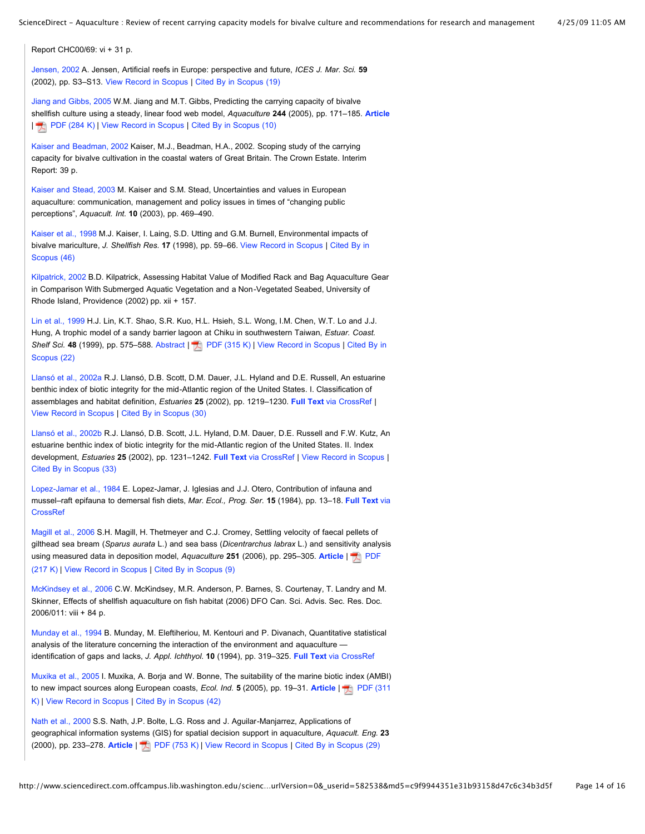Report CHC00/69: vi + 31 p.

[Jensen, 2002](http://www.sciencedirect.com.offcampus.lib.washington.edu/science?_ob=ArticleURL&_udi=B6T4D-4KBD4SR-1&_user=582538&_coverDate=11%2F24%2F2006&_rdoc=2&_fmt=high&_orig=browse&_srch=doc-info(%23toc%234972%232006%23997389997%23636573%23FLA%23display%23Volume)&_cdi=4972&_sort=d&_docanchor=&_ct=42&_acct=C000029718&_version=1&_urlVersion=0&_userid=582538&md5=c9f9944351e31b93158d47c6c34b3d5f#bbib36) A. Jensen, Artificial reefs in Europe: perspective and future, *ICES J. Mar. Sci.* **59** (2002), pp. S3–S13. [View Record in Scopus](http://www.sciencedirect.com.offcampus.lib.washington.edu/science?_ob=RedirectURL&_method=outwardLink&_partnerName=655&_targetURL=http%3A%2F%2Fwww.scopus.com%2Fscopus%2Finward%2Frecord.url%3Feid%3D2-s2.0-0036806425%26partnerID%3D10%26rel%3DR3.0.0%26md5%3D85ae56c97b054987bbeda371dc432746&_acct=C000029718&_version=1&_userid=582538&md5=4a586907b4ec29dac73ebc0289548290) | [Cited By in Scopus \(19\)](http://www.sciencedirect.com.offcampus.lib.washington.edu/science?_ob=RedirectURL&_method=outwardLink&_partnerName=656&_targetURL=http%3A%2F%2Fwww.scopus.com%2Fscopus%2Finward%2Fcitedby.url%3Feid%3D2-s2.0-0036806425%26partnerID%3D10%26rel%3DR3.0.0%26md5%3D85ae56c97b054987bbeda371dc432746&_acct=C000029718&_version=1&_userid=582538&md5=7f857c7a4082074715148b8b4aa89c31)

[Jiang and Gibbs, 2005](http://www.sciencedirect.com.offcampus.lib.washington.edu/science?_ob=ArticleURL&_udi=B6T4D-4KBD4SR-1&_user=582538&_coverDate=11%2F24%2F2006&_rdoc=2&_fmt=high&_orig=browse&_srch=doc-info(%23toc%234972%232006%23997389997%23636573%23FLA%23display%23Volume)&_cdi=4972&_sort=d&_docanchor=&_ct=42&_acct=C000029718&_version=1&_urlVersion=0&_userid=582538&md5=c9f9944351e31b93158d47c6c34b3d5f#bbib37) W.M. Jiang and M.T. Gibbs, Predicting the carrying capacity of bivalve shellfish culture using a steady, linear food web model, *Aquaculture* **244** (2005), pp. 171–185. **[Article](http://www.sciencedirect.com.offcampus.lib.washington.edu/science?_ob=ArticleURL&_udi=B6T4D-4F60NDC-3&_user=582538&_coverDate=02%2F28%2F2005&_fmt=full&_orig=browse&_cdi=4972&view=c&_acct=C000029718&_version=1&_urlVersion=0&_userid=582538&md5=4dc9a3eb9d28622df17dde88b768c4e3&ref=full)** | **PDF (284 K)** | [View Record in Scopus](http://www.sciencedirect.com.offcampus.lib.washington.edu/science?_ob=RedirectURL&_method=outwardLink&_partnerName=655&_targetURL=http%3A%2F%2Fwww.scopus.com%2Fscopus%2Finward%2Frecord.url%3Feid%3D2-s2.0-12744269535%26partnerID%3D10%26rel%3DR3.0.0%26md5%3Dbe820f83cab3f70ac8996e39e2a417ae&_acct=C000029718&_version=1&_userid=582538&md5=7caff2dd782e20099110251cc7f52322) | [Cited By in Scopus \(10\)](http://www.sciencedirect.com.offcampus.lib.washington.edu/science?_ob=RedirectURL&_method=outwardLink&_partnerName=656&_targetURL=http%3A%2F%2Fwww.scopus.com%2Fscopus%2Finward%2Fcitedby.url%3Feid%3D2-s2.0-12744269535%26partnerID%3D10%26rel%3DR3.0.0%26md5%3Dbe820f83cab3f70ac8996e39e2a417ae&_acct=C000029718&_version=1&_userid=582538&md5=6df8eeb7baad114b9426369a605e169d)

[Kaiser and Beadman, 2002](http://www.sciencedirect.com.offcampus.lib.washington.edu/science?_ob=ArticleURL&_udi=B6T4D-4KBD4SR-1&_user=582538&_coverDate=11%2F24%2F2006&_rdoc=2&_fmt=high&_orig=browse&_srch=doc-info(%23toc%234972%232006%23997389997%23636573%23FLA%23display%23Volume)&_cdi=4972&_sort=d&_docanchor=&_ct=42&_acct=C000029718&_version=1&_urlVersion=0&_userid=582538&md5=c9f9944351e31b93158d47c6c34b3d5f#bbib75) Kaiser, M.J., Beadman, H.A., 2002. Scoping study of the carrying capacity for bivalve cultivation in the coastal waters of Great Britain. The Crown Estate. Interim Report: 39 p.

[Kaiser and Stead, 2003](http://www.sciencedirect.com.offcampus.lib.washington.edu/science?_ob=ArticleURL&_udi=B6T4D-4KBD4SR-1&_user=582538&_coverDate=11%2F24%2F2006&_rdoc=2&_fmt=high&_orig=browse&_srch=doc-info(%23toc%234972%232006%23997389997%23636573%23FLA%23display%23Volume)&_cdi=4972&_sort=d&_docanchor=&_ct=42&_acct=C000029718&_version=1&_urlVersion=0&_userid=582538&md5=c9f9944351e31b93158d47c6c34b3d5f#bbib38) M. Kaiser and S.M. Stead, Uncertainties and values in European aquaculture: communication, management and policy issues in times of "changing public perceptions", *Aquacult. Int.* **10** (2003), pp. 469–490.

[Kaiser et al., 1998](http://www.sciencedirect.com.offcampus.lib.washington.edu/science?_ob=ArticleURL&_udi=B6T4D-4KBD4SR-1&_user=582538&_coverDate=11%2F24%2F2006&_rdoc=2&_fmt=high&_orig=browse&_srch=doc-info(%23toc%234972%232006%23997389997%23636573%23FLA%23display%23Volume)&_cdi=4972&_sort=d&_docanchor=&_ct=42&_acct=C000029718&_version=1&_urlVersion=0&_userid=582538&md5=c9f9944351e31b93158d47c6c34b3d5f#bbib39) M.J. Kaiser, I. Laing, S.D. Utting and G.M. Burnell, Environmental impacts of bivalve mariculture, *J. Shellfish Res.* **17** [\(1998\), pp. 59–66.](http://www.sciencedirect.com.offcampus.lib.washington.edu/science?_ob=RedirectURL&_method=outwardLink&_partnerName=656&_targetURL=http%3A%2F%2Fwww.scopus.com%2Fscopus%2Finward%2Fcitedby.url%3Feid%3D2-s2.0-0031828477%26partnerID%3D10%26rel%3DR3.0.0%26md5%3Dbc5f054a871c93a90c24d1c44a605dd2&_acct=C000029718&_version=1&_userid=582538&md5=10976948f1b87bc5e4b4001d8f8ba0d2) [View Record in Scopus](http://www.sciencedirect.com.offcampus.lib.washington.edu/science?_ob=RedirectURL&_method=outwardLink&_partnerName=655&_targetURL=http%3A%2F%2Fwww.scopus.com%2Fscopus%2Finward%2Frecord.url%3Feid%3D2-s2.0-0031828477%26partnerID%3D10%26rel%3DR3.0.0%26md5%3Dbc5f054a871c93a90c24d1c44a605dd2&_acct=C000029718&_version=1&_userid=582538&md5=7f5079dd03926f039b102a9348d1bf49) [| Cited By in](http://www.sciencedirect.com.offcampus.lib.washington.edu/science?_ob=RedirectURL&_method=outwardLink&_partnerName=656&_targetURL=http%3A%2F%2Fwww.scopus.com%2Fscopus%2Finward%2Fcitedby.url%3Feid%3D2-s2.0-0031828477%26partnerID%3D10%26rel%3DR3.0.0%26md5%3Dbc5f054a871c93a90c24d1c44a605dd2&_acct=C000029718&_version=1&_userid=582538&md5=10976948f1b87bc5e4b4001d8f8ba0d2) Scopus (46)

[Kilpatrick, 2002](http://www.sciencedirect.com.offcampus.lib.washington.edu/science?_ob=ArticleURL&_udi=B6T4D-4KBD4SR-1&_user=582538&_coverDate=11%2F24%2F2006&_rdoc=2&_fmt=high&_orig=browse&_srch=doc-info(%23toc%234972%232006%23997389997%23636573%23FLA%23display%23Volume)&_cdi=4972&_sort=d&_docanchor=&_ct=42&_acct=C000029718&_version=1&_urlVersion=0&_userid=582538&md5=c9f9944351e31b93158d47c6c34b3d5f#bbib40) B.D. Kilpatrick, Assessing Habitat Value of Modified Rack and Bag Aquaculture Gear in Comparison With Submerged Aquatic Vegetation and a Non-Vegetated Seabed, University of Rhode Island, Providence (2002) pp. xii + 157.

[Lin et al., 1999](http://www.sciencedirect.com.offcampus.lib.washington.edu/science?_ob=ArticleURL&_udi=B6T4D-4KBD4SR-1&_user=582538&_coverDate=11%2F24%2F2006&_rdoc=2&_fmt=high&_orig=browse&_srch=doc-info(%23toc%234972%232006%23997389997%23636573%23FLA%23display%23Volume)&_cdi=4972&_sort=d&_docanchor=&_ct=42&_acct=C000029718&_version=1&_urlVersion=0&_userid=582538&md5=c9f9944351e31b93158d47c6c34b3d5f#bbib41) H.J. Lin, K.T. Shao, S.R. Kuo, H.L. Hsieh, S.L. Wong, I.M. Chen, W.T. Lo and J.J. Hung, A trophic model of a sandy barrier lagoon at Chiku in southwestern Taiwan, *Estuar. Coast. Shelf Sci.* **48** [\(1999\), pp. 575–588. A](http://www.sciencedirect.com.offcampus.lib.washington.edu/science?_ob=RedirectURL&_method=outwardLink&_partnerName=656&_targetURL=http%3A%2F%2Fwww.scopus.com%2Fscopus%2Finward%2Fcitedby.url%3Feid%3D2-s2.0-0032995801%26partnerID%3D10%26rel%3DR3.0.0%26md5%3Dc4f07f1aa449de322f4e5cec8b75fb01&_acct=C000029718&_version=1&_userid=582538&md5=a3686301815b23cdc6422543d8d9cc1a)[bstract](http://www.sciencedirect.com.offcampus.lib.washington.edu/science?_ob=ArticleURL&_udi=B6WDV-45GWF3N-2M&_user=582538&_coverDate=05%2F31%2F1999&_fmt=abstract&_orig=browse&_cdi=6776&view=c&_acct=C000029718&_version=1&_urlVersion=0&_userid=582538&md5=9176e2f2dd556e9e6b12cccb3f8f3019&ref=full) [|](http://www.sciencedirect.com.offcampus.lib.washington.edu/science?_ob=RedirectURL&_method=outwardLink&_partnerName=656&_targetURL=http%3A%2F%2Fwww.scopus.com%2Fscopus%2Finward%2Fcitedby.url%3Feid%3D2-s2.0-0032995801%26partnerID%3D10%26rel%3DR3.0.0%26md5%3Dc4f07f1aa449de322f4e5cec8b75fb01&_acct=C000029718&_version=1&_userid=582538&md5=a3686301815b23cdc6422543d8d9cc1a) [PDF \(315 K](http://www.sciencedirect.com.offcampus.lib.washington.edu/science?_ob=MiamiImageURL&_imagekey=B6WDV-45GWF3N-2M-1&_cdi=6776&_user=582538&_check=y&_orig=browse&_coverDate=05%2F31%2F1999&view=c&wchp=dGLbVtz-zSkzk&md5=2c41a9748950e3976abd6ee2ea566c18&ie=/sdarticle.pdf)[\)](http://www.sciencedirect.com.offcampus.lib.washington.edu/science?_ob=RedirectURL&_method=outwardLink&_partnerName=656&_targetURL=http%3A%2F%2Fwww.scopus.com%2Fscopus%2Finward%2Fcitedby.url%3Feid%3D2-s2.0-0032995801%26partnerID%3D10%26rel%3DR3.0.0%26md5%3Dc4f07f1aa449de322f4e5cec8b75fb01&_acct=C000029718&_version=1&_userid=582538&md5=a3686301815b23cdc6422543d8d9cc1a) | [View Record in Scopus](http://www.sciencedirect.com.offcampus.lib.washington.edu/science?_ob=RedirectURL&_method=outwardLink&_partnerName=655&_targetURL=http%3A%2F%2Fwww.scopus.com%2Fscopus%2Finward%2Frecord.url%3Feid%3D2-s2.0-0032995801%26partnerID%3D10%26rel%3DR3.0.0%26md5%3Dc4f07f1aa449de322f4e5cec8b75fb01&_acct=C000029718&_version=1&_userid=582538&md5=d8037012d89b8b7cc8a63e4ae3833496) | Cited By in Scopus (22)

[Llansó et al., 2002a](http://www.sciencedirect.com.offcampus.lib.washington.edu/science?_ob=ArticleURL&_udi=B6T4D-4KBD4SR-1&_user=582538&_coverDate=11%2F24%2F2006&_rdoc=2&_fmt=high&_orig=browse&_srch=doc-info(%23toc%234972%232006%23997389997%23636573%23FLA%23display%23Volume)&_cdi=4972&_sort=d&_docanchor=&_ct=42&_acct=C000029718&_version=1&_urlVersion=0&_userid=582538&md5=c9f9944351e31b93158d47c6c34b3d5f#bbib42) R.J. Llansó, D.B. Scott, D.M. Dauer, J.L. Hyland and D.E. Russell, An estuarine benthic index of biotic integrity for the mid-Atlantic region of the United States. I. Classification of assemblages and habitat definition, *Estuaries* **25** (2002), pp. 1219–1230. **Full Text** [via CrossRef](http://www.sciencedirect.com.offcampus.lib.washington.edu/science?_ob=RedirectURL&_method=outwardLink&_partnerName=3&_targetURL=http%3A%2F%2Fdx.doi.org%2F10.1007%2FBF02692219&_acct=C000029718&_version=1&_userid=582538&md5=0e311c4e92c44b0f58dead72e263bfaf) | [View Record in Scopus](http://www.sciencedirect.com.offcampus.lib.washington.edu/science?_ob=RedirectURL&_method=outwardLink&_partnerName=655&_targetURL=http%3A%2F%2Fwww.scopus.com%2Fscopus%2Finward%2Frecord.url%3Feid%3D2-s2.0-0036968247%26partnerID%3D10%26rel%3DR3.0.0%26md5%3De335a2fd6a541e4c352026f14dc6437c&_acct=C000029718&_version=1&_userid=582538&md5=7c29b0962c589129a6b831e39417ee59) | [Cited By in Scopus \(30\)](http://www.sciencedirect.com.offcampus.lib.washington.edu/science?_ob=RedirectURL&_method=outwardLink&_partnerName=656&_targetURL=http%3A%2F%2Fwww.scopus.com%2Fscopus%2Finward%2Fcitedby.url%3Feid%3D2-s2.0-0036968247%26partnerID%3D10%26rel%3DR3.0.0%26md5%3De335a2fd6a541e4c352026f14dc6437c&_acct=C000029718&_version=1&_userid=582538&md5=22a8d1336d0fc4fc8646afedead40ba6)

[Llansó et al., 2002b](http://www.sciencedirect.com.offcampus.lib.washington.edu/science?_ob=ArticleURL&_udi=B6T4D-4KBD4SR-1&_user=582538&_coverDate=11%2F24%2F2006&_rdoc=2&_fmt=high&_orig=browse&_srch=doc-info(%23toc%234972%232006%23997389997%23636573%23FLA%23display%23Volume)&_cdi=4972&_sort=d&_docanchor=&_ct=42&_acct=C000029718&_version=1&_urlVersion=0&_userid=582538&md5=c9f9944351e31b93158d47c6c34b3d5f#bbib43) R.J. Llansó, D.B. Scott, J.L. Hyland, D.M. Dauer, D.E. Russell and F.W. Kutz, An estuarine benthic index of biotic integrity for the mid-Atlantic region of the United States. II. Index development, *Estuaries* **25** (2002), pp. 1231–1242. **Full Text** [via CrossRef](http://www.sciencedirect.com.offcampus.lib.washington.edu/science?_ob=RedirectURL&_method=outwardLink&_partnerName=3&_targetURL=http%3A%2F%2Fdx.doi.org%2F10.1007%2FBF02692220&_acct=C000029718&_version=1&_userid=582538&md5=32979f1d45064b7bc6c30ac114fe1ea4) | [View Record in Scopus](http://www.sciencedirect.com.offcampus.lib.washington.edu/science?_ob=RedirectURL&_method=outwardLink&_partnerName=655&_targetURL=http%3A%2F%2Fwww.scopus.com%2Fscopus%2Finward%2Frecord.url%3Feid%3D2-s2.0-0036970319%26partnerID%3D10%26rel%3DR3.0.0%26md5%3D41de573e2e5fae1d2a9b3ae22cdb357c&_acct=C000029718&_version=1&_userid=582538&md5=5cd3d6aec74ab501962de85665b485e6) | [Cited By in Scopus \(33\)](http://www.sciencedirect.com.offcampus.lib.washington.edu/science?_ob=RedirectURL&_method=outwardLink&_partnerName=656&_targetURL=http%3A%2F%2Fwww.scopus.com%2Fscopus%2Finward%2Fcitedby.url%3Feid%3D2-s2.0-0036970319%26partnerID%3D10%26rel%3DR3.0.0%26md5%3D41de573e2e5fae1d2a9b3ae22cdb357c&_acct=C000029718&_version=1&_userid=582538&md5=272bc35ba45c59394db983283f7b0ac7)

[Lopez-Jamar et al., 1984](http://www.sciencedirect.com.offcampus.lib.washington.edu/science?_ob=ArticleURL&_udi=B6T4D-4KBD4SR-1&_user=582538&_coverDate=11%2F24%2F2006&_rdoc=2&_fmt=high&_orig=browse&_srch=doc-info(%23toc%234972%232006%23997389997%23636573%23FLA%23display%23Volume)&_cdi=4972&_sort=d&_docanchor=&_ct=42&_acct=C000029718&_version=1&_urlVersion=0&_userid=582538&md5=c9f9944351e31b93158d47c6c34b3d5f#bbib44) E. Lopez-Jamar, J. Iglesias and J.J. Otero, Contribution of infauna and [mussel–raft epifauna to demersal fish diets,](http://www.sciencedirect.com.offcampus.lib.washington.edu/science?_ob=RedirectURL&_method=outwardLink&_partnerName=3&_targetURL=http%3A%2F%2Fdx.doi.org%2F10.3354%2Fmeps015013&_acct=C000029718&_version=1&_userid=582538&md5=499847bb42bc400b235ef3628c585a54) *Mar. Ecol., Prog. Ser.* **15** (1984), pp. 13–18. **Full Text** via CrossRef

[Magill et al., 2006](http://www.sciencedirect.com.offcampus.lib.washington.edu/science?_ob=ArticleURL&_udi=B6T4D-4KBD4SR-1&_user=582538&_coverDate=11%2F24%2F2006&_rdoc=2&_fmt=high&_orig=browse&_srch=doc-info(%23toc%234972%232006%23997389997%23636573%23FLA%23display%23Volume)&_cdi=4972&_sort=d&_docanchor=&_ct=42&_acct=C000029718&_version=1&_urlVersion=0&_userid=582538&md5=c9f9944351e31b93158d47c6c34b3d5f#bbib45) S.H. Magill, H. Thetmeyer and C.J. Cromey, Settling velocity of faecal pellets of gilthead sea bream (*Sparus aurata* L.) and sea bass (*Dicentrarchus labrax* L.) and sensitivity analysis using measured data in deposition model, *Aquaculture* **251** (2006), pp. 295–305. **[Article](http://www.sciencedirect.com.offcampus.lib.washington.edu/science?_ob=ArticleURL&_udi=B6T4D-4GJM3GR-6&_user=582538&_coverDate=02%2F28%2F2006&_fmt=full&_orig=browse&_cdi=4972&view=c&_acct=C000029718&_version=1&_urlVersion=0&_userid=582538&md5=4ad5ff5ec190d0abfdbe94e10eea6f4a&ref=full)** | PDF (217 K) [|](http://www.sciencedirect.com.offcampus.lib.washington.edu/science?_ob=MiamiImageURL&_imagekey=B6T4D-4GJM3GR-6-8&_cdi=4972&_user=582538&_check=y&_orig=browse&_coverDate=02%2F28%2F2006&view=c&wchp=dGLbVtz-zSkzk&md5=7a9bbda272dc7411b5479628543423ed&ie=/sdarticle.pdf) [View Record in Scopus](http://www.sciencedirect.com.offcampus.lib.washington.edu/science?_ob=RedirectURL&_method=outwardLink&_partnerName=655&_targetURL=http%3A%2F%2Fwww.scopus.com%2Fscopus%2Finward%2Frecord.url%3Feid%3D2-s2.0-31344443697%26partnerID%3D10%26rel%3DR3.0.0%26md5%3D2da30b5d9539be2dfac096350d19c4e0&_acct=C000029718&_version=1&_userid=582538&md5=e4d910cf44b1ba78ab536e2e0df3c657) [| C](http://www.sciencedirect.com.offcampus.lib.washington.edu/science?_ob=MiamiImageURL&_imagekey=B6T4D-4GJM3GR-6-8&_cdi=4972&_user=582538&_check=y&_orig=browse&_coverDate=02%2F28%2F2006&view=c&wchp=dGLbVtz-zSkzk&md5=7a9bbda272dc7411b5479628543423ed&ie=/sdarticle.pdf)[ited By in Scopus \(9\)](http://www.sciencedirect.com.offcampus.lib.washington.edu/science?_ob=RedirectURL&_method=outwardLink&_partnerName=656&_targetURL=http%3A%2F%2Fwww.scopus.com%2Fscopus%2Finward%2Fcitedby.url%3Feid%3D2-s2.0-31344443697%26partnerID%3D10%26rel%3DR3.0.0%26md5%3D2da30b5d9539be2dfac096350d19c4e0&_acct=C000029718&_version=1&_userid=582538&md5=42c4dcecc047a17f89f3c8927c7dede3)

[McKindsey et al., 2006](http://www.sciencedirect.com.offcampus.lib.washington.edu/science?_ob=ArticleURL&_udi=B6T4D-4KBD4SR-1&_user=582538&_coverDate=11%2F24%2F2006&_rdoc=2&_fmt=high&_orig=browse&_srch=doc-info(%23toc%234972%232006%23997389997%23636573%23FLA%23display%23Volume)&_cdi=4972&_sort=d&_docanchor=&_ct=42&_acct=C000029718&_version=1&_urlVersion=0&_userid=582538&md5=c9f9944351e31b93158d47c6c34b3d5f#bbib46) C.W. McKindsey, M.R. Anderson, P. Barnes, S. Courtenay, T. Landry and M. Skinner, Effects of shellfish aquaculture on fish habitat (2006) DFO Can. Sci. Advis. Sec. Res. Doc. 2006/011: viii + 84 p.

[Munday et al., 1994](http://www.sciencedirect.com.offcampus.lib.washington.edu/science?_ob=ArticleURL&_udi=B6T4D-4KBD4SR-1&_user=582538&_coverDate=11%2F24%2F2006&_rdoc=2&_fmt=high&_orig=browse&_srch=doc-info(%23toc%234972%232006%23997389997%23636573%23FLA%23display%23Volume)&_cdi=4972&_sort=d&_docanchor=&_ct=42&_acct=C000029718&_version=1&_urlVersion=0&_userid=582538&md5=c9f9944351e31b93158d47c6c34b3d5f#bbib47) B. Munday, M. Eleftiheriou, M. Kentouri and P. Divanach, Quantitative statistical analysis of the literature concerning the interaction of the environment and aquaculture identification of gaps and lacks, *J. Appl. Ichthyol.* **10** (1994), pp. 319–325. **Full Text** [via CrossRef](http://www.sciencedirect.com.offcampus.lib.washington.edu/science?_ob=RedirectURL&_method=outwardLink&_partnerName=3&_targetURL=http%3A%2F%2Fdx.doi.org%2F10.1111%2Fj.1439-0426.1994.tb00172.x&_acct=C000029718&_version=1&_userid=582538&md5=259c0306068ec5666a80498c92e4d56d)

[Muxika et al., 2005](http://www.sciencedirect.com.offcampus.lib.washington.edu/science?_ob=ArticleURL&_udi=B6T4D-4KBD4SR-1&_user=582538&_coverDate=11%2F24%2F2006&_rdoc=2&_fmt=high&_orig=browse&_srch=doc-info(%23toc%234972%232006%23997389997%23636573%23FLA%23display%23Volume)&_cdi=4972&_sort=d&_docanchor=&_ct=42&_acct=C000029718&_version=1&_urlVersion=0&_userid=582538&md5=c9f9944351e31b93158d47c6c34b3d5f#bbib48) I. Muxika, A. Borja and W. Bonne, The suitability of the marine biotic index (AMBI) to new impact sources along European coasts, *Ecol. Ind.* **5** (2005), pp. 19–31. **[Article](http://www.sciencedirect.com.offcampus.lib.washington.edu/science?_ob=ArticleURL&_udi=B6W87-4DXT7K7-1&_user=582538&_coverDate=01%2F01%2F2005&_fmt=full&_orig=browse&_cdi=6647&view=c&_acct=C000029718&_version=1&_urlVersion=0&_userid=582538&md5=5337f834a092ca16240383a7d8aa41df&ref=full)** | PDF (311 K) [| V](http://www.sciencedirect.com.offcampus.lib.washington.edu/science?_ob=MiamiImageURL&_imagekey=B6W87-4DXT7K7-1-1&_cdi=6647&_user=582538&_check=y&_orig=browse&_coverDate=01%2F01%2F2005&view=c&wchp=dGLbVtz-zSkzk&md5=1ade36c58f434a4879dc2ebb38f1bd43&ie=/sdarticle.pdf)[iew Record in Scopus](http://www.sciencedirect.com.offcampus.lib.washington.edu/science?_ob=RedirectURL&_method=outwardLink&_partnerName=655&_targetURL=http%3A%2F%2Fwww.scopus.com%2Fscopus%2Finward%2Frecord.url%3Feid%3D2-s2.0-12244299885%26partnerID%3D10%26rel%3DR3.0.0%26md5%3D7442a8f3d7362171bd8124b8cc30b334&_acct=C000029718&_version=1&_userid=582538&md5=843508339ee8ba551369702b43cdc8f6) [|](http://www.sciencedirect.com.offcampus.lib.washington.edu/science?_ob=MiamiImageURL&_imagekey=B6W87-4DXT7K7-1-1&_cdi=6647&_user=582538&_check=y&_orig=browse&_coverDate=01%2F01%2F2005&view=c&wchp=dGLbVtz-zSkzk&md5=1ade36c58f434a4879dc2ebb38f1bd43&ie=/sdarticle.pdf) [Cited By in Scopus \(42\)](http://www.sciencedirect.com.offcampus.lib.washington.edu/science?_ob=RedirectURL&_method=outwardLink&_partnerName=656&_targetURL=http%3A%2F%2Fwww.scopus.com%2Fscopus%2Finward%2Fcitedby.url%3Feid%3D2-s2.0-12244299885%26partnerID%3D10%26rel%3DR3.0.0%26md5%3D7442a8f3d7362171bd8124b8cc30b334&_acct=C000029718&_version=1&_userid=582538&md5=9ad7d6ca86c7494e3a7621d245911a15)

[Nath et al., 2000](http://www.sciencedirect.com.offcampus.lib.washington.edu/science?_ob=ArticleURL&_udi=B6T4D-4KBD4SR-1&_user=582538&_coverDate=11%2F24%2F2006&_rdoc=2&_fmt=high&_orig=browse&_srch=doc-info(%23toc%234972%232006%23997389997%23636573%23FLA%23display%23Volume)&_cdi=4972&_sort=d&_docanchor=&_ct=42&_acct=C000029718&_version=1&_urlVersion=0&_userid=582538&md5=c9f9944351e31b93158d47c6c34b3d5f#bbib49) S.S. Nath, J.P. Bolte, L.G. Ross and J. Aguilar-Manjarrez, Applications of geographical information systems (GIS) for spatial decision support in aquaculture, *Aquacult. Eng.* **23** (2000), pp. 233–278. **[Article](http://www.sciencedirect.com.offcampus.lib.washington.edu/science?_ob=ArticleURL&_udi=B6T4C-40WMPVY-C&_user=582538&_coverDate=09%2F30%2F2000&_fmt=full&_orig=browse&_cdi=4971&view=c&_acct=C000029718&_version=1&_urlVersion=0&_userid=582538&md5=1428caf91aa7dcc6ff88fbc79a685c8a&ref=full)** | [PDF \(753 K\)](http://www.sciencedirect.com.offcampus.lib.washington.edu/science?_ob=MiamiImageURL&_imagekey=B6T4C-40WMPVY-C-F&_cdi=4971&_user=582538&_check=y&_orig=browse&_coverDate=09%2F30%2F2000&view=c&wchp=dGLbVtz-zSkzk&md5=f41ad207e18c02fc45078ee3373fc499&ie=/sdarticle.pdf) | [View Record in Scopus](http://www.sciencedirect.com.offcampus.lib.washington.edu/science?_ob=RedirectURL&_method=outwardLink&_partnerName=655&_targetURL=http%3A%2F%2Fwww.scopus.com%2Fscopus%2Finward%2Frecord.url%3Feid%3D2-s2.0-0033886540%26partnerID%3D10%26rel%3DR3.0.0%26md5%3De85ed2be07a1463e217869f45ee21430&_acct=C000029718&_version=1&_userid=582538&md5=7b61eaa2cdb91f7aa0c683fcedb228b9) | [Cited By in Scopus \(29\)](http://www.sciencedirect.com.offcampus.lib.washington.edu/science?_ob=RedirectURL&_method=outwardLink&_partnerName=656&_targetURL=http%3A%2F%2Fwww.scopus.com%2Fscopus%2Finward%2Fcitedby.url%3Feid%3D2-s2.0-0033886540%26partnerID%3D10%26rel%3DR3.0.0%26md5%3De85ed2be07a1463e217869f45ee21430&_acct=C000029718&_version=1&_userid=582538&md5=2e66697f5f46c33300a88fe4a6fc363d)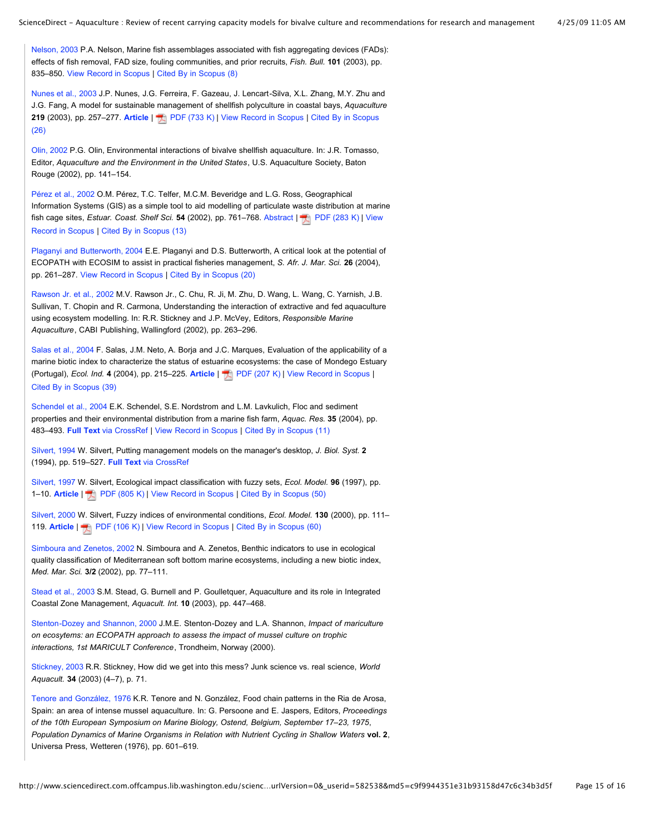[Nelson, 2003](http://www.sciencedirect.com.offcampus.lib.washington.edu/science?_ob=ArticleURL&_udi=B6T4D-4KBD4SR-1&_user=582538&_coverDate=11%2F24%2F2006&_rdoc=2&_fmt=high&_orig=browse&_srch=doc-info(%23toc%234972%232006%23997389997%23636573%23FLA%23display%23Volume)&_cdi=4972&_sort=d&_docanchor=&_ct=42&_acct=C000029718&_version=1&_urlVersion=0&_userid=582538&md5=c9f9944351e31b93158d47c6c34b3d5f#bbib50) P.A. Nelson, Marine fish assemblages associated with fish aggregating devices (FADs): effects of fish removal, FAD size, fouling communities, and prior recruits, *Fish. Bull.* **101** (2003), pp. 835–850. [View Record in Scopus](http://www.sciencedirect.com.offcampus.lib.washington.edu/science?_ob=RedirectURL&_method=outwardLink&_partnerName=655&_targetURL=http%3A%2F%2Fwww.scopus.com%2Fscopus%2Finward%2Frecord.url%3Feid%3D2-s2.0-0345358018%26partnerID%3D10%26rel%3DR3.0.0%26md5%3D25556bca4649d3b33d3f740e671b8c81&_acct=C000029718&_version=1&_userid=582538&md5=6d3b3cfc12eaf216034ad8d6edb51e93) | [Cited By in Scopus \(8\)](http://www.sciencedirect.com.offcampus.lib.washington.edu/science?_ob=RedirectURL&_method=outwardLink&_partnerName=656&_targetURL=http%3A%2F%2Fwww.scopus.com%2Fscopus%2Finward%2Fcitedby.url%3Feid%3D2-s2.0-0345358018%26partnerID%3D10%26rel%3DR3.0.0%26md5%3D25556bca4649d3b33d3f740e671b8c81&_acct=C000029718&_version=1&_userid=582538&md5=0ca7ca3af9162c5515f4ecc75c4f6986)

[Nunes et al., 2003](http://www.sciencedirect.com.offcampus.lib.washington.edu/science?_ob=ArticleURL&_udi=B6T4D-4KBD4SR-1&_user=582538&_coverDate=11%2F24%2F2006&_rdoc=2&_fmt=high&_orig=browse&_srch=doc-info(%23toc%234972%232006%23997389997%23636573%23FLA%23display%23Volume)&_cdi=4972&_sort=d&_docanchor=&_ct=42&_acct=C000029718&_version=1&_urlVersion=0&_userid=582538&md5=c9f9944351e31b93158d47c6c34b3d5f#bbib51) J.P. Nunes, J.G. Ferreira, F. Gazeau, J. Lencart-Silva, X.L. Zhang, M.Y. Zhu and J.G. Fang, A model for sustainable management of shellfish polyculture in coastal bays, *Aquaculture* **219** (2003), pp. 257–277. **[Article](http://www.sciencedirect.com.offcampus.lib.washington.edu/science?_ob=ArticleURL&_udi=B6T4D-47CXCJ0-7&_user=582538&_coverDate=04%2F02%2F2003&_fmt=full&_orig=browse&_cdi=4972&view=c&_acct=C000029718&_version=1&_urlVersion=0&_userid=582538&md5=5c8cbcabc51e289f02a3106aba44a5f4&ref=full)** | [PDF \(733 K\)](http://www.sciencedirect.com.offcampus.lib.washington.edu/science?_ob=MiamiImageURL&_imagekey=B6T4D-47CXCJ0-7-V&_cdi=4972&_user=582538&_check=y&_orig=browse&_coverDate=04%2F02%2F2003&view=c&wchp=dGLbVtz-zSkzk&md5=34550a1c395728a04ea398815740a2de&ie=/sdarticle.pdf) [| View Record in Scopus | Cited By in Scopus](http://www.sciencedirect.com.offcampus.lib.washington.edu/science?_ob=RedirectURL&_method=outwardLink&_partnerName=656&_targetURL=http%3A%2F%2Fwww.scopus.com%2Fscopus%2Finward%2Fcitedby.url%3Feid%3D2-s2.0-0037414047%26partnerID%3D10%26rel%3DR3.0.0%26md5%3Db2b92305b27456e7dbe54809f12db886&_acct=C000029718&_version=1&_userid=582538&md5=05f7dc951a64206247d3ecbca673b065) (26)

[Olin, 2002](http://www.sciencedirect.com.offcampus.lib.washington.edu/science?_ob=ArticleURL&_udi=B6T4D-4KBD4SR-1&_user=582538&_coverDate=11%2F24%2F2006&_rdoc=2&_fmt=high&_orig=browse&_srch=doc-info(%23toc%234972%232006%23997389997%23636573%23FLA%23display%23Volume)&_cdi=4972&_sort=d&_docanchor=&_ct=42&_acct=C000029718&_version=1&_urlVersion=0&_userid=582538&md5=c9f9944351e31b93158d47c6c34b3d5f#bbib52) P.G. Olin, Environmental interactions of bivalve shellfish aquaculture. In: J.R. Tomasso, Editor, *Aquaculture and the Environment in the United States*, U.S. Aquaculture Society, Baton Rouge (2002), pp. 141–154.

[Pérez et al., 2002](http://www.sciencedirect.com.offcampus.lib.washington.edu/science?_ob=ArticleURL&_udi=B6T4D-4KBD4SR-1&_user=582538&_coverDate=11%2F24%2F2006&_rdoc=2&_fmt=high&_orig=browse&_srch=doc-info(%23toc%234972%232006%23997389997%23636573%23FLA%23display%23Volume)&_cdi=4972&_sort=d&_docanchor=&_ct=42&_acct=C000029718&_version=1&_urlVersion=0&_userid=582538&md5=c9f9944351e31b93158d47c6c34b3d5f#bbib53) O.M. Pérez, T.C. Telfer, M.C.M. Beveridge and L.G. Ross, Geographical Information Systems (GIS) as a simple tool to aid modelling of particulate waste distribution at marine fish cage sites, *Estuar. Coast. Shelf Sci.* **54** [\(2002\), pp. 761–768. A](http://www.sciencedirect.com.offcampus.lib.washington.edu/science?_ob=RedirectURL&_method=outwardLink&_partnerName=655&_targetURL=http%3A%2F%2Fwww.scopus.com%2Fscopus%2Finward%2Frecord.url%3Feid%3D2-s2.0-0036526112%26partnerID%3D10%26rel%3DR3.0.0%26md5%3Da30ab5eb046022d74f50bbc3c86602ae&_acct=C000029718&_version=1&_userid=582538&md5=e1defc282bf895aa5a52558fead8f402)[bstract](http://www.sciencedirect.com.offcampus.lib.washington.edu/science?_ob=ArticleURL&_udi=B6WDV-465N8PP-B&_user=582538&_coverDate=04%2F30%2F2002&_fmt=abstract&_orig=browse&_cdi=6776&view=c&_acct=C000029718&_version=1&_urlVersion=0&_userid=582538&md5=828611d7f1af8ad9d85c87bd72e9a859&ref=full) | <sub>[A]</sub> PDF (283 K) | View Record in Scopus | [Cited By in Scopus \(13\)](http://www.sciencedirect.com.offcampus.lib.washington.edu/science?_ob=RedirectURL&_method=outwardLink&_partnerName=656&_targetURL=http%3A%2F%2Fwww.scopus.com%2Fscopus%2Finward%2Fcitedby.url%3Feid%3D2-s2.0-0036526112%26partnerID%3D10%26rel%3DR3.0.0%26md5%3Da30ab5eb046022d74f50bbc3c86602ae&_acct=C000029718&_version=1&_userid=582538&md5=dc8053a7ca41e03a7d454821e73e1ffd)

[Plaganyi and Butterworth, 2004](http://www.sciencedirect.com.offcampus.lib.washington.edu/science?_ob=ArticleURL&_udi=B6T4D-4KBD4SR-1&_user=582538&_coverDate=11%2F24%2F2006&_rdoc=2&_fmt=high&_orig=browse&_srch=doc-info(%23toc%234972%232006%23997389997%23636573%23FLA%23display%23Volume)&_cdi=4972&_sort=d&_docanchor=&_ct=42&_acct=C000029718&_version=1&_urlVersion=0&_userid=582538&md5=c9f9944351e31b93158d47c6c34b3d5f#bbib54) E.E. Plaganyi and D.S. Butterworth, A critical look at the potential of ECOPATH with ECOSIM to assist in practical fisheries management, *S. Afr. J. Mar. Sci.* **26** (2004), pp. 261–287. [View Record in Scopus](http://www.sciencedirect.com.offcampus.lib.washington.edu/science?_ob=RedirectURL&_method=outwardLink&_partnerName=655&_targetURL=http%3A%2F%2Fwww.scopus.com%2Fscopus%2Finward%2Frecord.url%3Feid%3D2-s2.0-9444241657%26partnerID%3D10%26rel%3DR3.0.0%26md5%3D77441d69ea32db367197f9a702c82aa8&_acct=C000029718&_version=1&_userid=582538&md5=663573397ba28519b5d2eff36537fda1) | [Cited By in Scopus \(20\)](http://www.sciencedirect.com.offcampus.lib.washington.edu/science?_ob=RedirectURL&_method=outwardLink&_partnerName=656&_targetURL=http%3A%2F%2Fwww.scopus.com%2Fscopus%2Finward%2Fcitedby.url%3Feid%3D2-s2.0-9444241657%26partnerID%3D10%26rel%3DR3.0.0%26md5%3D77441d69ea32db367197f9a702c82aa8&_acct=C000029718&_version=1&_userid=582538&md5=9370883f52afeb77fbf77164869ffccd)

[Rawson Jr. et al., 2002](http://www.sciencedirect.com.offcampus.lib.washington.edu/science?_ob=ArticleURL&_udi=B6T4D-4KBD4SR-1&_user=582538&_coverDate=11%2F24%2F2006&_rdoc=2&_fmt=high&_orig=browse&_srch=doc-info(%23toc%234972%232006%23997389997%23636573%23FLA%23display%23Volume)&_cdi=4972&_sort=d&_docanchor=&_ct=42&_acct=C000029718&_version=1&_urlVersion=0&_userid=582538&md5=c9f9944351e31b93158d47c6c34b3d5f#bbib55) M.V. Rawson Jr., C. Chu, R. Ji, M. Zhu, D. Wang, L. Wang, C. Yarnish, J.B. Sullivan, T. Chopin and R. Carmona, Understanding the interaction of extractive and fed aquaculture using ecosystem modelling. In: R.R. Stickney and J.P. McVey, Editors, *Responsible Marine Aquaculture*, CABI Publishing, Wallingford (2002), pp. 263–296.

[Salas et al., 2004](http://www.sciencedirect.com.offcampus.lib.washington.edu/science?_ob=ArticleURL&_udi=B6T4D-4KBD4SR-1&_user=582538&_coverDate=11%2F24%2F2006&_rdoc=2&_fmt=high&_orig=browse&_srch=doc-info(%23toc%234972%232006%23997389997%23636573%23FLA%23display%23Volume)&_cdi=4972&_sort=d&_docanchor=&_ct=42&_acct=C000029718&_version=1&_urlVersion=0&_userid=582538&md5=c9f9944351e31b93158d47c6c34b3d5f#bbib56) F. Salas, J.M. Neto, A. Borja and J.C. Marques, Evaluation of the applicability of a marine biotic index to characterize the status of estuarine ecosystems: the case of Mondego Estuary (Portugal), *Ecol. Ind.* **4** (2004), pp. 215–225. **[Article](http://www.sciencedirect.com.offcampus.lib.washington.edu/science?_ob=ArticleURL&_udi=B6W87-4CSG1T5-2&_user=582538&_coverDate=09%2F30%2F2004&_fmt=full&_orig=browse&_cdi=6647&view=c&_acct=C000029718&_version=1&_urlVersion=0&_userid=582538&md5=4e1530df9208f1f4f0d6341d4f51eb86&ref=full)** | [PDF \(207 K\)](http://www.sciencedirect.com.offcampus.lib.washington.edu/science?_ob=MiamiImageURL&_imagekey=B6W87-4CSG1T5-2-9&_cdi=6647&_user=582538&_check=y&_orig=browse&_coverDate=09%2F30%2F2004&view=c&wchp=dGLbVtz-zSkzk&md5=cc9dc2efe137599fcec1d30697a26a83&ie=/sdarticle.pdf) | [View Record in Scopus](http://www.sciencedirect.com.offcampus.lib.washington.edu/science?_ob=RedirectURL&_method=outwardLink&_partnerName=655&_targetURL=http%3A%2F%2Fwww.scopus.com%2Fscopus%2Finward%2Frecord.url%3Feid%3D2-s2.0-3142635273%26partnerID%3D10%26rel%3DR3.0.0%26md5%3D6fe493d6f5cb3dd1d1adf127ab9ac75c&_acct=C000029718&_version=1&_userid=582538&md5=040add01903bb32d04530475c7e25b4f) | [Cited By in Scopus \(39\)](http://www.sciencedirect.com.offcampus.lib.washington.edu/science?_ob=RedirectURL&_method=outwardLink&_partnerName=656&_targetURL=http%3A%2F%2Fwww.scopus.com%2Fscopus%2Finward%2Fcitedby.url%3Feid%3D2-s2.0-3142635273%26partnerID%3D10%26rel%3DR3.0.0%26md5%3D6fe493d6f5cb3dd1d1adf127ab9ac75c&_acct=C000029718&_version=1&_userid=582538&md5=feeb787ea45e8fcead98afd15b685756)

[Schendel et al., 2004](http://www.sciencedirect.com.offcampus.lib.washington.edu/science?_ob=ArticleURL&_udi=B6T4D-4KBD4SR-1&_user=582538&_coverDate=11%2F24%2F2006&_rdoc=2&_fmt=high&_orig=browse&_srch=doc-info(%23toc%234972%232006%23997389997%23636573%23FLA%23display%23Volume)&_cdi=4972&_sort=d&_docanchor=&_ct=42&_acct=C000029718&_version=1&_urlVersion=0&_userid=582538&md5=c9f9944351e31b93158d47c6c34b3d5f#bbib57) E.K. Schendel, S.E. Nordstrom and L.M. Lavkulich, Floc and sediment properties and their environmental distribution from a marine fish farm, *Aquac. Res.* **35** (2004), pp. 483–493. **Full Text** [via CrossRef](http://www.sciencedirect.com.offcampus.lib.washington.edu/science?_ob=RedirectURL&_method=outwardLink&_partnerName=3&_targetURL=http%3A%2F%2Fdx.doi.org%2F10.1111%2Fj.1365-2109.2004.01042.x&_acct=C000029718&_version=1&_userid=582538&md5=57f4f4adfa22cb452ff1ef5695bc6169) | [View Record in Scopus](http://www.sciencedirect.com.offcampus.lib.washington.edu/science?_ob=RedirectURL&_method=outwardLink&_partnerName=655&_targetURL=http%3A%2F%2Fwww.scopus.com%2Fscopus%2Finward%2Frecord.url%3Feid%3D2-s2.0-1842584990%26partnerID%3D10%26rel%3DR3.0.0%26md5%3D49d9bf87db7bf11dfa5cfc40d72a6fef&_acct=C000029718&_version=1&_userid=582538&md5=82331ceb9cb727b3a6d8847d4206172c) | [Cited By in Scopus \(11\)](http://www.sciencedirect.com.offcampus.lib.washington.edu/science?_ob=RedirectURL&_method=outwardLink&_partnerName=656&_targetURL=http%3A%2F%2Fwww.scopus.com%2Fscopus%2Finward%2Fcitedby.url%3Feid%3D2-s2.0-1842584990%26partnerID%3D10%26rel%3DR3.0.0%26md5%3D49d9bf87db7bf11dfa5cfc40d72a6fef&_acct=C000029718&_version=1&_userid=582538&md5=d37e95ddcacf6b90b80a8a5902c92a09)

[Silvert, 1994](http://www.sciencedirect.com.offcampus.lib.washington.edu/science?_ob=ArticleURL&_udi=B6T4D-4KBD4SR-1&_user=582538&_coverDate=11%2F24%2F2006&_rdoc=2&_fmt=high&_orig=browse&_srch=doc-info(%23toc%234972%232006%23997389997%23636573%23FLA%23display%23Volume)&_cdi=4972&_sort=d&_docanchor=&_ct=42&_acct=C000029718&_version=1&_urlVersion=0&_userid=582538&md5=c9f9944351e31b93158d47c6c34b3d5f#bbib58) W. Silvert, Putting management models on the manager's desktop, *J. Biol. Syst.* **2** (1994), pp. 519–527. **Full Text** [via CrossRef](http://www.sciencedirect.com.offcampus.lib.washington.edu/science?_ob=RedirectURL&_method=outwardLink&_partnerName=3&_targetURL=http%3A%2F%2Fdx.doi.org%2F10.1142%2FS0218339094000325&_acct=C000029718&_version=1&_userid=582538&md5=24b0a7b2d0a5dc104a3af0e1380efdf5)

[Silvert, 1997](http://www.sciencedirect.com.offcampus.lib.washington.edu/science?_ob=ArticleURL&_udi=B6T4D-4KBD4SR-1&_user=582538&_coverDate=11%2F24%2F2006&_rdoc=2&_fmt=high&_orig=browse&_srch=doc-info(%23toc%234972%232006%23997389997%23636573%23FLA%23display%23Volume)&_cdi=4972&_sort=d&_docanchor=&_ct=42&_acct=C000029718&_version=1&_urlVersion=0&_userid=582538&md5=c9f9944351e31b93158d47c6c34b3d5f#bbib59) W. Silvert, Ecological impact classification with fuzzy sets, *Ecol. Model.* **96** (1997), pp. 1–10. **[Article](http://www.sciencedirect.com.offcampus.lib.washington.edu/science?_ob=ArticleURL&_udi=B6VBS-3SWJMJ2-49&_user=582538&_coverDate=03%2F01%2F1997&_fmt=full&_orig=browse&_cdi=5934&view=c&_acct=C000029718&_version=1&_urlVersion=0&_userid=582538&md5=e128bfbc9f37477e143566b79167d61a&ref=full)** | **A** [PDF \(805 K\)](http://www.sciencedirect.com.offcampus.lib.washington.edu/science?_ob=MiamiImageURL&_imagekey=B6VBS-3SWJMJ2-49-1&_cdi=5934&_user=582538&_check=y&_orig=browse&_coverDate=03%2F01%2F1997&view=c&wchp=dGLbVtz-zSkzk&md5=55f683b3b1c2d465c2692d11aa0a8e42&ie=/sdarticle.pdf) | [View Record in Scopus](http://www.sciencedirect.com.offcampus.lib.washington.edu/science?_ob=RedirectURL&_method=outwardLink&_partnerName=655&_targetURL=http%3A%2F%2Fwww.scopus.com%2Fscopus%2Finward%2Frecord.url%3Feid%3D2-s2.0-0030619530%26partnerID%3D10%26rel%3DR3.0.0%26md5%3Deb1806bc8a2ce248381a3a0d3126ea37&_acct=C000029718&_version=1&_userid=582538&md5=b2264e89b46f534c6ff421458240d6fc) | [Cited By in Scopus \(50\)](http://www.sciencedirect.com.offcampus.lib.washington.edu/science?_ob=RedirectURL&_method=outwardLink&_partnerName=656&_targetURL=http%3A%2F%2Fwww.scopus.com%2Fscopus%2Finward%2Fcitedby.url%3Feid%3D2-s2.0-0030619530%26partnerID%3D10%26rel%3DR3.0.0%26md5%3Deb1806bc8a2ce248381a3a0d3126ea37&_acct=C000029718&_version=1&_userid=582538&md5=e826c59a142136693312155e0baca8ea)

[Silvert, 2000](http://www.sciencedirect.com.offcampus.lib.washington.edu/science?_ob=ArticleURL&_udi=B6T4D-4KBD4SR-1&_user=582538&_coverDate=11%2F24%2F2006&_rdoc=2&_fmt=high&_orig=browse&_srch=doc-info(%23toc%234972%232006%23997389997%23636573%23FLA%23display%23Volume)&_cdi=4972&_sort=d&_docanchor=&_ct=42&_acct=C000029718&_version=1&_urlVersion=0&_userid=582538&md5=c9f9944351e31b93158d47c6c34b3d5f#bbib60) W. Silvert, Fuzzy indices of environmental conditions, *Ecol. Model.* **130** (2000), pp. 111– 119. **[Article](http://www.sciencedirect.com.offcampus.lib.washington.edu/science?_ob=ArticleURL&_udi=B6VBS-40WDR9R-Y&_user=582538&_coverDate=06%2F01%2F2000&_fmt=full&_orig=browse&_cdi=5934&view=c&_acct=C000029718&_version=1&_urlVersion=0&_userid=582538&md5=ff097dfffe1f2d24977ff45f075c12be&ref=full)** |  $\uparrow$  [PDF \(106 K\)](http://www.sciencedirect.com.offcampus.lib.washington.edu/science?_ob=MiamiImageURL&_imagekey=B6VBS-40WDR9R-Y-9&_cdi=5934&_user=582538&_check=y&_orig=browse&_coverDate=06%2F01%2F2000&view=c&wchp=dGLbVtz-zSkzk&md5=848da7a51a11df5a9d4a504b29dc4792&ie=/sdarticle.pdf) | [View Record in Scopus](http://www.sciencedirect.com.offcampus.lib.washington.edu/science?_ob=RedirectURL&_method=outwardLink&_partnerName=655&_targetURL=http%3A%2F%2Fwww.scopus.com%2Fscopus%2Finward%2Frecord.url%3Feid%3D2-s2.0-0034210580%26partnerID%3D10%26rel%3DR3.0.0%26md5%3D4c8305e5809a738adeb760f5c61fcba5&_acct=C000029718&_version=1&_userid=582538&md5=8342906949ed4ad10cd614d475f0e8f5) | [Cited By in Scopus \(60\)](http://www.sciencedirect.com.offcampus.lib.washington.edu/science?_ob=RedirectURL&_method=outwardLink&_partnerName=656&_targetURL=http%3A%2F%2Fwww.scopus.com%2Fscopus%2Finward%2Fcitedby.url%3Feid%3D2-s2.0-0034210580%26partnerID%3D10%26rel%3DR3.0.0%26md5%3D4c8305e5809a738adeb760f5c61fcba5&_acct=C000029718&_version=1&_userid=582538&md5=844d4b29a2cd05021d1085ae8bc0944f)

[Simboura and Zenetos, 2002](http://www.sciencedirect.com.offcampus.lib.washington.edu/science?_ob=ArticleURL&_udi=B6T4D-4KBD4SR-1&_user=582538&_coverDate=11%2F24%2F2006&_rdoc=2&_fmt=high&_orig=browse&_srch=doc-info(%23toc%234972%232006%23997389997%23636573%23FLA%23display%23Volume)&_cdi=4972&_sort=d&_docanchor=&_ct=42&_acct=C000029718&_version=1&_urlVersion=0&_userid=582538&md5=c9f9944351e31b93158d47c6c34b3d5f#bbib61) N. Simboura and A. Zenetos, Benthic indicators to use in ecological quality classification of Mediterranean soft bottom marine ecosystems, including a new biotic index, *Med. Mar. Sci.* **3/2** (2002), pp. 77–111.

[Stead et al., 2003](http://www.sciencedirect.com.offcampus.lib.washington.edu/science?_ob=ArticleURL&_udi=B6T4D-4KBD4SR-1&_user=582538&_coverDate=11%2F24%2F2006&_rdoc=2&_fmt=high&_orig=browse&_srch=doc-info(%23toc%234972%232006%23997389997%23636573%23FLA%23display%23Volume)&_cdi=4972&_sort=d&_docanchor=&_ct=42&_acct=C000029718&_version=1&_urlVersion=0&_userid=582538&md5=c9f9944351e31b93158d47c6c34b3d5f#bbib62) S.M. Stead, G. Burnell and P. Goulletquer, Aquaculture and its role in Integrated Coastal Zone Management, *Aquacult. Int.* **10** (2003), pp. 447–468.

[Stenton-Dozey and Shannon, 2000](http://www.sciencedirect.com.offcampus.lib.washington.edu/science?_ob=ArticleURL&_udi=B6T4D-4KBD4SR-1&_user=582538&_coverDate=11%2F24%2F2006&_rdoc=2&_fmt=high&_orig=browse&_srch=doc-info(%23toc%234972%232006%23997389997%23636573%23FLA%23display%23Volume)&_cdi=4972&_sort=d&_docanchor=&_ct=42&_acct=C000029718&_version=1&_urlVersion=0&_userid=582538&md5=c9f9944351e31b93158d47c6c34b3d5f#bbib63) J.M.E. Stenton-Dozey and L.A. Shannon, *Impact of mariculture on ecosytems: an ECOPATH approach to assess the impact of mussel culture on trophic interactions, 1st MARICULT Conference*, Trondheim, Norway (2000).

[Stickney, 2003](http://www.sciencedirect.com.offcampus.lib.washington.edu/science?_ob=ArticleURL&_udi=B6T4D-4KBD4SR-1&_user=582538&_coverDate=11%2F24%2F2006&_rdoc=2&_fmt=high&_orig=browse&_srch=doc-info(%23toc%234972%232006%23997389997%23636573%23FLA%23display%23Volume)&_cdi=4972&_sort=d&_docanchor=&_ct=42&_acct=C000029718&_version=1&_urlVersion=0&_userid=582538&md5=c9f9944351e31b93158d47c6c34b3d5f#bbib64) R.R. Stickney, How did we get into this mess? Junk science vs. real science, *World Aquacult.* **34** (2003) (4–7), p. 71.

[Tenore and González, 1976](http://www.sciencedirect.com.offcampus.lib.washington.edu/science?_ob=ArticleURL&_udi=B6T4D-4KBD4SR-1&_user=582538&_coverDate=11%2F24%2F2006&_rdoc=2&_fmt=high&_orig=browse&_srch=doc-info(%23toc%234972%232006%23997389997%23636573%23FLA%23display%23Volume)&_cdi=4972&_sort=d&_docanchor=&_ct=42&_acct=C000029718&_version=1&_urlVersion=0&_userid=582538&md5=c9f9944351e31b93158d47c6c34b3d5f#bbib65) K.R. Tenore and N. González, Food chain patterns in the Ria de Arosa, Spain: an area of intense mussel aquaculture. In: G. Persoone and E. Jaspers, Editors, *Proceedings of the 10th European Symposium on Marine Biology, Ostend, Belgium, September 17–23, 1975*, *Population Dynamics of Marine Organisms in Relation with Nutrient Cycling in Shallow Waters* **vol. 2**, Universa Press, Wetteren (1976), pp. 601–619.